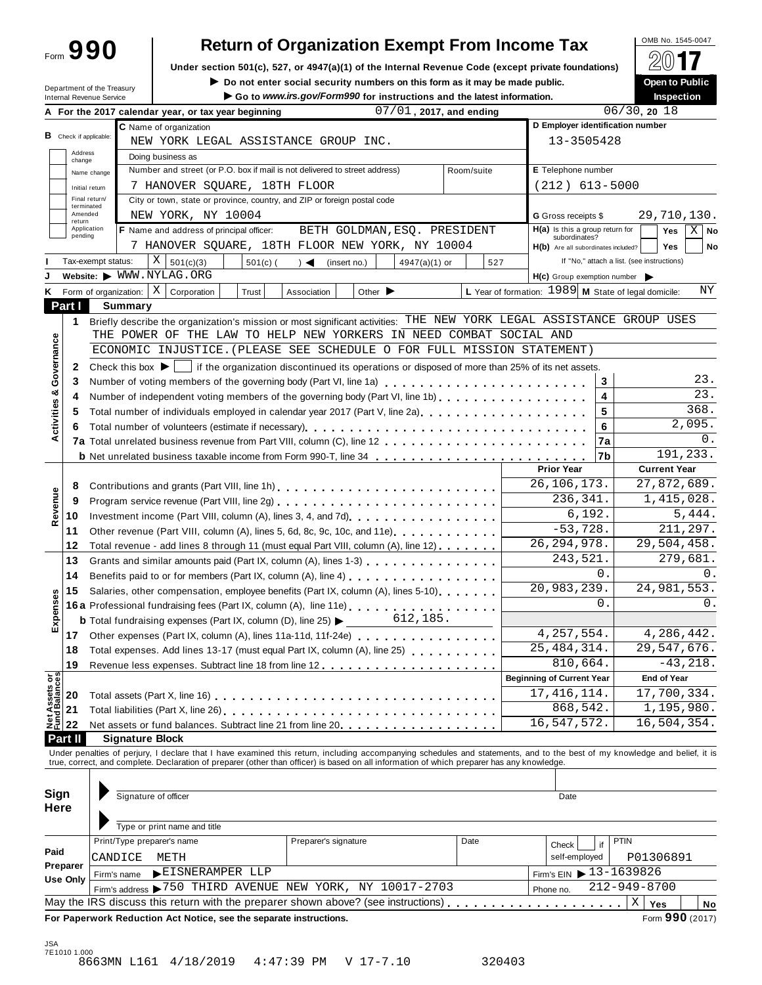Form **990**

# **Return of Organization Exempt From Income Tax**

**Under section 501(c), 527, or 4947(a)(1)** of the Internal Revenue Code (except private foundations) **△**○ △<br>▶ Do not enter social security numbers on this form as it may be made public. ● ● ● ● ● ● ● ● ● ● ● ● ● ● ● ● ● ●

Department of the Treasury

■ **Do** not enter social security numbers on this form as it may be made public. **Open Do Duen to Public Depending D Go** to *www.irs gov/Form990 for instructions and the latest information. Inspectice* Go to www.irs.gov/Form990 for instructions and the latest information.

|                                              |                               | A For the 2017 calendar year, or tax year beginning                                                                                                                                                                                                                                                                      | $\overline{07/01}$ , 2017, and ending             |            |                                                      | 06/30, 2018                                                |
|----------------------------------------------|-------------------------------|--------------------------------------------------------------------------------------------------------------------------------------------------------------------------------------------------------------------------------------------------------------------------------------------------------------------------|---------------------------------------------------|------------|------------------------------------------------------|------------------------------------------------------------|
|                                              |                               | C Name of organization                                                                                                                                                                                                                                                                                                   |                                                   |            | D Employer identification number                     |                                                            |
|                                              | <b>B</b> Check if applicable: | NEW YORK LEGAL ASSISTANCE GROUP INC.                                                                                                                                                                                                                                                                                     |                                                   |            | 13-3505428                                           |                                                            |
|                                              | Address<br>change             | Doing business as                                                                                                                                                                                                                                                                                                        |                                                   |            |                                                      |                                                            |
|                                              | Name change                   | Number and street (or P.O. box if mail is not delivered to street address)                                                                                                                                                                                                                                               |                                                   | Room/suite | E Telephone number                                   |                                                            |
|                                              | Initial return                | 7 HANOVER SOUARE, 18TH FLOOR                                                                                                                                                                                                                                                                                             |                                                   |            | $(212)$ 613-5000                                     |                                                            |
|                                              | Final return/                 | City or town, state or province, country, and ZIP or foreign postal code                                                                                                                                                                                                                                                 |                                                   |            |                                                      |                                                            |
|                                              | terminated<br>Amended         | NEW YORK, NY 10004                                                                                                                                                                                                                                                                                                       |                                                   |            | <b>G</b> Gross receipts \$                           | 29,710,130.                                                |
|                                              | return<br>Application         | <b>F</b> Name and address of principal officer:                                                                                                                                                                                                                                                                          | BETH GOLDMAN, ESO. PRESIDENT                      |            | H(a) Is this a group return for                      | $X \mid$ No<br>Yes                                         |
|                                              | pending                       |                                                                                                                                                                                                                                                                                                                          | 7 HANOVER SQUARE, 18TH FLOOR NEW YORK, NY 10004   |            | subordinates?<br>H(b) Are all subordinates included? | Yes<br>No                                                  |
|                                              |                               | Χ <br>Tax-exempt status:<br>501(c)(3)<br>$501(c)$ (                                                                                                                                                                                                                                                                      | $) \triangleleft$ (insert no.)<br>$4947(a)(1)$ or | 527        |                                                      | If "No," attach a list. (see instructions)                 |
|                                              |                               | Website: WWW.NYLAG.ORG                                                                                                                                                                                                                                                                                                   |                                                   |            | $H(c)$ Group exemption number $\triangleright$       |                                                            |
| ĸ                                            |                               | $\mathbf{X}$<br>Form of organization:<br>Corporation<br>Trust                                                                                                                                                                                                                                                            | Other $\blacktriangleright$<br>Association        |            |                                                      | L Year of formation: 1989 M State of legal domicile:<br>ΝY |
| Part I                                       |                               | <b>Summary</b>                                                                                                                                                                                                                                                                                                           |                                                   |            |                                                      |                                                            |
|                                              | 1                             | Briefly describe the organization's mission or most significant activities: THE NEW YORK LEGAL ASSISTANCE GROUP USES                                                                                                                                                                                                     |                                                   |            |                                                      |                                                            |
|                                              |                               | THE POWER OF THE LAW TO HELP NEW YORKERS IN NEED COMBAT SOCIAL AND                                                                                                                                                                                                                                                       |                                                   |            |                                                      |                                                            |
|                                              |                               | ECONOMIC INJUSTICE. (PLEASE SEE SCHEDULE O FOR FULL MISSION STATEMENT)                                                                                                                                                                                                                                                   |                                                   |            |                                                      |                                                            |
|                                              | 2                             | Check this box $\blacktriangleright$   if the organization discontinued its operations or disposed of more than 25% of its net assets.                                                                                                                                                                                   |                                                   |            |                                                      |                                                            |
| Governance                                   | 3                             | Number of voting members of the governing body (Part VI, line 1a)                                                                                                                                                                                                                                                        |                                                   |            |                                                      | 23.<br>3                                                   |
|                                              | 4                             | Number of independent voting members of the governing body (Part VI, line 1b)                                                                                                                                                                                                                                            |                                                   |            |                                                      | 23.<br>4                                                   |
| Activities &                                 | 5                             | Total number of individuals employed in calendar year 2017 (Part V, line 2a)                                                                                                                                                                                                                                             |                                                   |            |                                                      | 368.<br>5                                                  |
|                                              | 6                             |                                                                                                                                                                                                                                                                                                                          |                                                   |            |                                                      | 2,095.<br>6                                                |
|                                              |                               |                                                                                                                                                                                                                                                                                                                          |                                                   |            |                                                      | 0.<br>7a                                                   |
|                                              |                               |                                                                                                                                                                                                                                                                                                                          |                                                   |            |                                                      | 191,233.<br>7b                                             |
|                                              |                               |                                                                                                                                                                                                                                                                                                                          |                                                   |            | <b>Prior Year</b>                                    | <b>Current Year</b>                                        |
|                                              | 8                             |                                                                                                                                                                                                                                                                                                                          |                                                   |            | 26, 106, 173.                                        | 27,872,689.                                                |
|                                              | 9                             | Contributions and grants (Part VIII, line 1h)                                                                                                                                                                                                                                                                            |                                                   |            | 236,341.                                             | 1,415,028.                                                 |
| Revenue                                      |                               |                                                                                                                                                                                                                                                                                                                          |                                                   |            | 6,192.                                               | 5,444.                                                     |
| 10                                           |                               |                                                                                                                                                                                                                                                                                                                          |                                                   |            | $-53,728.$                                           | 211,297.                                                   |
| 11                                           |                               |                                                                                                                                                                                                                                                                                                                          |                                                   |            | 26, 294, 978.                                        | 29,504,458.                                                |
| 12                                           |                               | Total revenue - add lines 8 through 11 (must equal Part VIII, column (A), line 12)                                                                                                                                                                                                                                       |                                                   |            | 243,521.                                             | 279,681.                                                   |
| 13                                           |                               |                                                                                                                                                                                                                                                                                                                          |                                                   |            |                                                      | 0.<br>0.                                                   |
| 14                                           |                               | Benefits paid to or for members (Part IX, column (A), line 4) [10] cases and the set of the set of the set of the set of the set of the set of the set of the set of the set of the set of the set of the set of the set of th                                                                                           |                                                   |            | 20,983,239.                                          | 24,981,553.                                                |
| 15                                           |                               | Salaries, other compensation, employee benefits (Part IX, column (A), lines 5-10)                                                                                                                                                                                                                                        |                                                   |            |                                                      | 0.<br>0.                                                   |
| Expenses                                     |                               | 16a Professional fundraising fees (Part IX, column (A), line 11e)                                                                                                                                                                                                                                                        |                                                   |            |                                                      |                                                            |
|                                              |                               | <b>b</b> Total fundraising expenses (Part IX, column (D), line 25) $\blacktriangleright$                                                                                                                                                                                                                                 | 612, 185.                                         |            | 4, 257, 554.                                         | 4,286,442.                                                 |
|                                              | 17                            | Other expenses (Part IX, column (A), lines 11a-11d, 11f-24e)                                                                                                                                                                                                                                                             |                                                   |            |                                                      |                                                            |
| 18                                           |                               | Total expenses. Add lines 13-17 (must equal Part IX, column (A), line 25) [11, 11, 11, 11, 11, 11, 11, 11]                                                                                                                                                                                                               |                                                   |            | 25, 484, 314.                                        | 29,547,676.                                                |
| 19                                           |                               |                                                                                                                                                                                                                                                                                                                          |                                                   |            | 810,664.                                             | $-43,218.$                                                 |
|                                              |                               |                                                                                                                                                                                                                                                                                                                          |                                                   |            | <b>Beginning of Current Year</b>                     | <b>End of Year</b>                                         |
| 20                                           |                               |                                                                                                                                                                                                                                                                                                                          |                                                   |            | 17, 416, 114.                                        | 17,700,334.                                                |
| <b>Net Assets or<br/>Fund Balances</b><br>21 |                               | Total liabilities (Part X, line 26) [100] Total liabilities (Part X, line 26)                                                                                                                                                                                                                                            |                                                   |            | 868,542.                                             | 1,195,980.                                                 |
| 22                                           |                               | Net assets or fund balances. Subtract line 21 from line 20                                                                                                                                                                                                                                                               |                                                   |            | 16, 547, 572.                                        | 16,504,354.                                                |
| Part II                                      |                               | <b>Signature Block</b>                                                                                                                                                                                                                                                                                                   |                                                   |            |                                                      |                                                            |
|                                              |                               | Under penalties of perjury, I declare that I have examined this return, including accompanying schedules and statements, and to the best of my knowledge and belief, it is<br>true, correct, and complete. Declaration of preparer (other than officer) is based on all information of which preparer has any knowledge. |                                                   |            |                                                      |                                                            |
|                                              |                               |                                                                                                                                                                                                                                                                                                                          |                                                   |            |                                                      |                                                            |
| Sign                                         |                               |                                                                                                                                                                                                                                                                                                                          |                                                   |            |                                                      |                                                            |
| Here                                         |                               | Signature of officer                                                                                                                                                                                                                                                                                                     |                                                   |            | Date                                                 |                                                            |
|                                              |                               |                                                                                                                                                                                                                                                                                                                          |                                                   |            |                                                      |                                                            |
|                                              |                               | Type or print name and title                                                                                                                                                                                                                                                                                             |                                                   |            |                                                      |                                                            |
| Paid                                         |                               | Print/Type preparer's name                                                                                                                                                                                                                                                                                               | Preparer's signature                              | Date       | Check                                                | <b>PTIN</b><br>if                                          |
| Preparer                                     |                               | CANDICE<br>METH                                                                                                                                                                                                                                                                                                          |                                                   |            | self-employed                                        | P01306891                                                  |
| <b>Use Only</b>                              |                               | EISNERAMPER LLP<br>Firm's name                                                                                                                                                                                                                                                                                           |                                                   |            | Firm's EIN ▶ 13-1639826                              |                                                            |
|                                              |                               | Firm's address >750 THIRD AVENUE NEW YORK, NY 10017-2703                                                                                                                                                                                                                                                                 |                                                   |            | Phone no.                                            | 212-949-8700                                               |
|                                              |                               | May the IRS discuss this return with the preparer shown above? (see instructions)                                                                                                                                                                                                                                        |                                                   |            |                                                      |                                                            |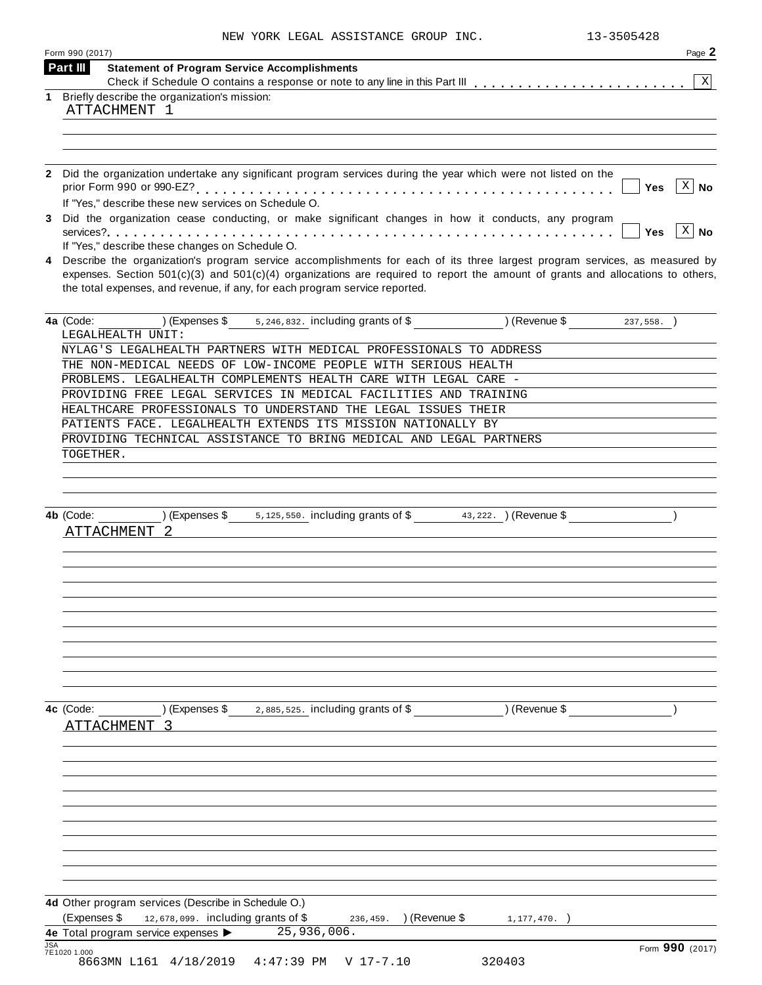|              | 13-3505428<br>NEW YORK LEGAL ASSISTANCE GROUP INC.                                                                                                                                                                                                                                                                                              |
|--------------|-------------------------------------------------------------------------------------------------------------------------------------------------------------------------------------------------------------------------------------------------------------------------------------------------------------------------------------------------|
|              | Form 990 (2017)<br>Page 2<br>Part III<br><b>Statement of Program Service Accomplishments</b>                                                                                                                                                                                                                                                    |
|              | $\mathbf{x}$                                                                                                                                                                                                                                                                                                                                    |
| 1.           | Briefly describe the organization's mission:<br>ATTACHMENT 1                                                                                                                                                                                                                                                                                    |
|              |                                                                                                                                                                                                                                                                                                                                                 |
|              |                                                                                                                                                                                                                                                                                                                                                 |
| $\mathbf{2}$ | Did the organization undertake any significant program services during the year which were not listed on the<br>$\mathbf{X}$                                                                                                                                                                                                                    |
|              | Yes<br>No<br>If "Yes," describe these new services on Schedule O.                                                                                                                                                                                                                                                                               |
|              | 3 Did the organization cease conducting, or make significant changes in how it conducts, any program<br>$X \mid N$ o<br>Yes                                                                                                                                                                                                                     |
|              | If "Yes," describe these changes on Schedule O.                                                                                                                                                                                                                                                                                                 |
| 4            | Describe the organization's program service accomplishments for each of its three largest program services, as measured by<br>expenses. Section $501(c)(3)$ and $501(c)(4)$ organizations are required to report the amount of grants and allocations to others,<br>the total expenses, and revenue, if any, for each program service reported. |
|              |                                                                                                                                                                                                                                                                                                                                                 |
|              | LEGALHEALTH UNIT:                                                                                                                                                                                                                                                                                                                               |
|              | NYLAG'S LEGALHEALTH PARTNERS WITH MEDICAL PROFESSIONALS TO ADDRESS<br>THE NON-MEDICAL NEEDS OF LOW-INCOME PEOPLE WITH SERIOUS HEALTH                                                                                                                                                                                                            |
|              | PROBLEMS. LEGALHEALTH COMPLEMENTS HEALTH CARE WITH LEGAL CARE -                                                                                                                                                                                                                                                                                 |
|              | PROVIDING FREE LEGAL SERVICES IN MEDICAL FACILITIES AND TRAINING                                                                                                                                                                                                                                                                                |
|              | HEALTHCARE PROFESSIONALS TO UNDERSTAND THE LEGAL ISSUES THEIR                                                                                                                                                                                                                                                                                   |
|              | PATIENTS FACE. LEGALHEALTH EXTENDS ITS MISSION NATIONALLY BY                                                                                                                                                                                                                                                                                    |
|              | PROVIDING TECHNICAL ASSISTANCE TO BRING MEDICAL AND LEGAL PARTNERS                                                                                                                                                                                                                                                                              |
|              | TOGETHER.                                                                                                                                                                                                                                                                                                                                       |
|              |                                                                                                                                                                                                                                                                                                                                                 |
|              |                                                                                                                                                                                                                                                                                                                                                 |
|              | (Expenses $\$$ 5, 125, 550. including grants of $\$$ 43, 222. ) (Revenue $\$$ )<br>4b (Code:                                                                                                                                                                                                                                                    |
|              | ATTACHMENT 2                                                                                                                                                                                                                                                                                                                                    |
|              |                                                                                                                                                                                                                                                                                                                                                 |
|              |                                                                                                                                                                                                                                                                                                                                                 |
|              |                                                                                                                                                                                                                                                                                                                                                 |
|              |                                                                                                                                                                                                                                                                                                                                                 |
|              |                                                                                                                                                                                                                                                                                                                                                 |
|              |                                                                                                                                                                                                                                                                                                                                                 |
|              |                                                                                                                                                                                                                                                                                                                                                 |
|              |                                                                                                                                                                                                                                                                                                                                                 |
|              |                                                                                                                                                                                                                                                                                                                                                 |
|              |                                                                                                                                                                                                                                                                                                                                                 |
|              | ) (Expenses \$<br>2,885,525. including grants of \$<br>) (Revenue \$<br>4c (Code:                                                                                                                                                                                                                                                               |
|              | ATTACHMENT 3                                                                                                                                                                                                                                                                                                                                    |
|              |                                                                                                                                                                                                                                                                                                                                                 |
|              |                                                                                                                                                                                                                                                                                                                                                 |
|              |                                                                                                                                                                                                                                                                                                                                                 |
|              |                                                                                                                                                                                                                                                                                                                                                 |
|              |                                                                                                                                                                                                                                                                                                                                                 |
|              |                                                                                                                                                                                                                                                                                                                                                 |
|              |                                                                                                                                                                                                                                                                                                                                                 |
|              |                                                                                                                                                                                                                                                                                                                                                 |
|              |                                                                                                                                                                                                                                                                                                                                                 |
|              |                                                                                                                                                                                                                                                                                                                                                 |
|              | 4d Other program services (Describe in Schedule O.)                                                                                                                                                                                                                                                                                             |
|              | (Expenses \$<br>12,678,099. including grants of \$<br>) (Revenue \$<br>236,459.<br>1,177,470.                                                                                                                                                                                                                                                   |
| <b>JSA</b>   | 25,936,006.<br>4e Total program service expenses >                                                                                                                                                                                                                                                                                              |
|              | Form 990 (2017)<br>7E1020 1.000<br>8663MN L161 4/18/2019<br>$4:47:39$ PM<br>$V$ 17-7.10<br>320403                                                                                                                                                                                                                                               |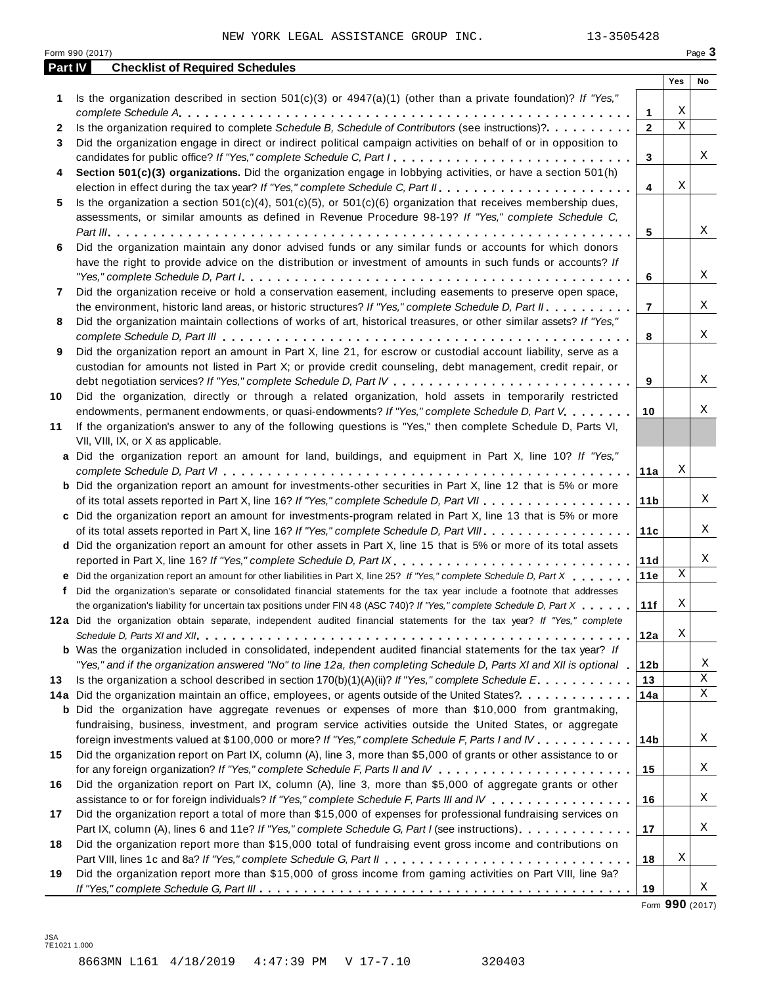|         | Form 990 (2017)                                                                                                                                                                                                                                                                                                                                                                               |                 |                  | Page 3 |
|---------|-----------------------------------------------------------------------------------------------------------------------------------------------------------------------------------------------------------------------------------------------------------------------------------------------------------------------------------------------------------------------------------------------|-----------------|------------------|--------|
| Part IV | <b>Checklist of Required Schedules</b>                                                                                                                                                                                                                                                                                                                                                        |                 |                  |        |
|         |                                                                                                                                                                                                                                                                                                                                                                                               |                 | Yes              | No     |
| 1       | Is the organization described in section $501(c)(3)$ or $4947(a)(1)$ (other than a private foundation)? If "Yes,"                                                                                                                                                                                                                                                                             |                 |                  |        |
|         |                                                                                                                                                                                                                                                                                                                                                                                               | 1               | Χ<br>$\mathbf X$ |        |
| 2       | Is the organization required to complete Schedule B, Schedule of Contributors (see instructions)?.                                                                                                                                                                                                                                                                                            | $\mathbf{2}$    |                  |        |
| 3       | Did the organization engage in direct or indirect political campaign activities on behalf of or in opposition to                                                                                                                                                                                                                                                                              |                 |                  | Χ      |
|         | candidates for public office? If "Yes," complete Schedule C, Part I.                                                                                                                                                                                                                                                                                                                          | 3               |                  |        |
| 4       | Section 501(c)(3) organizations. Did the organization engage in lobbying activities, or have a section 501(h)                                                                                                                                                                                                                                                                                 |                 | Χ                |        |
|         |                                                                                                                                                                                                                                                                                                                                                                                               | 4               |                  |        |
| 5       | Is the organization a section $501(c)(4)$ , $501(c)(5)$ , or $501(c)(6)$ organization that receives membership dues,                                                                                                                                                                                                                                                                          |                 |                  |        |
|         | assessments, or similar amounts as defined in Revenue Procedure 98-19? If "Yes," complete Schedule C,                                                                                                                                                                                                                                                                                         | 5               |                  | Χ      |
| 6       | Did the organization maintain any donor advised funds or any similar funds or accounts for which donors                                                                                                                                                                                                                                                                                       |                 |                  |        |
|         | have the right to provide advice on the distribution or investment of amounts in such funds or accounts? If                                                                                                                                                                                                                                                                                   |                 |                  |        |
|         | "Yes," complete Schedule D, Part $l_1, \ldots, l_k, \ldots, l_k, \ldots, l_k, \ldots, l_k, \ldots, l_k, \ldots, l_k, \ldots, l_k, \ldots, l_k, \ldots, l_k, \ldots, l_k, \ldots, l_k, \ldots, l_k, \ldots, l_k, \ldots, l_k, \ldots, l_k, \ldots, l_k, \ldots, l_k, \ldots, l_k, \ldots, l_k, \ldots, l_k, \ldots, l_k, \ldots, l_k, \ldots, l_k, \ldots, l_k, \ldots, l_k, \ldots, l_k, \ld$ | 6               |                  | Χ      |
| 7       | Did the organization receive or hold a conservation easement, including easements to preserve open space,                                                                                                                                                                                                                                                                                     |                 |                  |        |
|         | the environment, historic land areas, or historic structures? If "Yes," complete Schedule D, Part II.                                                                                                                                                                                                                                                                                         | $\overline{7}$  |                  | Χ      |
| 8       | Did the organization maintain collections of works of art, historical treasures, or other similar assets? If "Yes,"                                                                                                                                                                                                                                                                           |                 |                  |        |
|         |                                                                                                                                                                                                                                                                                                                                                                                               | 8               |                  | Χ      |
| 9       | Did the organization report an amount in Part X, line 21, for escrow or custodial account liability, serve as a                                                                                                                                                                                                                                                                               |                 |                  |        |
|         | custodian for amounts not listed in Part X; or provide credit counseling, debt management, credit repair, or                                                                                                                                                                                                                                                                                  |                 |                  |        |
|         |                                                                                                                                                                                                                                                                                                                                                                                               | 9               |                  | Χ      |
| 10      | Did the organization, directly or through a related organization, hold assets in temporarily restricted                                                                                                                                                                                                                                                                                       |                 |                  |        |
|         | endowments, permanent endowments, or quasi-endowments? If "Yes," complete Schedule D, Part V.                                                                                                                                                                                                                                                                                                 | 10              |                  | X      |
| 11      | If the organization's answer to any of the following questions is "Yes," then complete Schedule D, Parts VI,                                                                                                                                                                                                                                                                                  |                 |                  |        |
|         | VII, VIII, IX, or X as applicable.                                                                                                                                                                                                                                                                                                                                                            |                 |                  |        |
|         | a Did the organization report an amount for land, buildings, and equipment in Part X, line 10? If "Yes,"                                                                                                                                                                                                                                                                                      |                 |                  |        |
|         |                                                                                                                                                                                                                                                                                                                                                                                               | 11a             | Χ                |        |
|         | <b>b</b> Did the organization report an amount for investments-other securities in Part X, line 12 that is 5% or more                                                                                                                                                                                                                                                                         |                 |                  |        |
|         |                                                                                                                                                                                                                                                                                                                                                                                               | 11 <sub>b</sub> |                  | Χ      |
|         | c Did the organization report an amount for investments-program related in Part X, line 13 that is 5% or more                                                                                                                                                                                                                                                                                 |                 |                  |        |
|         |                                                                                                                                                                                                                                                                                                                                                                                               | 11c             |                  | Χ      |
|         | d Did the organization report an amount for other assets in Part X, line 15 that is 5% or more of its total assets                                                                                                                                                                                                                                                                            |                 |                  |        |
|         | reported in Part X, line 16? If "Yes," complete Schedule D, Part IX.                                                                                                                                                                                                                                                                                                                          | 11d             |                  | Χ      |
|         | e Did the organization report an amount for other liabilities in Part X, line 25? If "Yes," complete Schedule D, Part X                                                                                                                                                                                                                                                                       | 11e             | Χ                |        |
|         | f Did the organization's separate or consolidated financial statements for the tax year include a footnote that addresses                                                                                                                                                                                                                                                                     |                 |                  |        |
|         | the organization's liability for uncertain tax positions under FIN 48 (ASC 740)? If "Yes," complete Schedule D, Part X                                                                                                                                                                                                                                                                        | 11f             | Χ                |        |
|         | 12a Did the organization obtain separate, independent audited financial statements for the tax year? If "Yes," complete                                                                                                                                                                                                                                                                       |                 |                  |        |
|         |                                                                                                                                                                                                                                                                                                                                                                                               | 12a             | Χ                |        |
|         | <b>b</b> Was the organization included in consolidated, independent audited financial statements for the tax year? If                                                                                                                                                                                                                                                                         |                 |                  |        |
|         | "Yes," and if the organization answered "No" to line 12a, then completing Schedule D, Parts XI and XII is optional .                                                                                                                                                                                                                                                                          | 12 <sub>b</sub> |                  | Χ      |
| 13      | Is the organization a school described in section $170(b)(1)(A)(ii)?$ If "Yes," complete Schedule E.                                                                                                                                                                                                                                                                                          | 13              |                  | Χ      |
|         | 14a Did the organization maintain an office, employees, or agents outside of the United States?.                                                                                                                                                                                                                                                                                              | 14a             |                  | X      |
|         | <b>b</b> Did the organization have aggregate revenues or expenses of more than \$10,000 from grantmaking,                                                                                                                                                                                                                                                                                     |                 |                  |        |
|         | fundraising, business, investment, and program service activities outside the United States, or aggregate                                                                                                                                                                                                                                                                                     |                 |                  |        |
|         | foreign investments valued at \$100,000 or more? If "Yes," complete Schedule F, Parts I and IV                                                                                                                                                                                                                                                                                                | 14 <sub>b</sub> |                  | Χ      |
| 15      | Did the organization report on Part IX, column (A), line 3, more than \$5,000 of grants or other assistance to or                                                                                                                                                                                                                                                                             |                 |                  |        |
|         |                                                                                                                                                                                                                                                                                                                                                                                               | 15              |                  | Χ      |
| 16      | Did the organization report on Part IX, column (A), line 3, more than \$5,000 of aggregate grants or other                                                                                                                                                                                                                                                                                    |                 |                  |        |
|         | assistance to or for foreign individuals? If "Yes," complete Schedule F, Parts III and IV                                                                                                                                                                                                                                                                                                     | 16              |                  | Χ      |
| 17      | Did the organization report a total of more than \$15,000 of expenses for professional fundraising services on                                                                                                                                                                                                                                                                                |                 |                  |        |
|         | Part IX, column (A), lines 6 and 11e? If "Yes," complete Schedule G, Part I (see instructions)                                                                                                                                                                                                                                                                                                | 17              |                  | Χ      |
| 18      | Did the organization report more than \$15,000 total of fundraising event gross income and contributions on                                                                                                                                                                                                                                                                                   |                 |                  |        |
|         |                                                                                                                                                                                                                                                                                                                                                                                               | 18              | Χ                |        |
| 19      | Did the organization report more than \$15,000 of gross income from gaming activities on Part VIII, line 9a?                                                                                                                                                                                                                                                                                  |                 |                  |        |
|         |                                                                                                                                                                                                                                                                                                                                                                                               | 19              |                  | Χ      |

Form **990** (2017)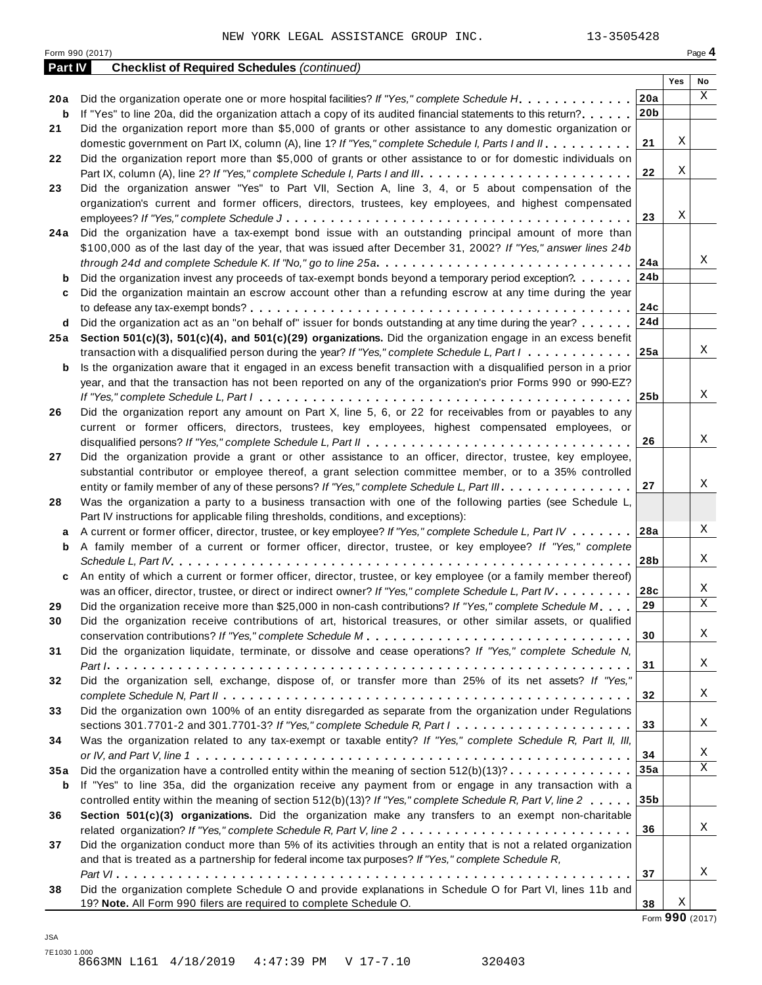|         | Form 990 (2017)                                                                                                                                                                  |                       |     | Page 4      |
|---------|----------------------------------------------------------------------------------------------------------------------------------------------------------------------------------|-----------------------|-----|-------------|
| Part IV | <b>Checklist of Required Schedules (continued)</b>                                                                                                                               |                       |     |             |
|         |                                                                                                                                                                                  |                       | Yes | No          |
| 20 a    | Did the organization operate one or more hospital facilities? If "Yes," complete Schedule H.                                                                                     | 20a                   |     | X           |
| b       | If "Yes" to line 20a, did the organization attach a copy of its audited financial statements to this return?                                                                     | 20b                   |     |             |
| 21      | Did the organization report more than \$5,000 of grants or other assistance to any domestic organization or                                                                      |                       | Χ   |             |
|         | domestic government on Part IX, column (A), line 1? If "Yes," complete Schedule I, Parts I and II.                                                                               | 21                    |     |             |
| 22      | Did the organization report more than \$5,000 of grants or other assistance to or for domestic individuals on                                                                    |                       |     |             |
|         |                                                                                                                                                                                  | 22                    | Χ   |             |
| 23      | Did the organization answer "Yes" to Part VII, Section A, line 3, 4, or 5 about compensation of the                                                                              |                       |     |             |
|         | organization's current and former officers, directors, trustees, key employees, and highest compensated                                                                          |                       |     |             |
|         |                                                                                                                                                                                  | 23                    | Χ   |             |
| 24 a    | Did the organization have a tax-exempt bond issue with an outstanding principal amount of more than                                                                              |                       |     |             |
|         | \$100,000 as of the last day of the year, that was issued after December 31, 2002? If "Yes," answer lines 24b                                                                    |                       |     |             |
|         | through 24d and complete Schedule K. If "No," go to line 25a. $\ldots \ldots \ldots \ldots \ldots \ldots \ldots \ldots \ldots \ldots \ldots$                                     | 24a                   |     | Χ           |
| b       | Did the organization invest any proceeds of tax-exempt bonds beyond a temporary period exception?                                                                                | 24b                   |     |             |
| c       | Did the organization maintain an escrow account other than a refunding escrow at any time during the year                                                                        |                       |     |             |
|         |                                                                                                                                                                                  | 24с                   |     |             |
| d       | Did the organization act as an "on behalf of" issuer for bonds outstanding at any time during the year?                                                                          | 24d                   |     |             |
|         | 25a Section 501(c)(3), 501(c)(4), and 501(c)(29) organizations. Did the organization engage in an excess benefit                                                                 |                       |     |             |
|         | transaction with a disqualified person during the year? If "Yes," complete Schedule L, Part $1, \ldots, \ldots, \ldots$                                                          | 25a                   |     | Χ           |
| b       | Is the organization aware that it engaged in an excess benefit transaction with a disqualified person in a prior                                                                 |                       |     |             |
|         | year, and that the transaction has not been reported on any of the organization's prior Forms 990 or 990-EZ?                                                                     |                       |     |             |
|         |                                                                                                                                                                                  | 25 <sub>b</sub>       |     | Χ           |
| 26      | Did the organization report any amount on Part X, line 5, 6, or 22 for receivables from or payables to any                                                                       |                       |     |             |
|         | current or former officers, directors, trustees, key employees, highest compensated employees, or                                                                                |                       |     |             |
|         |                                                                                                                                                                                  | 26                    |     | Χ           |
| 27      | Did the organization provide a grant or other assistance to an officer, director, trustee, key employee,                                                                         |                       |     |             |
|         | substantial contributor or employee thereof, a grant selection committee member, or to a 35% controlled                                                                          |                       |     |             |
|         | entity or family member of any of these persons? If "Yes," complete Schedule L, Part III.                                                                                        | 27                    |     | Χ           |
| 28      | Was the organization a party to a business transaction with one of the following parties (see Schedule L,                                                                        |                       |     |             |
|         | Part IV instructions for applicable filing thresholds, conditions, and exceptions):                                                                                              |                       |     |             |
| a       | A current or former officer, director, trustee, or key employee? If "Yes," complete Schedule L, Part IV                                                                          | 28a                   |     | Χ           |
| b       | A family member of a current or former officer, director, trustee, or key employee? If "Yes," complete                                                                           |                       |     |             |
|         |                                                                                                                                                                                  | 28b                   |     | Χ           |
| C       | An entity of which a current or former officer, director, trustee, or key employee (or a family member thereof)                                                                  |                       |     |             |
|         | was an officer, director, trustee, or direct or indirect owner? If "Yes," complete Schedule L, Part IV.                                                                          | 28c                   |     | Χ           |
| 29      | Did the organization receive more than \$25,000 in non-cash contributions? If "Yes," complete Schedule M                                                                         | 29                    |     | $\mathbf X$ |
| 30      | Did the organization receive contributions of art, historical treasures, or other similar assets, or qualified                                                                   |                       |     |             |
|         |                                                                                                                                                                                  | 30                    |     | Χ           |
| 31      | Did the organization liquidate, terminate, or dissolve and cease operations? If "Yes," complete Schedule N,                                                                      |                       |     |             |
|         |                                                                                                                                                                                  | 31                    |     | Χ           |
| 32      | Did the organization sell, exchange, dispose of, or transfer more than 25% of its net assets? If "Yes,"                                                                          |                       |     |             |
|         |                                                                                                                                                                                  | 32                    |     | Χ           |
| 33      | Did the organization own 100% of an entity disregarded as separate from the organization under Regulations                                                                       |                       |     |             |
|         | sections 301.7701-2 and 301.7701-3? If "Yes," complete Schedule R, Part $1, \ldots, \ldots, \ldots, \ldots, \ldots, \ldots$                                                      | 33                    |     | Χ           |
| 34      | Was the organization related to any tax-exempt or taxable entity? If "Yes," complete Schedule R, Part II, III,                                                                   |                       |     |             |
|         |                                                                                                                                                                                  | 34                    |     | Χ           |
| 35a     | Did the organization have a controlled entity within the meaning of section $512(b)(13)? \ldots \ldots \ldots \ldots$                                                            | 35a                   |     | X           |
| b       | If "Yes" to line 35a, did the organization receive any payment from or engage in any transaction with a                                                                          |                       |     |             |
|         | controlled entity within the meaning of section 512(b)(13)? If "Yes," complete Schedule R, Part V, line 2                                                                        | 35 <sub>b</sub>       |     |             |
|         | Section 501(c)(3) organizations. Did the organization make any transfers to an exempt non-charitable                                                                             |                       |     |             |
| 36      |                                                                                                                                                                                  | 36                    |     | Χ           |
|         |                                                                                                                                                                                  |                       |     |             |
| 37      | Did the organization conduct more than 5% of its activities through an entity that is not a related organization                                                                 |                       |     |             |
|         | and that is treated as a partnership for federal income tax purposes? If "Yes," complete Schedule R,                                                                             |                       |     | Χ           |
|         |                                                                                                                                                                                  | 37                    |     |             |
|         |                                                                                                                                                                                  |                       |     |             |
| 38      | Did the organization complete Schedule O and provide explanations in Schedule O for Part VI, lines 11b and<br>19? Note. All Form 990 filers are required to complete Schedule O. | 38<br>Form 990 (2017) |     | Χ           |

JSA 7E1030 1.000 8663MN L161 4/18/2019 4:47:39 PM V 17-7.10 320403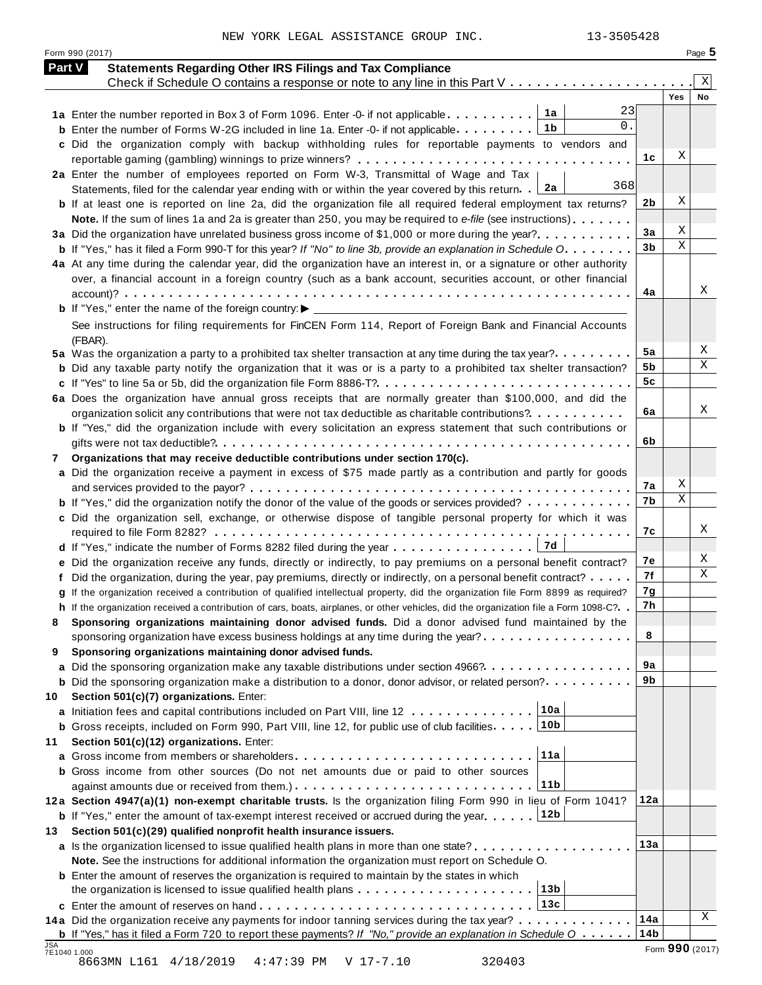NEW YORK LEGAL ASSISTANCE GROUP INC.  $13-3505428$ 

Form <sup>990</sup> (2017) Page **5**

| <b>Part V</b> | <b>Statements Regarding Other IRS Filings and Tax Compliance</b>                                                                                                                                                     |     |            | X  |
|---------------|----------------------------------------------------------------------------------------------------------------------------------------------------------------------------------------------------------------------|-----|------------|----|
|               | Check if Schedule O contains a response or note to any line in this Part $V_1, \ldots, V_k, \ldots, V_k, \ldots$                                                                                                     |     | <b>Yes</b> | No |
|               | 23<br>1a<br>1a Enter the number reported in Box 3 of Form 1096. Enter -0- if not applicable                                                                                                                          |     |            |    |
|               | 0.<br>1b<br><b>b</b> Enter the number of Forms W-2G included in line 1a. Enter -0- if not applicable                                                                                                                 |     |            |    |
|               | c Did the organization comply with backup withholding rules for reportable payments to vendors and                                                                                                                   |     |            |    |
|               |                                                                                                                                                                                                                      | 1c  | Χ          |    |
|               | 2a Enter the number of employees reported on Form W-3, Transmittal of Wage and Tax                                                                                                                                   |     |            |    |
|               | 368<br>2a<br>Statements, filed for the calendar year ending with or within the year covered by this return.                                                                                                          |     |            |    |
|               | <b>b</b> If at least one is reported on line 2a, did the organization file all required federal employment tax returns?                                                                                              | 2b  | Χ          |    |
|               | Note. If the sum of lines 1a and 2a is greater than 250, you may be required to e-file (see instructions)                                                                                                            |     |            |    |
|               | 3a Did the organization have unrelated business gross income of \$1,000 or more during the year?                                                                                                                     | 3a  | Χ          |    |
|               | <b>b</b> If "Yes," has it filed a Form 990-T for this year? If "No" to line 3b, provide an explanation in Schedule O.                                                                                                | 3b  | Χ          |    |
|               | 4a At any time during the calendar year, did the organization have an interest in, or a signature or other authority                                                                                                 |     |            |    |
|               | over, a financial account in a foreign country (such as a bank account, securities account, or other financial                                                                                                       |     |            |    |
|               |                                                                                                                                                                                                                      | 4a  |            | Χ  |
|               |                                                                                                                                                                                                                      |     |            |    |
|               |                                                                                                                                                                                                                      |     |            |    |
|               | See instructions for filing requirements for FinCEN Form 114, Report of Foreign Bank and Financial Accounts                                                                                                          |     |            |    |
|               | (FBAR).<br>5a Was the organization a party to a prohibited tax shelter transaction at any time during the tax year?                                                                                                  | 5a  |            | Χ  |
|               |                                                                                                                                                                                                                      | 5b  |            | Χ  |
|               | <b>b</b> Did any taxable party notify the organization that it was or is a party to a prohibited tax shelter transaction?                                                                                            | 5c  |            |    |
|               |                                                                                                                                                                                                                      |     |            |    |
|               | 6a Does the organization have annual gross receipts that are normally greater than \$100,000, and did the                                                                                                            |     |            | Χ  |
|               |                                                                                                                                                                                                                      | 6a  |            |    |
|               | <b>b</b> If "Yes," did the organization include with every solicitation an express statement that such contributions or                                                                                              |     |            |    |
|               |                                                                                                                                                                                                                      | 6b  |            |    |
| 7             | Organizations that may receive deductible contributions under section 170(c).                                                                                                                                        |     |            |    |
|               | a Did the organization receive a payment in excess of \$75 made partly as a contribution and partly for goods                                                                                                        |     |            |    |
|               |                                                                                                                                                                                                                      | 7a  | Χ          |    |
|               | <b>b</b> If "Yes," did the organization notify the donor of the value of the goods or services provided?                                                                                                             | 7b  | Χ          |    |
|               | c Did the organization sell, exchange, or otherwise dispose of tangible personal property for which it was                                                                                                           |     |            |    |
|               |                                                                                                                                                                                                                      | 7c  |            | Χ  |
|               |                                                                                                                                                                                                                      |     |            |    |
|               | e Did the organization receive any funds, directly or indirectly, to pay premiums on a personal benefit contract?                                                                                                    | 7e  |            | Χ  |
|               | f Did the organization, during the year, pay premiums, directly or indirectly, on a personal benefit contract?                                                                                                       | 7f  |            | Χ  |
|               | g If the organization received a contribution of qualified intellectual property, did the organization file Form 8899 as required?                                                                                   | 7g  |            |    |
|               | h If the organization received a contribution of cars, boats, airplanes, or other vehicles, did the organization file a Form 1098-C?. .                                                                              | 7h  |            |    |
|               | Sponsoring organizations maintaining donor advised funds. Did a donor advised fund maintained by the                                                                                                                 |     |            |    |
|               | sponsoring organization have excess business holdings at any time during the year?                                                                                                                                   | 8   |            |    |
| 9             | Sponsoring organizations maintaining donor advised funds.                                                                                                                                                            |     |            |    |
|               | a Did the sponsoring organization make any taxable distributions under section 4966?                                                                                                                                 | 9а  |            |    |
|               | <b>b</b> Did the sponsoring organization make a distribution to a donor, donor advisor, or related person?                                                                                                           | 9b  |            |    |
| 10            | Section 501(c)(7) organizations. Enter:                                                                                                                                                                              |     |            |    |
|               | 10a<br>a Initiation fees and capital contributions included on Part VIII, line 12                                                                                                                                    |     |            |    |
|               | 10b<br><b>b</b> Gross receipts, included on Form 990, Part VIII, line 12, for public use of club facilities                                                                                                          |     |            |    |
| 11            | Section 501(c)(12) organizations. Enter:                                                                                                                                                                             |     |            |    |
|               | 11a                                                                                                                                                                                                                  |     |            |    |
|               | <b>b</b> Gross income from other sources (Do not net amounts due or paid to other sources                                                                                                                            |     |            |    |
|               | 11b<br>against amounts due or received from them.) $\ldots \ldots \ldots \ldots \ldots \ldots \ldots \ldots \ldots$                                                                                                  |     |            |    |
|               | 12a Section 4947(a)(1) non-exempt charitable trusts. Is the organization filing Form 990 in lieu of Form 1041?                                                                                                       | 12a |            |    |
|               | <b>b</b> If "Yes," enter the amount of tax-exempt interest received or accrued during the year 12b                                                                                                                   |     |            |    |
| 13.           | Section 501(c)(29) qualified nonprofit health insurance issuers.                                                                                                                                                     |     |            |    |
|               | a Is the organization licensed to issue qualified health plans in more than one state?                                                                                                                               | 13a |            |    |
|               |                                                                                                                                                                                                                      |     |            |    |
|               | Note. See the instructions for additional information the organization must report on Schedule O.                                                                                                                    |     |            |    |
|               | <b>b</b> Enter the amount of reserves the organization is required to maintain by the states in which<br>13 <sub>b</sub>                                                                                             |     |            |    |
|               | the organization is licensed to issue qualified health plans $\dots \dots \dots \dots \dots \dots \dots$                                                                                                             |     |            |    |
|               | 13с                                                                                                                                                                                                                  |     |            | Χ  |
|               | 14a Did the organization receive any payments for indoor tanning services during the tax year?<br><b>b</b> If "Yes," has it filed a Form 720 to report these payments? If "No," provide an explanation in Schedule O | 14a |            |    |
|               |                                                                                                                                                                                                                      | 14b |            |    |

8663MN L161 4/18/2019 4:47:39 PM V 17-7.10 320403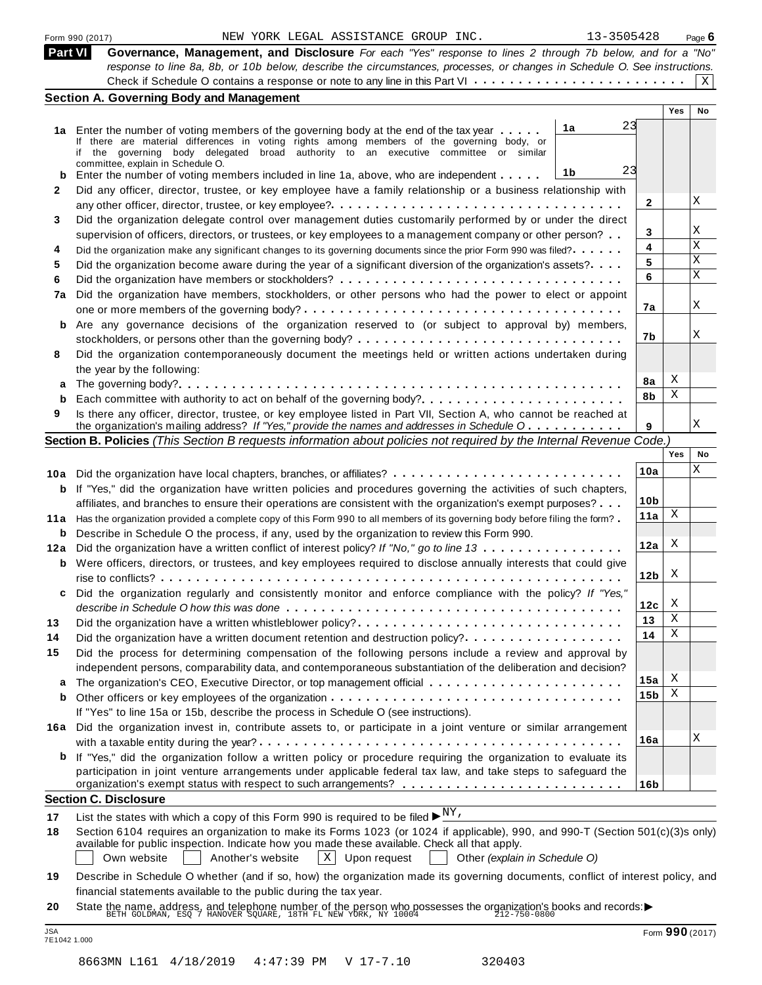|  | Form 990 (2017) |  |
|--|-----------------|--|
|  |                 |  |

Part VI Governance, Management, and Disclosure For each "Yes" response to lines 2 through 7b below, and for a "No" response to line 8a, 8b, or 10b below, describe the circumstances, processes, or changes in Schedule O. See instructions.<br>Check if Schedule O contains a response or note to any line in this Part VI . . . . . . . . . . . .  $\vert x \vert$ 

|      | Section A. Governing Body and Management                                                                                                                                                                                                                                                                                                                                                                                                                                   |                 |     |             |
|------|----------------------------------------------------------------------------------------------------------------------------------------------------------------------------------------------------------------------------------------------------------------------------------------------------------------------------------------------------------------------------------------------------------------------------------------------------------------------------|-----------------|-----|-------------|
|      |                                                                                                                                                                                                                                                                                                                                                                                                                                                                            |                 | Yes | No          |
|      | 1a<br>1a Enter the number of voting members of the governing body at the end of the tax year                                                                                                                                                                                                                                                                                                                                                                               | 23              |     |             |
|      | If there are material differences in voting rights among members of the governing body, or<br>if the governing body delegated broad authority to an executive committee or similar                                                                                                                                                                                                                                                                                         |                 |     |             |
|      | committee, explain in Schedule O.                                                                                                                                                                                                                                                                                                                                                                                                                                          |                 |     |             |
| b    | 1b<br>Enter the number of voting members included in line 1a, above, who are independent                                                                                                                                                                                                                                                                                                                                                                                   | 23              |     |             |
| 2    | Did any officer, director, trustee, or key employee have a family relationship or a business relationship with                                                                                                                                                                                                                                                                                                                                                             |                 |     |             |
|      |                                                                                                                                                                                                                                                                                                                                                                                                                                                                            | 2               |     | Χ           |
| 3    | Did the organization delegate control over management duties customarily performed by or under the direct                                                                                                                                                                                                                                                                                                                                                                  |                 |     |             |
|      | supervision of officers, directors, or trustees, or key employees to a management company or other person?                                                                                                                                                                                                                                                                                                                                                                 | 3               |     | Χ           |
| 4    | Did the organization make any significant changes to its governing documents since the prior Form 990 was filed?                                                                                                                                                                                                                                                                                                                                                           | 4               |     | $\mathbf x$ |
| 5    | Did the organization become aware during the year of a significant diversion of the organization's assets?                                                                                                                                                                                                                                                                                                                                                                 | 5               |     | $\mathbf X$ |
| 6    |                                                                                                                                                                                                                                                                                                                                                                                                                                                                            | 6               |     | X           |
| 7a   | Did the organization have members, stockholders, or other persons who had the power to elect or appoint                                                                                                                                                                                                                                                                                                                                                                    |                 |     |             |
|      |                                                                                                                                                                                                                                                                                                                                                                                                                                                                            | 7a              |     | Х           |
| b    | Are any governance decisions of the organization reserved to (or subject to approval by) members,                                                                                                                                                                                                                                                                                                                                                                          |                 |     |             |
|      | stockholders, or persons other than the governing body? $\dots \dots \dots \dots \dots \dots \dots \dots \dots \dots \dots \dots$                                                                                                                                                                                                                                                                                                                                          | 7b              |     | Χ           |
| 8    | Did the organization contemporaneously document the meetings held or written actions undertaken during                                                                                                                                                                                                                                                                                                                                                                     |                 |     |             |
|      | the year by the following:                                                                                                                                                                                                                                                                                                                                                                                                                                                 |                 |     |             |
| а    |                                                                                                                                                                                                                                                                                                                                                                                                                                                                            | 8а              | X   |             |
| b    |                                                                                                                                                                                                                                                                                                                                                                                                                                                                            | 8b              | Χ   |             |
| 9    | Is there any officer, director, trustee, or key employee listed in Part VII, Section A, who cannot be reached at                                                                                                                                                                                                                                                                                                                                                           |                 |     |             |
|      | the organization's mailing address? If "Yes," provide the names and addresses in Schedule O                                                                                                                                                                                                                                                                                                                                                                                | 9               |     | Χ           |
|      | Section B. Policies (This Section B requests information about policies not required by the Internal Revenue Code.)                                                                                                                                                                                                                                                                                                                                                        |                 |     |             |
|      |                                                                                                                                                                                                                                                                                                                                                                                                                                                                            |                 | Yes | No          |
|      |                                                                                                                                                                                                                                                                                                                                                                                                                                                                            | 10a             |     | Χ           |
| b    | If "Yes," did the organization have written policies and procedures governing the activities of such chapters,                                                                                                                                                                                                                                                                                                                                                             |                 |     |             |
|      | affiliates, and branches to ensure their operations are consistent with the organization's exempt purposes?                                                                                                                                                                                                                                                                                                                                                                | 10 <sub>b</sub> |     |             |
| 11 a | Has the organization provided a complete copy of this Form 990 to all members of its governing body before filing the form?                                                                                                                                                                                                                                                                                                                                                | 11a             | Χ   |             |
| b    | Describe in Schedule O the process, if any, used by the organization to review this Form 990.                                                                                                                                                                                                                                                                                                                                                                              |                 |     |             |
| 12a  | Did the organization have a written conflict of interest policy? If "No," go to line 13                                                                                                                                                                                                                                                                                                                                                                                    | 12a             | Χ   |             |
| b    | Were officers, directors, or trustees, and key employees required to disclose annually interests that could give                                                                                                                                                                                                                                                                                                                                                           |                 |     |             |
|      |                                                                                                                                                                                                                                                                                                                                                                                                                                                                            | 12 <sub>b</sub> | X   |             |
| с    | Did the organization regularly and consistently monitor and enforce compliance with the policy? If "Yes,"                                                                                                                                                                                                                                                                                                                                                                  |                 |     |             |
|      |                                                                                                                                                                                                                                                                                                                                                                                                                                                                            | 12c             | X   |             |
| 13   |                                                                                                                                                                                                                                                                                                                                                                                                                                                                            | 13              | Χ   |             |
| 14   | Did the organization have a written document retention and destruction policy?                                                                                                                                                                                                                                                                                                                                                                                             | 14              | Χ   |             |
| 15   | Did the process for determining compensation of the following persons include a review and approval by                                                                                                                                                                                                                                                                                                                                                                     |                 |     |             |
|      | independent persons, comparability data, and contemporaneous substantiation of the deliberation and decision?                                                                                                                                                                                                                                                                                                                                                              |                 |     |             |
| a    |                                                                                                                                                                                                                                                                                                                                                                                                                                                                            | 15a             | X   |             |
| b    |                                                                                                                                                                                                                                                                                                                                                                                                                                                                            | 15 <sub>b</sub> | Χ   |             |
|      | If "Yes" to line 15a or 15b, describe the process in Schedule O (see instructions).                                                                                                                                                                                                                                                                                                                                                                                        |                 |     |             |
|      |                                                                                                                                                                                                                                                                                                                                                                                                                                                                            |                 |     |             |
|      | 16a Did the organization invest in, contribute assets to, or participate in a joint venture or similar arrangement                                                                                                                                                                                                                                                                                                                                                         | 16a             |     | Χ           |
|      |                                                                                                                                                                                                                                                                                                                                                                                                                                                                            |                 |     |             |
|      | b If "Yes," did the organization follow a written policy or procedure requiring the organization to evaluate its<br>participation in joint venture arrangements under applicable federal tax law, and take steps to safeguard the                                                                                                                                                                                                                                          |                 |     |             |
|      |                                                                                                                                                                                                                                                                                                                                                                                                                                                                            | 16 <sub>b</sub> |     |             |
|      | <b>Section C. Disclosure</b>                                                                                                                                                                                                                                                                                                                                                                                                                                               |                 |     |             |
|      |                                                                                                                                                                                                                                                                                                                                                                                                                                                                            |                 |     |             |
| 17   | List the states with which a copy of this Form 990 is required to be filed $\blacktriangleright^{\underline{NY}}$ .                                                                                                                                                                                                                                                                                                                                                        |                 |     |             |
| 18   | Section 6104 requires an organization to make its Forms 1023 (or 1024 if applicable), 990, and 990-T (Section 501(c)(3)s only)                                                                                                                                                                                                                                                                                                                                             |                 |     |             |
|      | available for public inspection. Indicate how you made these available. Check all that apply.<br>Own website $\begin{vmatrix} 1 & \text{hophatic}} \\ 0 & \text{hophatic}} \end{vmatrix}$ $\begin{vmatrix} x \\ y \end{vmatrix}$ $\begin{vmatrix} 1 \\ 1 \end{vmatrix}$ $\begin{vmatrix} 0 \\ 0 \end{vmatrix}$ $\begin{vmatrix} 0 \\ 1 \end{vmatrix}$ $\begin{vmatrix} 0 \\ 0 \end{vmatrix}$ $\begin{vmatrix} 0 \\ 0 \end{vmatrix}$ $\begin{vmatrix} 0 \\ 0 \end{vmatrix}$ |                 |     |             |

Own website  $\begin{bmatrix} \end{bmatrix}$  Another's website  $\begin{bmatrix} X \\ Y \end{bmatrix}$  Upon request  $\begin{bmatrix} \end{bmatrix}$  Other *(explain in Schedule O)* 

**19** Describe in Schedule O whether (and if so, how) the organization made its governing documents, conflict of interest policy, and financial statements available to the public during the tax year.

**20** nnancial statements available to the public during the tax year.<br>State the name, address, and telephone number of the person who possesses the organization's books and records:<br><sup>BETH GOLDMAN, ESQ 7 HANOVER SQUARE, 18TH FL </sup>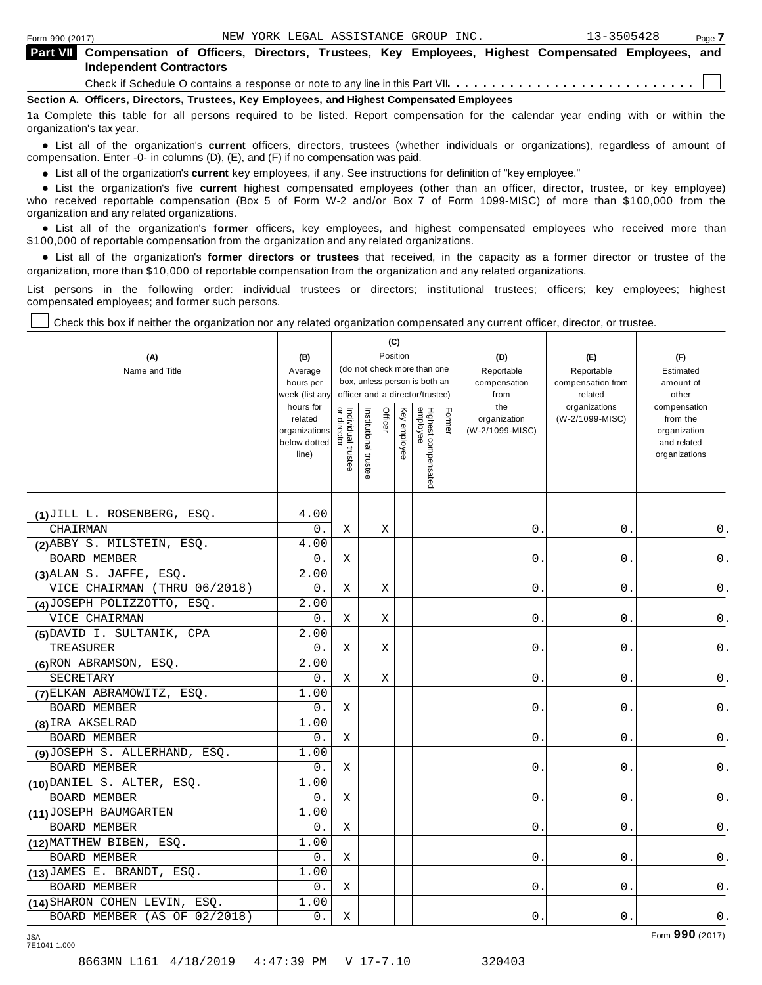| Part VII Compensation of Officers, Directors, Trustees, Key Employees, Highest Compensated Employees, and                                                     |                                |  |  |  |  |  |  |  |  |  |
|---------------------------------------------------------------------------------------------------------------------------------------------------------------|--------------------------------|--|--|--|--|--|--|--|--|--|
|                                                                                                                                                               | <b>Independent Contractors</b> |  |  |  |  |  |  |  |  |  |
|                                                                                                                                                               |                                |  |  |  |  |  |  |  |  |  |
| Section A. Officers, Directors, Trustees, Key Employees, and Highest Compensated Employees                                                                    |                                |  |  |  |  |  |  |  |  |  |
| 1a Complete this table for all persons required to be listed. Report compensation for the calendar year ending with or within the<br>organization's tax year. |                                |  |  |  |  |  |  |  |  |  |

anization's lax year.<br>● List all of the organization's **current** officers, directors, trustees (whether individuals or organizations), regardless of amount of<br>nnensation Enter -0- in columns (D) (E) and (E) if no compensa compensation. Enter -0- in columns (D), (E), and (F) if no compensation was paid.

• List all of the organization's **current** key employees, if any. See instructions for definition of "key employee."<br>● List the experientials five expect highest expressed explores (other than an efficer director of

**Example in the organization's current** key employees, if any. See instructions for definition of key employee.<br>• List the organization's five **current** highest compensated employees (other than an officer, director, trust who received reportable compensation (Box 5 of Form W-2 and/or Box 7 of Form 1099-MISC) of more than \$100,000 from the

organization and any related organizations.<br>• List all of the organization's **former** officers, key employees, and highest compensated employees who received more than<br>\$1.00.000 of reportable componention from the erganiza \$100,000 of reportable compensation from the organization and any related organizations.

% List all of the organization's **former directors or trustees** that received, in the capacity as a former director or trustee of the organization, more than \$10,000 of reportable compensation from the organization and any related organizations.

List persons in the following order: individual trustees or directors; institutional trustees; officers; key employees; highest compensated employees; and former such persons.

┯

Check this box if neither the organization nor any related organization compensated any current officer, director, or trustee.

┰

| (A)<br>Name and Title         | (B)<br>Average<br>hours per                                    |                                     |                       |         | (C)<br>Position | (do not check more than one<br>box, unless person is both an |        | (D)<br>Reportable<br>compensation      | (E)<br>Reportable<br>compensation from | (F)<br>Estimated<br>amount of                                            |
|-------------------------------|----------------------------------------------------------------|-------------------------------------|-----------------------|---------|-----------------|--------------------------------------------------------------|--------|----------------------------------------|----------------------------------------|--------------------------------------------------------------------------|
|                               | week (list any                                                 |                                     |                       |         |                 | officer and a director/trustee)                              |        | from                                   | related                                | other                                                                    |
|                               | hours for<br>related<br>organizations<br>below dotted<br>line) | Individual trustee<br>  or director | Institutional trustee | Officer | Key employee    | Highest compensated<br>employee                              | Former | the<br>organization<br>(W-2/1099-MISC) | organizations<br>(W-2/1099-MISC)       | compensation<br>from the<br>organization<br>and related<br>organizations |
| (1) JILL L. ROSENBERG, ESQ.   | 4.00                                                           |                                     |                       |         |                 |                                                              |        |                                        |                                        |                                                                          |
| CHAIRMAN                      | 0.                                                             | Χ                                   |                       | Χ       |                 |                                                              |        | 0.                                     | 0.                                     | 0.                                                                       |
| (2) ABBY S. MILSTEIN, ESQ.    | 4.00                                                           |                                     |                       |         |                 |                                                              |        |                                        |                                        |                                                                          |
| <b>BOARD MEMBER</b>           | 0.                                                             | X                                   |                       |         |                 |                                                              |        | $0$ .                                  | 0.                                     | $\mathsf 0$ .                                                            |
| (3) ALAN S. JAFFE, ESQ.       | 2.00                                                           |                                     |                       |         |                 |                                                              |        |                                        |                                        |                                                                          |
| VICE CHAIRMAN (THRU 06/2018)  | 0.                                                             | Χ                                   |                       | Χ       |                 |                                                              |        | $0$ .                                  | $0$ .                                  | $\mathsf 0$ .                                                            |
| (4) JOSEPH POLIZZOTTO, ESQ.   | 2.00                                                           |                                     |                       |         |                 |                                                              |        |                                        |                                        |                                                                          |
| VICE CHAIRMAN                 | 0.                                                             | Χ                                   |                       | Χ       |                 |                                                              |        | 0.                                     | 0.                                     | 0.                                                                       |
| (5) DAVID I. SULTANIK, CPA    | 2.00                                                           |                                     |                       |         |                 |                                                              |        |                                        |                                        |                                                                          |
| TREASURER                     | 0.                                                             | Χ                                   |                       | Χ       |                 |                                                              |        | 0.                                     | 0.                                     | $\mathsf 0$ .                                                            |
| (6) RON ABRAMSON, ESQ.        | 2.00                                                           |                                     |                       |         |                 |                                                              |        |                                        |                                        |                                                                          |
| SECRETARY                     | 0.                                                             | Χ                                   |                       | Χ       |                 |                                                              |        | 0.                                     | 0.                                     | 0.                                                                       |
| (7) ELKAN ABRAMOWITZ, ESQ.    | 1.00                                                           |                                     |                       |         |                 |                                                              |        |                                        |                                        |                                                                          |
| <b>BOARD MEMBER</b>           | 0.                                                             | Χ                                   |                       |         |                 |                                                              |        | 0.                                     | 0.                                     | 0.                                                                       |
| (8) IRA AKSELRAD              | 1.00                                                           |                                     |                       |         |                 |                                                              |        |                                        |                                        |                                                                          |
| <b>BOARD MEMBER</b>           | 0.                                                             | Χ                                   |                       |         |                 |                                                              |        | 0.                                     | 0.                                     | 0.                                                                       |
| (9)JOSEPH S. ALLERHAND, ESQ.  | 1.00                                                           |                                     |                       |         |                 |                                                              |        |                                        |                                        |                                                                          |
| BOARD MEMBER                  | 0.                                                             | Χ                                   |                       |         |                 |                                                              |        | 0.                                     | 0.                                     | 0.                                                                       |
| (10) DANIEL S. ALTER, ESQ.    | 1.00                                                           |                                     |                       |         |                 |                                                              |        |                                        |                                        |                                                                          |
| <b>BOARD MEMBER</b>           | 0.                                                             | Χ                                   |                       |         |                 |                                                              |        | 0.                                     | 0.                                     | $0$ .                                                                    |
| (11) JOSEPH BAUMGARTEN        | 1.00                                                           |                                     |                       |         |                 |                                                              |        |                                        |                                        |                                                                          |
| BOARD MEMBER                  | 0.                                                             | Χ                                   |                       |         |                 |                                                              |        | 0.                                     | 0.                                     | 0.                                                                       |
| (12) MATTHEW BIBEN, ESQ.      | 1.00                                                           |                                     |                       |         |                 |                                                              |        |                                        |                                        |                                                                          |
| BOARD MEMBER                  | 0.                                                             | Χ                                   |                       |         |                 |                                                              |        | 0.                                     | 0.                                     | 0.                                                                       |
| (13) JAMES E. BRANDT, ESQ.    | 1.00                                                           |                                     |                       |         |                 |                                                              |        |                                        |                                        |                                                                          |
| BOARD MEMBER                  | 0.                                                             | Χ                                   |                       |         |                 |                                                              |        | 0.                                     | 0.                                     | 0.                                                                       |
| (14) SHARON COHEN LEVIN, ESQ. | 1.00                                                           |                                     |                       |         |                 |                                                              |        |                                        |                                        |                                                                          |
| BOARD MEMBER (AS OF 02/2018)  | 0.                                                             | Χ                                   |                       |         |                 |                                                              |        | 0.                                     | $0$ .                                  | 0.                                                                       |

7E1041 1.000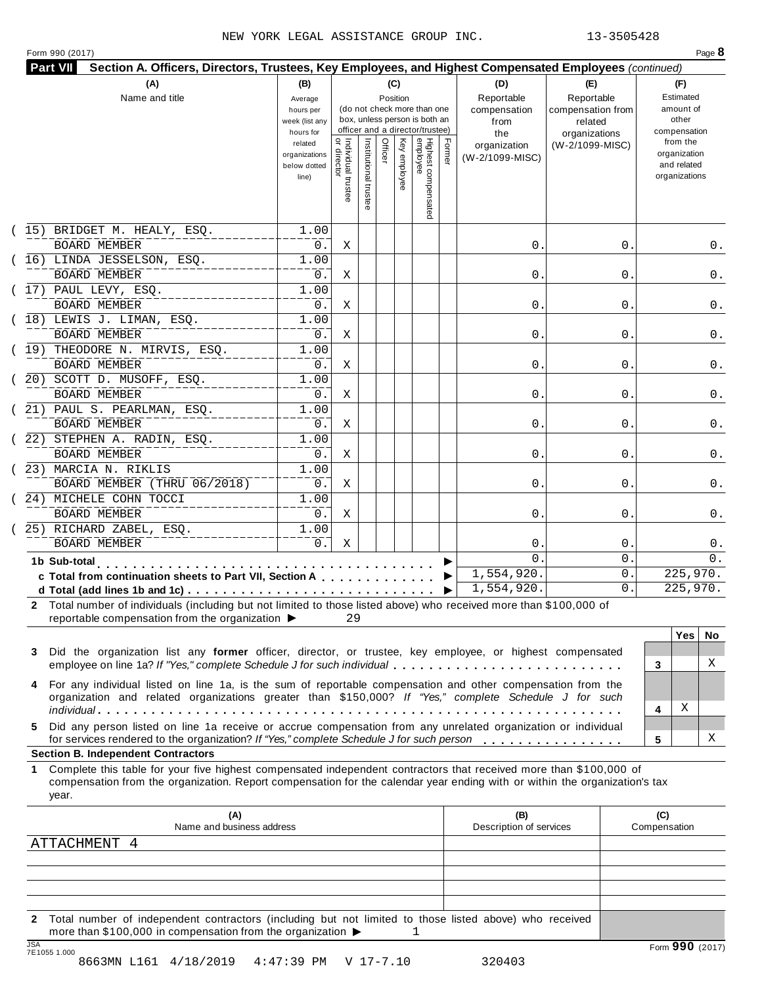| Form 990 (2017) |  |  |  |  |
|-----------------|--|--|--|--|
|-----------------|--|--|--|--|

|            | Name and title                                                                                                                                                                                                                                                                                                                                               | Average<br>hours per<br>week (list any<br>hours for |                                     |                       | (C)     | Position     | (do not check more than one<br>box, unless person is both an<br>officer and a director/trustee) |        | Reportable<br>compensation<br>from<br>the | Reportable<br>compensation from<br>related<br>organizations | Estimated<br>amount of<br>other<br>compensation          |
|------------|--------------------------------------------------------------------------------------------------------------------------------------------------------------------------------------------------------------------------------------------------------------------------------------------------------------------------------------------------------------|-----------------------------------------------------|-------------------------------------|-----------------------|---------|--------------|-------------------------------------------------------------------------------------------------|--------|-------------------------------------------|-------------------------------------------------------------|----------------------------------------------------------|
|            |                                                                                                                                                                                                                                                                                                                                                              | related<br>organizations<br>below dotted<br>line)   | Individual trustee<br>  or director | Institutional trustee | Officer | Key employee | Highest compensated<br>employee                                                                 | Former | organization<br>(W-2/1099-MISC)           | (W-2/1099-MISC)                                             | from the<br>organization<br>and related<br>organizations |
|            | (15) BRIDGET M. HEALY, ESQ.                                                                                                                                                                                                                                                                                                                                  | 1.00                                                |                                     |                       |         |              |                                                                                                 |        |                                           |                                                             |                                                          |
|            | <b>BOARD MEMBER</b><br>(16) LINDA JESSELSON, ESQ.<br><b>BOARD MEMBER</b>                                                                                                                                                                                                                                                                                     | $0$ .<br>1.00<br>0.                                 | Χ<br>Χ                              |                       |         |              |                                                                                                 |        | 0.<br>0.                                  | 0.<br>0                                                     | 0.<br>0.                                                 |
|            | (17) PAUL LEVY, ESQ.<br><b>BOARD MEMBER</b>                                                                                                                                                                                                                                                                                                                  | 1.00<br>0.                                          | Χ                                   |                       |         |              |                                                                                                 |        | 0.                                        | 0                                                           | 0.                                                       |
|            | $(18)$ LEWIS J. LIMAN, ESQ.<br><b>BOARD MEMBER</b>                                                                                                                                                                                                                                                                                                           | 1.00<br>$0$ .                                       | Χ                                   |                       |         |              |                                                                                                 |        | 0.                                        | 0                                                           | 0.                                                       |
|            | (19) THEODORE N. MIRVIS, ESQ.<br><b>BOARD MEMBER</b>                                                                                                                                                                                                                                                                                                         | 1.00<br>$0$ .                                       | Χ                                   |                       |         |              |                                                                                                 |        | 0.                                        | 0                                                           | 0.                                                       |
|            | (20) SCOTT D. MUSOFF, ESQ.<br><b>BOARD MEMBER</b>                                                                                                                                                                                                                                                                                                            | 1.00<br>0.                                          | Χ                                   |                       |         |              |                                                                                                 |        | 0.                                        | 0                                                           | 0.                                                       |
|            | (21) PAUL S. PEARLMAN, ESQ.<br><b>BOARD MEMBER</b>                                                                                                                                                                                                                                                                                                           | 1.00<br>0.                                          | Χ                                   |                       |         |              |                                                                                                 |        | 0.                                        | 0                                                           | 0.                                                       |
|            | (22) STEPHEN A. RADIN, ESQ.<br><b>BOARD MEMBER</b>                                                                                                                                                                                                                                                                                                           | 1.00<br>$0$ .                                       | Χ                                   |                       |         |              |                                                                                                 |        | 0.                                        | 0                                                           | 0.                                                       |
|            | (23) MARCIA N. RIKLIS<br>BOARD MEMBER (THRU 06/2018)                                                                                                                                                                                                                                                                                                         | 1.00<br>$0$ .                                       | Χ                                   |                       |         |              |                                                                                                 |        | 0.                                        | 0                                                           | 0.                                                       |
|            | (24) MICHELE COHN TOCCI<br><b>BOARD MEMBER</b>                                                                                                                                                                                                                                                                                                               | 1.00<br>0.                                          | Χ                                   |                       |         |              |                                                                                                 |        | 0.                                        | 0                                                           | 0.                                                       |
|            | 25) RICHARD ZABEL, ESQ.<br><b>BOARD MEMBER</b>                                                                                                                                                                                                                                                                                                               | 1.00<br>0.                                          | Χ                                   |                       |         |              |                                                                                                 |        | 0                                         | 0                                                           | 0.                                                       |
|            | 1b Sub-total<br>.<br>c Total from continuation sheets to Part VII, Section A                                                                                                                                                                                                                                                                                 |                                                     |                                     |                       |         |              |                                                                                                 | ▶      | 0<br>1,554,920.<br>1,554,920.             | $\mathbf 0$ .<br>0.<br>$\Omega$ .                           | 0.<br>225,970.<br>225,970.                               |
| 3          | 2 Total number of individuals (including but not limited to those listed above) who received more than \$100,000 of<br>reportable compensation from the organization ▶<br>Did the organization list any former officer, director, or trustee, key employee, or highest compensated<br>employee on line 1a? If "Yes," complete Schedule J for such individual |                                                     | 29                                  |                       |         |              |                                                                                                 |        |                                           |                                                             | <b>Yes</b><br>No.<br>X<br>3                              |
| 4<br>5.    | For any individual listed on line 1a, is the sum of reportable compensation and other compensation from the<br>organization and related organizations greater than \$150,000? If "Yes," complete Schedule J for such<br>Did any person listed on line 1a receive or accrue compensation from any unrelated organization or individual                        |                                                     |                                     |                       |         |              |                                                                                                 |        |                                           |                                                             | Χ<br>4                                                   |
|            | for services rendered to the organization? If "Yes," complete Schedule J for such person<br><b>Section B. Independent Contractors</b>                                                                                                                                                                                                                        |                                                     |                                     |                       |         |              |                                                                                                 |        |                                           |                                                             | х<br>5                                                   |
| 1<br>year. | Complete this table for your five highest compensated independent contractors that received more than \$100,000 of<br>compensation from the organization. Report compensation for the calendar year ending with or within the organization's tax                                                                                                             |                                                     |                                     |                       |         |              |                                                                                                 |        |                                           |                                                             |                                                          |
|            | (A)<br>Name and business address                                                                                                                                                                                                                                                                                                                             |                                                     |                                     |                       |         |              |                                                                                                 |        | (B)<br>Description of services            |                                                             | (C)<br>Compensation                                      |
|            | ATTACHMENT 4                                                                                                                                                                                                                                                                                                                                                 |                                                     |                                     |                       |         |              |                                                                                                 |        |                                           |                                                             |                                                          |
|            |                                                                                                                                                                                                                                                                                                                                                              |                                                     |                                     |                       |         |              |                                                                                                 |        |                                           |                                                             |                                                          |

JSA Form **990** (2017) 7E1055 1.000 8663MN L161 4/18/2019 4:47:39 PM V 17-7.10 320403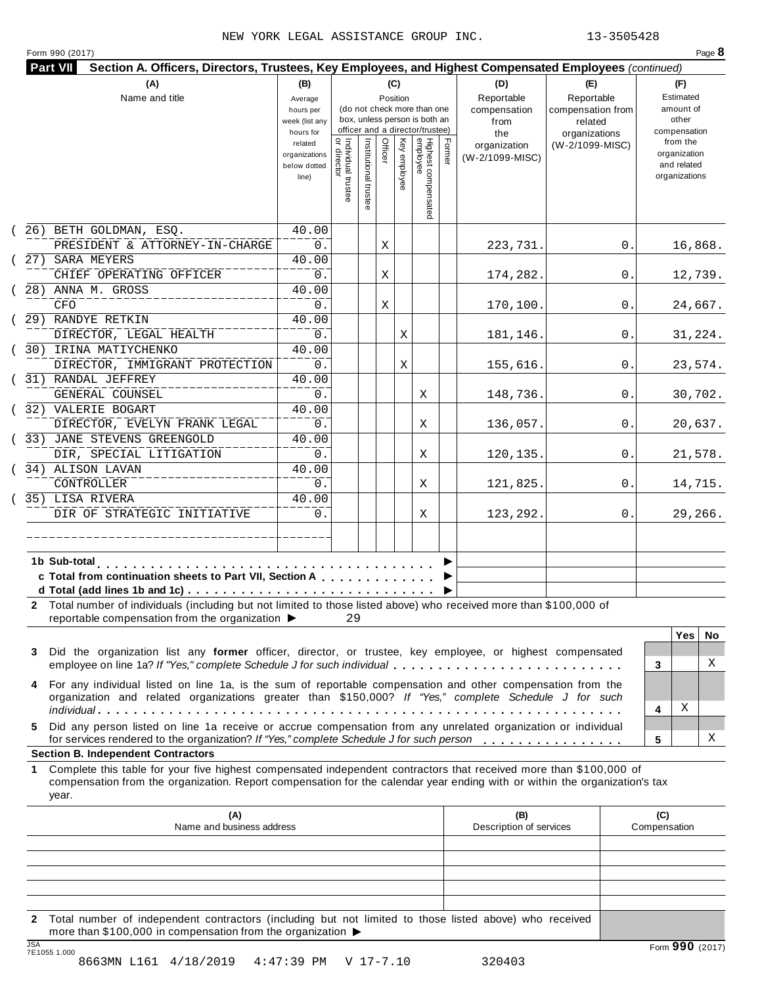| (A)<br>Name and title                                                                                                                                                                                                                                                                           | (B)<br>Average<br>hours per<br>week (list any<br>hours for |                                   |                      | (C)<br>Position |              | (do not check more than one<br>box, unless person is both an<br>officer and a director/trustee) |        | (D)<br>Reportable<br>compensation<br>from<br>the | (E)<br>Reportable<br>compensation from<br>related<br>organizations | (F)<br>Estimated<br>amount of<br>other<br>compensation   |
|-------------------------------------------------------------------------------------------------------------------------------------------------------------------------------------------------------------------------------------------------------------------------------------------------|------------------------------------------------------------|-----------------------------------|----------------------|-----------------|--------------|-------------------------------------------------------------------------------------------------|--------|--------------------------------------------------|--------------------------------------------------------------------|----------------------------------------------------------|
|                                                                                                                                                                                                                                                                                                 | related<br>organizations<br>below dotted<br>line)          | Individual trustee<br>or director | Institutional truste | Officer         | Key employee | Highest compensated<br>employee                                                                 | Former | organization<br>(W-2/1099-MISC)                  | (W-2/1099-MISC)                                                    | from the<br>organization<br>and related<br>organizations |
| (26) BETH GOLDMAN, ESQ.                                                                                                                                                                                                                                                                         | 40.00                                                      |                                   |                      |                 |              |                                                                                                 |        |                                                  |                                                                    |                                                          |
| PRESIDENT & ATTORNEY-IN-CHARGE<br>27) SARA MEYERS                                                                                                                                                                                                                                               | $0$ .<br>40.00                                             |                                   |                      | х               |              |                                                                                                 |        | 223,731.                                         | 0.                                                                 | 16,868.                                                  |
| CHIEF OPERATING OFFICER                                                                                                                                                                                                                                                                         | $0$ .                                                      |                                   |                      | Χ               |              |                                                                                                 |        | 174,282.                                         | 0.                                                                 | 12,739.                                                  |
| 28) ANNA M. GROSS                                                                                                                                                                                                                                                                               | 40.00                                                      |                                   |                      |                 |              |                                                                                                 |        |                                                  |                                                                    |                                                          |
| CFO                                                                                                                                                                                                                                                                                             | 0.                                                         |                                   |                      | Χ               |              |                                                                                                 |        | 170,100.                                         | 0.                                                                 | 24,667.                                                  |
| 29) RANDYE RETKIN                                                                                                                                                                                                                                                                               | 40.00                                                      |                                   |                      |                 |              |                                                                                                 |        |                                                  |                                                                    |                                                          |
| DIRECTOR, LEGAL HEALTH                                                                                                                                                                                                                                                                          | 0.                                                         |                                   |                      |                 | Χ            |                                                                                                 |        | 181,146.                                         | 0.                                                                 | 31,224.                                                  |
| 30) IRINA MATIYCHENKO                                                                                                                                                                                                                                                                           | 40.00                                                      |                                   |                      |                 |              |                                                                                                 |        |                                                  |                                                                    |                                                          |
| DIRECTOR, IMMIGRANT PROTECTION                                                                                                                                                                                                                                                                  | $0$ .                                                      |                                   |                      |                 | Χ            |                                                                                                 |        | 155,616.                                         | 0.                                                                 | 23,574.                                                  |
| 31) RANDAL JEFFREY                                                                                                                                                                                                                                                                              | 40.00                                                      |                                   |                      |                 |              |                                                                                                 |        |                                                  |                                                                    |                                                          |
| GENERAL COUNSEL<br>32) VALERIE BOGART                                                                                                                                                                                                                                                           | 0.<br>40.00                                                |                                   |                      |                 |              | Χ                                                                                               |        | 148,736.                                         | 0.                                                                 | 30,702.                                                  |
| DIRECTOR, EVELYN FRANK LEGAL                                                                                                                                                                                                                                                                    | 0.                                                         |                                   |                      |                 |              | Χ                                                                                               |        | 136,057.                                         | 0.                                                                 | 20,637.                                                  |
| 33) JANE STEVENS GREENGOLD                                                                                                                                                                                                                                                                      | 40.00                                                      |                                   |                      |                 |              |                                                                                                 |        |                                                  |                                                                    |                                                          |
| DIR, SPECIAL LITIGATION                                                                                                                                                                                                                                                                         | 0.                                                         |                                   |                      |                 |              | Χ                                                                                               |        | 120,135.                                         | 0.                                                                 | 21,578.                                                  |
| 34) ALISON LAVAN                                                                                                                                                                                                                                                                                | 40.00                                                      |                                   |                      |                 |              |                                                                                                 |        |                                                  |                                                                    |                                                          |
| CONTROLLER                                                                                                                                                                                                                                                                                      | 0.                                                         |                                   |                      |                 |              | Χ                                                                                               |        | 121,825.                                         | 0.                                                                 | 14,715.                                                  |
| 35) LISA RIVERA                                                                                                                                                                                                                                                                                 | 40.00                                                      |                                   |                      |                 |              |                                                                                                 |        |                                                  |                                                                    |                                                          |
| DIR OF STRATEGIC INITIATIVE                                                                                                                                                                                                                                                                     | 0.                                                         |                                   |                      |                 |              | Χ                                                                                               |        | 123,292.                                         | О.                                                                 | 29,266.                                                  |
|                                                                                                                                                                                                                                                                                                 |                                                            |                                   |                      |                 |              |                                                                                                 |        |                                                  |                                                                    |                                                          |
| c Total from continuation sheets to Part VII, Section A Part Lines Lines Lines                                                                                                                                                                                                                  |                                                            |                                   |                      |                 |              |                                                                                                 |        |                                                  |                                                                    |                                                          |
| d Total (add lines 1b and 1c) $\cdots$ $\cdots$ $\cdots$ $\cdots$ $\cdots$ $\cdots$ $\cdots$ $\cdots$ $\cdots$ $\cdots$ $\cdots$                                                                                                                                                                |                                                            |                                   |                      |                 |              |                                                                                                 |        |                                                  |                                                                    |                                                          |
| 2 Total number of individuals (including but not limited to those listed above) who received more than \$100,000 of<br>reportable compensation from the organization ▶                                                                                                                          |                                                            | 29                                |                      |                 |              |                                                                                                 |        |                                                  |                                                                    |                                                          |
|                                                                                                                                                                                                                                                                                                 |                                                            |                                   |                      |                 |              |                                                                                                 |        |                                                  |                                                                    | Yes<br>No                                                |
| Did the organization list any former officer, director, or trustee, key employee, or highest compensated                                                                                                                                                                                        |                                                            |                                   |                      |                 |              |                                                                                                 |        |                                                  |                                                                    |                                                          |
| employee on line 1a? If "Yes," complete Schedule J for such individual enterpretation on the state of the state                                                                                                                                                                                 |                                                            |                                   |                      |                 |              |                                                                                                 |        |                                                  |                                                                    | Χ<br>3                                                   |
| For any individual listed on line 1a, is the sum of reportable compensation and other compensation from the                                                                                                                                                                                     |                                                            |                                   |                      |                 |              |                                                                                                 |        |                                                  |                                                                    |                                                          |
| organization and related organizations greater than \$150,000? If "Yes," complete Schedule J for such                                                                                                                                                                                           |                                                            |                                   |                      |                 |              |                                                                                                 |        |                                                  |                                                                    |                                                          |
|                                                                                                                                                                                                                                                                                                 |                                                            |                                   |                      |                 |              |                                                                                                 |        |                                                  |                                                                    | Χ<br>4                                                   |
|                                                                                                                                                                                                                                                                                                 |                                                            |                                   |                      |                 |              |                                                                                                 |        |                                                  |                                                                    | Χ                                                        |
| Did any person listed on line 1a receive or accrue compensation from any unrelated organization or individual                                                                                                                                                                                   |                                                            |                                   |                      |                 |              |                                                                                                 |        |                                                  |                                                                    | 5                                                        |
| for services rendered to the organization? If "Yes," complete Schedule J for such person                                                                                                                                                                                                        |                                                            |                                   |                      |                 |              |                                                                                                 |        |                                                  |                                                                    |                                                          |
| <b>Section B. Independent Contractors</b><br>1 Complete this table for your five highest compensated independent contractors that received more than \$100,000 of<br>compensation from the organization. Report compensation for the calendar year ending with or within the organization's tax |                                                            |                                   |                      |                 |              |                                                                                                 |        |                                                  |                                                                    |                                                          |
| year.                                                                                                                                                                                                                                                                                           |                                                            |                                   |                      |                 |              |                                                                                                 |        |                                                  |                                                                    |                                                          |
| (A)<br>Name and business address                                                                                                                                                                                                                                                                |                                                            |                                   |                      |                 |              |                                                                                                 |        | (B)<br>Description of services                   |                                                                    | (C)<br>Compensation                                      |
|                                                                                                                                                                                                                                                                                                 |                                                            |                                   |                      |                 |              |                                                                                                 |        |                                                  |                                                                    |                                                          |
|                                                                                                                                                                                                                                                                                                 |                                                            |                                   |                      |                 |              |                                                                                                 |        |                                                  |                                                                    |                                                          |

JSA Form **990** (2017) 7E1055 1.000 8663MN L161 4/18/2019 4:47:39 PM V 17-7.10 320403

more than \$100,000 in compensation from the organization  $\blacktriangleright$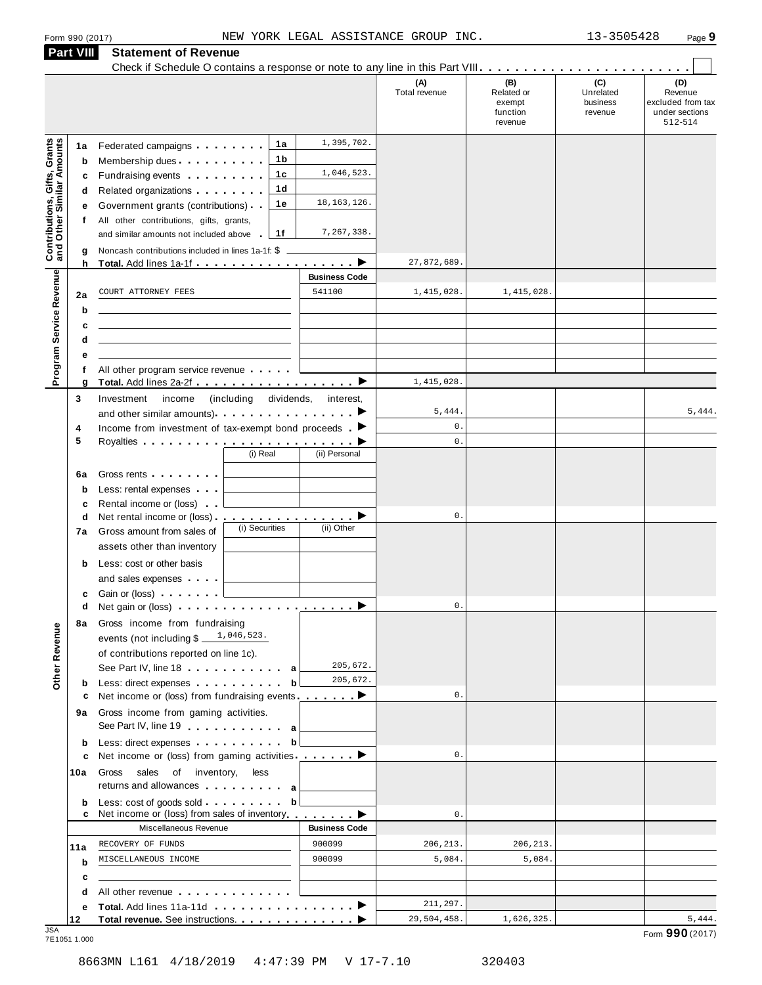|                                                                  | <b>Part VIII</b>                  | <b>Statement of Revenue</b>                                                                                                                                                                                                                                                                                                                                                                        |                                                                                             |                                           |                                                    |                                         |                                                                  |
|------------------------------------------------------------------|-----------------------------------|----------------------------------------------------------------------------------------------------------------------------------------------------------------------------------------------------------------------------------------------------------------------------------------------------------------------------------------------------------------------------------------------------|---------------------------------------------------------------------------------------------|-------------------------------------------|----------------------------------------------------|-----------------------------------------|------------------------------------------------------------------|
|                                                                  |                                   |                                                                                                                                                                                                                                                                                                                                                                                                    |                                                                                             | (A)<br>Total revenue                      | (B)<br>Related or<br>exempt<br>function<br>revenue | (C)<br>Unrelated<br>business<br>revenue | (D)<br>Revenue<br>excluded from tax<br>under sections<br>512-514 |
| <b>Contributions, Gifts, Grants</b><br>and Other Similar Amounts | 1a<br>b<br>c<br>d<br>е<br>f<br>g  | Federated campaigns <b>Federated</b><br>Membership dues<br>Fundraising events <b>Fundraising</b><br>Related organizations <b>contains</b> and <b>Related</b> organizations <b>and relations</b><br>Government grants (contributions)<br>All other contributions, gifts, grants,<br>and similar amounts not included above<br>Noncash contributions included in lines 1a-1f: \$                     | 1,395,702.<br>1a<br>1b<br>1,046,523.<br>1c<br>1d<br>18, 163, 126.<br>1е<br>7,267,338.<br>1f |                                           |                                                    |                                         |                                                                  |
|                                                                  | h                                 | Total. Add lines 1a-1f ▶                                                                                                                                                                                                                                                                                                                                                                           | <b>Business Code</b>                                                                        | 27,872,689                                |                                                    |                                         |                                                                  |
| Program Service Revenue                                          | 2a<br>b<br>с<br>d<br>е            | COURT ATTORNEY FEES                                                                                                                                                                                                                                                                                                                                                                                | 541100                                                                                      | 1,415,028.                                | 1,415,028.                                         |                                         |                                                                  |
|                                                                  | f                                 | All other program service revenue                                                                                                                                                                                                                                                                                                                                                                  |                                                                                             |                                           |                                                    |                                         |                                                                  |
|                                                                  | g                                 |                                                                                                                                                                                                                                                                                                                                                                                                    |                                                                                             | 1,415,028.                                |                                                    |                                         |                                                                  |
|                                                                  | 3<br>4<br>5                       | Investment<br>income<br>and other similar amounts) $\cdots$ $\cdots$ $\cdots$ $\cdots$<br>Income from investment of tax-exempt bond proceeds $\blacksquare$                                                                                                                                                                                                                                        | (including dividends,<br>interest,                                                          | 5,444<br>$\mathsf{0}$ .<br>$\mathbf{0}$ . |                                                    |                                         | 5,444.                                                           |
|                                                                  | 6a<br>$\mathbf b$<br>c<br>d<br>7a | Gross rents <b>Container and Container</b><br>Less: rental expenses<br>Rental income or (loss)<br>Net rental income or (loss) <b>interact in the set of the set of the set of the set of the set of the set of the set of the set of the set of the set of the set of the set of the set of the set of the set of the set of the </b><br>Gross amount from sales of<br>assets other than inventory | (i) Real<br>(ii) Personal<br>(ii) Other<br>(i) Securities                                   | $\mathsf{0}$ .                            |                                                    |                                         |                                                                  |
| Other Revenue                                                    | b<br>с<br>d<br>8а                 | Less: cost or other basis<br>and sales expenses<br>Gain or (loss)<br>Gross income from fundraising<br>$1\,, 046\,, 523\,.$<br>events (not including \$<br>of contributions reported on line 1c).                                                                                                                                                                                                   |                                                                                             | 0.                                        |                                                    |                                         |                                                                  |
|                                                                  |                                   | See Part IV, line 18 <b>a</b>                                                                                                                                                                                                                                                                                                                                                                      | 205,672.                                                                                    |                                           |                                                    |                                         |                                                                  |
|                                                                  | b                                 | Less: direct expenses                                                                                                                                                                                                                                                                                                                                                                              | 205,672.<br>b                                                                               |                                           |                                                    |                                         |                                                                  |
|                                                                  | c<br>9а                           | Net income or (loss) from fundraising events ________ ▶<br>Gross income from gaming activities.<br>See Part IV, line 19 and the Lines of Allen and Allen and Allen and Allen and Allen and Allen and Allen and Allen                                                                                                                                                                               |                                                                                             | 0.                                        |                                                    |                                         |                                                                  |
|                                                                  | b                                 | Less: direct expenses                                                                                                                                                                                                                                                                                                                                                                              | b                                                                                           |                                           |                                                    |                                         |                                                                  |
|                                                                  | c<br>10a                          | Net income or (loss) from gaming activities ________<br>Gross<br>sales of inventory, less<br>returns and allowances and allowances                                                                                                                                                                                                                                                                 |                                                                                             | $\mathbf{0}$ .                            |                                                    |                                         |                                                                  |
|                                                                  | b<br>c                            | Net income or (loss) from sales of inventory                                                                                                                                                                                                                                                                                                                                                       | b                                                                                           | $\mathsf{0}$ .                            |                                                    |                                         |                                                                  |
|                                                                  |                                   | Miscellaneous Revenue                                                                                                                                                                                                                                                                                                                                                                              | <b>Business Code</b>                                                                        |                                           |                                                    |                                         |                                                                  |
|                                                                  | 11a                               | RECOVERY OF FUNDS                                                                                                                                                                                                                                                                                                                                                                                  | 900099                                                                                      | 206, 213.                                 | 206, 213.                                          |                                         |                                                                  |
|                                                                  | b                                 | MISCELLANEOUS INCOME                                                                                                                                                                                                                                                                                                                                                                               | 900099                                                                                      | 5,084.                                    | 5,084.                                             |                                         |                                                                  |
|                                                                  | c                                 |                                                                                                                                                                                                                                                                                                                                                                                                    |                                                                                             |                                           |                                                    |                                         |                                                                  |
|                                                                  | d                                 | All other revenue entering the state of the state of the state of the state of the state of the state of the state of the state of the state of the state of the state of the state of the state of the state of the state of<br>Total. Add lines 11a-11d                                                                                                                                          |                                                                                             | 211,297.                                  |                                                    |                                         |                                                                  |
|                                                                  | е<br>12                           | Total revenue. See instructions.                                                                                                                                                                                                                                                                                                                                                                   |                                                                                             | 29,504,458.                               | 1,626,325.                                         |                                         | 5,444.                                                           |

JSA Form **990** (2017) 7E1051 1.000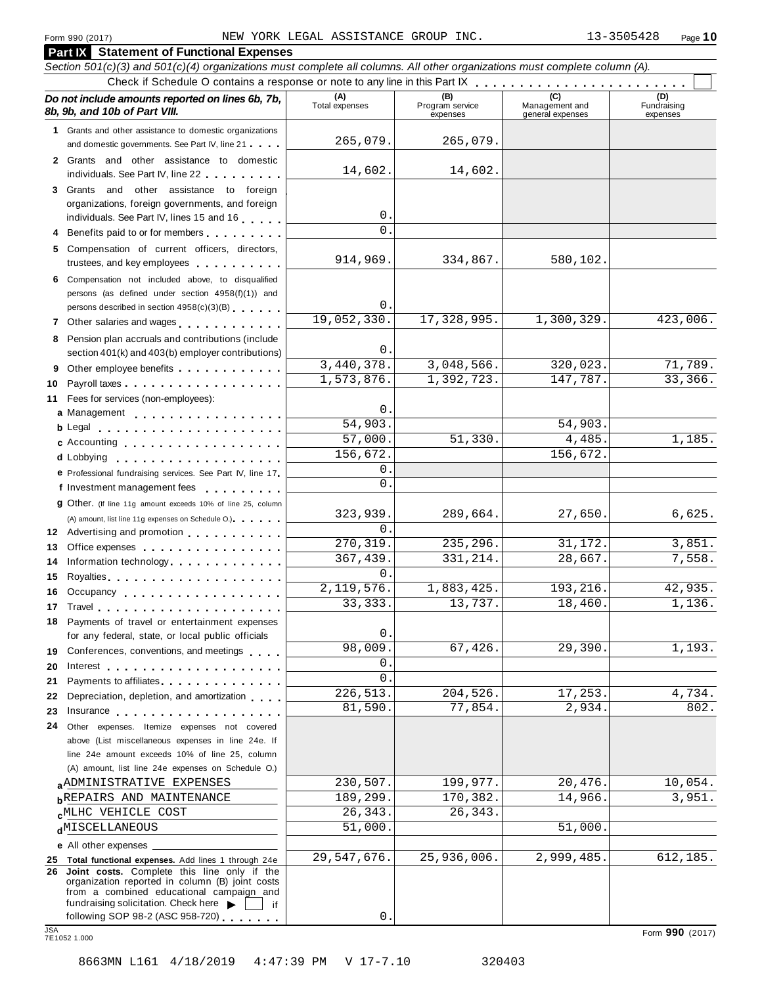### **Part IX Statement of Functional Expenses** Section 501(c)(3) and 501(c)(4) organizations must complete all columns. All other organizations must complete column (A). Check if Schedule <sup>O</sup> contains <sup>a</sup> response or note to any line in this Part IX m m m m m m m m m m m m m m m m m m m m m m m m *Do no* **(A) (B) (C) (D)** *t include amounts reported on lines 6b, 7b,* **8b, 9b, and 10b of Part VIII.** The construction of *B***, 9b, and 10b of Part VIII.** expenses Management and general expenses Fundraising expenses **1** Grants and other assistance to domestic organizations and domestic governments. See Part IV, line 21 **2** Grants and other assistance to domestic individuals. See Part IV, line 22 **3** Grants and other assistance to foreign organizations, foreign governments, and foreign individuals. See Part IV, lines <sup>15</sup> and <sup>16</sup> <sup>m</sup> <sup>m</sup> <sup>m</sup> <sup>m</sup> <sup>m</sup> **<sup>4</sup>** Benefits paid to or for members <sup>m</sup> <sup>m</sup> <sup>m</sup> <sup>m</sup> <sup>m</sup> <sup>m</sup> <sup>m</sup> <sup>m</sup> <sup>m</sup> **5** Compensation of current officers, directors, trustees, and key employees manufacturers. **6** Compensation not included above, to disqualified persons (as defined under section 4958(f)(1)) and persons described in section 4958(c)(3)(B) 7 Other salaries and wages **manual manual metallicity 8** Pension plan accruals and contributions (include section 401(k) and 403(b) employer contributions) **9** Section 401(k) and 403(b) employer contributions<br>9 Other employee benefits 9 Other employee benefits **10** Payroll taxes **10** Fees for services (non-employees): **11** Fees for services (non-employees):<br>**a** Management ..................<br>**b** Legal ......................... Legal m m m m m m m m m m m m m m m m m m m m m c Accounting extension and the set of the set of the set of the set of the set of the set of the set of the set of the set of the set of the set of the set of the set of the set of the set of the set of the set of the set Lobbying **cd** m m m m m m m m m m m m m m m m m m m A) amount, list line 11g expenses on Schedule O.<br>**12** Advertising and promotion **manual 13** Office expenses **13** Office expenses<br>**14** Information technology **manual manual metal of the metal of the metal of the metal of 15** Royalties m m m m m m m m m m m m m m m m m m m m **16** Occupancy m m m m m m m m m m m m m m m m m m **16** Occupancy ...................<br>17 Travel..................... **18** Payments of travel or entertainment expenses | for any federal, state, or local public officials<br>**19** Conferences, conventions, and meetings **19** Conferences, conventions, and meetings **endorship.**<br>20 Interest **manual meeting 21** Payments to affiliates 21 Payments to affiliates<br>22 Depreciation, depletion, and amortization <sub>1</sub> , , , **22** Depreciation, depletion, and amortization **manufation**<br>23 Insurance 24 Other expenses. Itemize expenses not covered **d** Lobbying **come and the services.** See Part IV, line 17 **P** Professional fundraising services. See Part IV, line 17<br>**f** Investment management fees **g** Other. (If line 11g amount exceeds 10% of line 25, column m m m m m m m m m m m m m m m m m m (A) amount, list line 11g expenses on Schedule O.) m m m m m m m m m m m m m m m m for any federal, state, or local public officials m m m m m m m m m m m m m m above (List miscellaneous expenses in line 24e. If line 24e amount exceeds 10% of line 25, column (A) amount, list line 24e expenses on Schedule O.) **a** <u>ADMINISTRATIVE EXPENSES</u> 230,507. 199,977. 20,476. 10,054.<br>**b** REPAIRS AND MAINTENANCE 189,299. 170,382. 14,966. 3,951. **c**<sup>MLHC</sup> VEHICLE COST 20,343. 20,343. 20,343. **e** All other expenses **25 Total functional expenses.** Add lines 1 through 24e **26 Joint costs.** Complete this line only if the organization reported in column (B) joint costs from a combined educational campaign and fundraising solicitation. Check here  $\triangleright$   $\Box$  if following SOP 98-2 (ASC 958-720) following SOP 98-2 (ASC 958-720) <sup>m</sup> <sup>m</sup> <sup>m</sup> <sup>m</sup> <sup>m</sup> <sup>m</sup> <sup>m</sup> JSA Form **<sup>990</sup>** (2017) 7E1052 1.000 265,079. 265,079. 14,602. 14,602. 0.  $\mathbf{0}$ . 914,969. 334,867. 580,102. 0. 19,052,330. 17,328,995. 1,300,329. 423,006.  $\Omega$ 3,440,378. 3,048,566. 320,023. 71,789. 1,573,876. 1,392,723. 147,787. 33,366.  $\Omega$ 54,903. 54,903. 57,000. 51,330. 4,485. 1,185. 156,672. 156,672. 0.  $\overline{0}$ 323,939. 289,664. 27,650. 6,625.  $\Omega$ 270,319. 235,296. 31,172. 3,851. 367,439. 331,214. 28,667. 7,558. 0. 2,119,576. 1,883,425. 193,216. 42,935. 33,333. 13,737. 18,460. 1,136. 0. 98,009. 67,426. 29,390. 1,193. 0.  $\overline{0}$ . 226,513. 204,526. 17,253. 4,734. 81,590. 77,854. 2,934. 802. **ADMINISTRATIVE EXPENSES** 230,507. 199,977. 20,476. 10,054.  $\epsilon$ MLHC VEHICLE COST 26,343. 26,343. 29,547,676. 25,936,006. 2,999,485. 612,185.

0.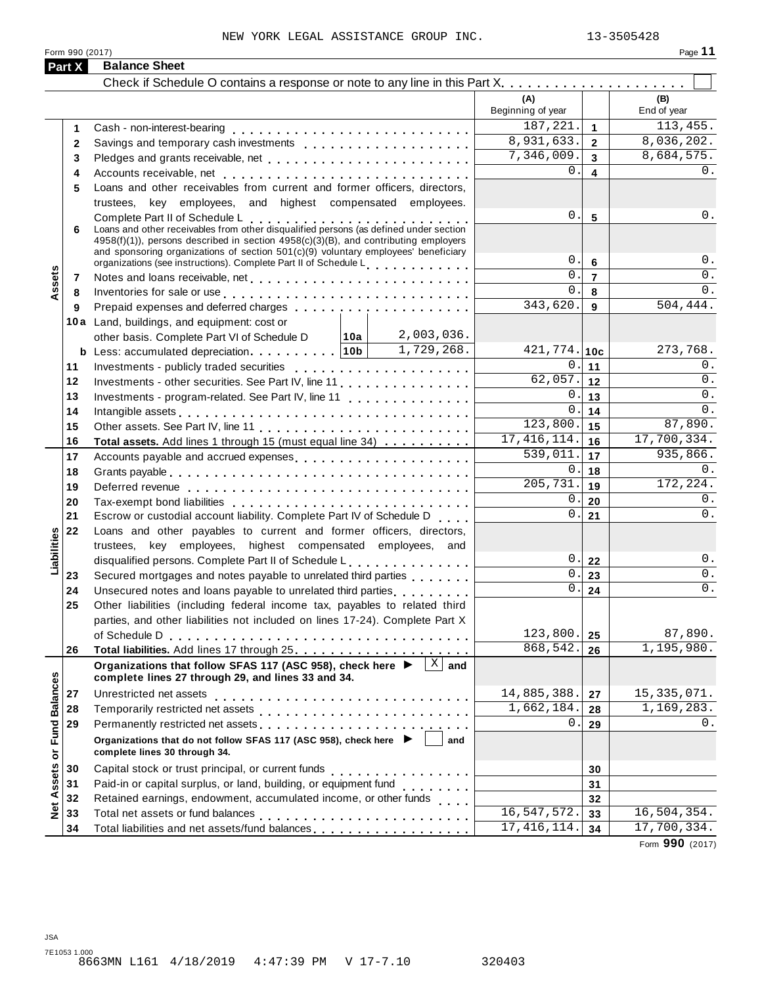| Form 990 (2017) | Page |
|-----------------|------|
|                 |      |

**Part X Balance Sheet** Check if Schedule O contains a response or note to any line in this Part X. m m m m m m m m m m m m m m m m m **(A)** Beginning of year **(B)** End of year Cash - non-interest-bearing **1** m m m m m m m m m m m m m m m m m m m m m m m m m m m Savings and temporary cash investments m m m m m m m m m m m m m m m m m m m Savings and temporary cash investments<br>Pledges and grants receivable, net<br>. Accounts receivable, net **1 2 3 4 5 6 7 8 9 10c 11 12 13 14 15 16 17**  $0.18$  0. **19 20 21 22 23 24 25 26 2 3 4** 5 Loans and other receivables from current and former officers, directors, Pledges and grants receivable, net<br>Accounts receivable, net<br>Loans and other receivables from current and former officers, directors, trustees, key employees, and highest compensated employees. trustees, key employees, and highest compensated employees.<br>**6** Loans and other receivables from other disqualified persons (as defined under section 4958(f)(1)), persons described in section 4958(c)(3)(B), and contributing employers and sponsoring organizations of section 501(c)(9) voluntary employees' beneficiary organizations (see instructions). Complete Part II of Schedule L and sponsoring organizations of section 501(c)(9) voluntary employees' beneficiary<br>organizations (see instructions). Complete Part II of Schedule L<br>Notes and loans receivable, net 7 Notes and loans receivable, net<br>8 Inventories for sale or use<br><u>Fig.es and the metal</u> Prepaid expenses and deferred charges **7 9** Notes and loans receivable, net  $\dots \dots \dots \dots \dots \dots \dots \dots \dots$ m m m m m m m m m m m m m m m m m m m m **10a 10b <sup>b</sup>** Less: accumulated depreciation m m m m m m m m m m **10 a** Land, buildings, and equipment: cost or **11 12 13 14 15 16** other basis. Complete Part VI of Schedule D Less: accumulated depreciation.<br>Investments - publicly traded securities<br>metal metal material metal metal metal metal metal metal metal metal metal metal metal metal metal metal metal Investments - publicly traded securities<br>Investments - other securities. See Part IV, line 11<br>. Investments - other securities. See Part IV, line 11<br>Investments - program-related. See Part IV, line 11<br>. Intangible assets m m m m m m m m m m m m m m m m m m m m m m m m m m m m m m m m m Other assets. See Part IV, line 11 m m m m m m m m m m m m m m m m m m m m m m m m **Total assets.** Add lines 1 through 15 (must equal line 34) m m m m m m m m m m **Assets 17 18 19 20** Accounts payable and accrued expenses m m m m m m m m m m m m m m m m m m m m Grants payable m m m m m m m m m m m m m m m m m m m m m m m m m m m m m m m m m m Deferred revenue m m m m m m m m m m m m m m m m m m m m m m m m m m m m m m m m Tax-exempt bond liabilities 19 Deferred revenue<br>20 Tax-exempt bond liabilities ............................<br>21 Escrow or custodial account liability. Complete Part IV of Schedule D <sub>....</sub> 22 Loans and other payables to current and former officers, directors, **23 24** 25 Other liabilities (including federal income tax, payables to related third **26** Escrow or custodial account liability. Complete Part IV of Schedule D trustees, key employees, highest compensated employees, and disqualified persons. Complete Part II of Schedule <sup>L</sup> m m m m m m m m m m m m m m Secured mortgages and notes payable to unrelated third parties Unsecured notes and loans payable to unrelated third parties Secured mortgages and notes payable to unrelated third parties Secured mortgages and notes payable to unrelated third parties<br>Unsecured notes and loans payable to unrelated third parties<br>Other liabilities (including federal income tax, payables to related third parties, and other liabilities not included on lines 17-24). Complete Part X of Schedule <sup>D</sup> m m m m m m m m m m m m m m m m m m m m m m m m m m m m m m m m m m **CORGIST BEST AND THEST IT INCOUGHT 25.**<br> **Organizations that follow SFAS 117 (ASC 958), check here ▶**  $\boxed{X}$  **and Total liabilities.** Add lines 17 through 25 mm m m m m m m **Liabilities complete lines 27 through 29, and lines 33 and 34. 27 28 29 30 31 32 33 34** <table>\n<tbody>\n<tr>\n<td>20</td>\n<td>complete lines 27 through 29, and lines 33 and 34.</td>\n</tr>\n<tr>\n<td>27</td>\n<td>Unrestricted net assets</td>\n</tr>\n<tr>\n<td>28</td>\n<td>Temporarily restricted net assets</td>\n</tr>\n<tr>\n<td>29</td>\n<td>Permanently restricted net assets</td>\n</tr>\n<tr>\n<td>29</td>\n<td>Permanently restricted net assets</td>\n</tr>\n<tr>\n<td>Organizations that do not follow SFAST 117 (ASC 958), check here</td>\n</tr>\n<tr>\n<td>20</td>\n<td>Organizations that do not follow SFAST 117 (ASC 958), check here onrestricted net assets<br>Temporarily restricted net assets<br>P Permanently restricted net assets<br>
in the set of the set of the set of the set of the set of the set of the set of the set of the set of the set of the set of the set of the set of the set of the set of the set of the set Capital stock or trust principal, or current funds m m m m m m m m m m m m m m m m Capital stock of trust principal, or current lunds<br>Paid-in or capital surplus, or land, building, or equipment fund Paid-in or capital surplus, or land, building, or equipment lund<br>Retained earnings, endowment, accumulated income, or other funds Retained earnings, endowment, accumulated income, or other lunds<br>Total net assets or fund balances<br>The distance Total liabilities and net assets/fund balances **27 28 29 30 31 32 33 34** I **Organizations that do not follow SFAS 117 (ASC 958), check here** m m m m m m m m m m m m m m m m m m m m m m m m **complete lines 30 through 34. and** Form **990** (2017)  $187,221.$  113,455.  $8,931,633.$   $\prime$  8,036,202.  $7,346,009.$  3 8,684,575.  $0.4$  0.  $0.\vert 5 \vert 0.$  $0.\vert$  6  $\vert$  0.  $0.7$  0.  $0. \ 8 \ 0.$  $343,620$ .  $9$  504,444. 2,003,036.  $1,729,268.$  421, 774. 10c 273, 768.  $0.111$  0.  $62,057.$  12  $\boxed{ }$  0.  $0.13$  0.  $0.14$  0.  $123,800.$  15 87,890.  $17,416,114.$  16 17,700,334.  $539,011.$  17 935,866.  $205,731.$  19 172, 224.  $0.20$  0.  $0.21$  0.  $0.22$  0.  $\overline{0.123}$  0.  $0.24$  0.  $123,800.$   $25$   $87,890.$  $868,542.$  26 1,195,980.  $14,885,388.$  27 | 15,335,071.  $1,662,184.$  | 28 | 1,169,283.  $0.29$  0.  $16,547,572.$  33 16,504,354.  $17,416,114.$  34 17,700,334.

JSA 7E1053 1.000 8663MN L161 4/18/2019 4:47:39 PM V 17-7.10 320403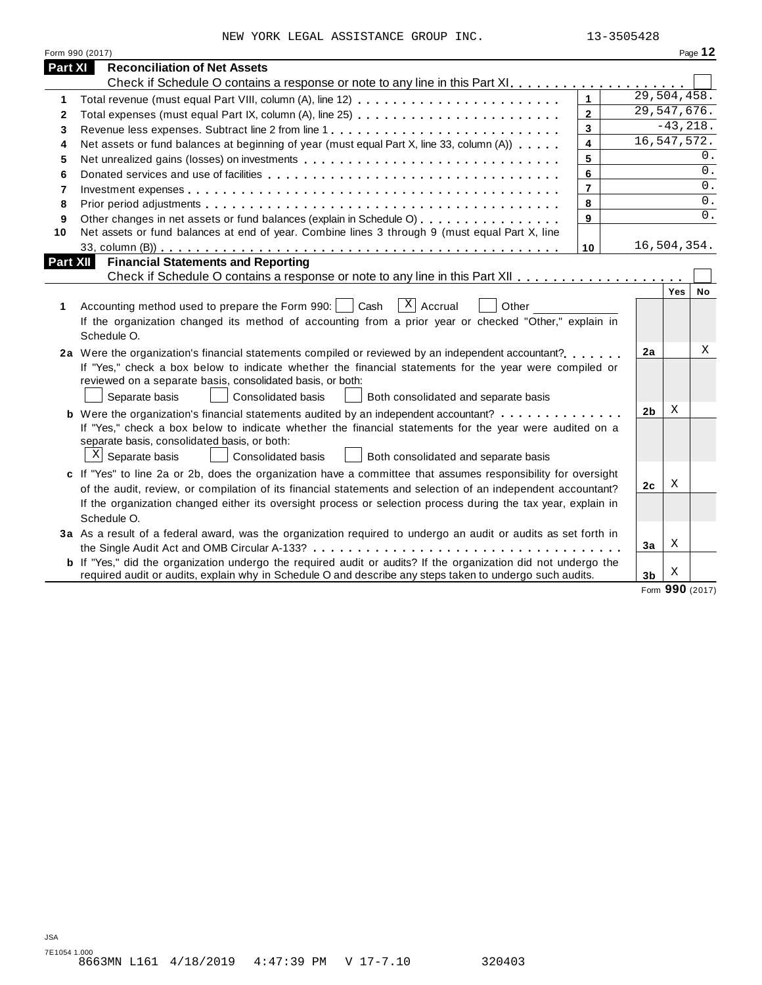NEW YORK LEGAL ASSISTANCE GROUP INC.  $13-3505428$ 

|          | Form 990 (2017)                                                                                                                                                                                                                                                                                                                                                   |                         |                |                           | Page 12 |
|----------|-------------------------------------------------------------------------------------------------------------------------------------------------------------------------------------------------------------------------------------------------------------------------------------------------------------------------------------------------------------------|-------------------------|----------------|---------------------------|---------|
| Part XI  | <b>Reconciliation of Net Assets</b>                                                                                                                                                                                                                                                                                                                               |                         |                |                           |         |
|          |                                                                                                                                                                                                                                                                                                                                                                   |                         |                |                           |         |
| 1        | Total revenue (must equal Part VIII, column (A), line 12)                                                                                                                                                                                                                                                                                                         | $\mathbf{1}$            |                | $\overline{29,504,458}$ . |         |
| 2        | Total expenses (must equal Part IX, column (A), line 25)                                                                                                                                                                                                                                                                                                          | $\overline{2}$          |                | 29,547,676.               |         |
| 3        |                                                                                                                                                                                                                                                                                                                                                                   | $\overline{3}$          |                | $-43, 218.$               |         |
| 4        | Net assets or fund balances at beginning of year (must equal Part X, line 33, column (A))                                                                                                                                                                                                                                                                         | $\overline{\mathbf{4}}$ |                | 16,547,572.               |         |
| 5        | Net unrealized gains (losses) on investments                                                                                                                                                                                                                                                                                                                      | 5                       |                |                           | 0.      |
| 6        |                                                                                                                                                                                                                                                                                                                                                                   | 6                       |                |                           | 0.      |
| 7        |                                                                                                                                                                                                                                                                                                                                                                   | $\overline{7}$          |                |                           | 0.      |
| 8        |                                                                                                                                                                                                                                                                                                                                                                   | 8                       |                |                           | 0.      |
| 9        | Other changes in net assets or fund balances (explain in Schedule O)                                                                                                                                                                                                                                                                                              | 9                       |                |                           | 0.      |
| 10       | Net assets or fund balances at end of year. Combine lines 3 through 9 (must equal Part X, line                                                                                                                                                                                                                                                                    |                         |                |                           |         |
|          |                                                                                                                                                                                                                                                                                                                                                                   | 10                      |                | 16,504,354.               |         |
| Part XII | <b>Financial Statements and Reporting</b>                                                                                                                                                                                                                                                                                                                         |                         |                |                           |         |
|          |                                                                                                                                                                                                                                                                                                                                                                   |                         |                |                           |         |
| 1        | $ X $ Accrual<br>Accounting method used to prepare the Form 990:     Cash<br>Other<br>If the organization changed its method of accounting from a prior year or checked "Other," explain in<br>Schedule O.                                                                                                                                                        |                         |                | Yes                       | No      |
|          | 2a Were the organization's financial statements compiled or reviewed by an independent accountant?<br>If "Yes," check a box below to indicate whether the financial statements for the year were compiled or<br>reviewed on a separate basis, consolidated basis, or both:<br>Separate basis<br><b>Consolidated basis</b><br>Both consolidated and separate basis |                         | 2a             |                           | Χ       |
|          | <b>b</b> Were the organization's financial statements audited by an independent accountant?                                                                                                                                                                                                                                                                       |                         | 2b             | X                         |         |
|          | If "Yes," check a box below to indicate whether the financial statements for the year were audited on a<br>separate basis, consolidated basis, or both:<br>$\mathbb{X}$ Separate basis<br>Consolidated basis<br>Both consolidated and separate basis                                                                                                              |                         |                |                           |         |
|          | c If "Yes" to line 2a or 2b, does the organization have a committee that assumes responsibility for oversight                                                                                                                                                                                                                                                     |                         |                |                           |         |
|          | of the audit, review, or compilation of its financial statements and selection of an independent accountant?                                                                                                                                                                                                                                                      |                         | 2c             | Χ                         |         |
|          | If the organization changed either its oversight process or selection process during the tax year, explain in<br>Schedule O.                                                                                                                                                                                                                                      |                         |                |                           |         |
|          | 3a As a result of a federal award, was the organization required to undergo an audit or audits as set forth in                                                                                                                                                                                                                                                    |                         |                |                           |         |
|          |                                                                                                                                                                                                                                                                                                                                                                   |                         | 3a             | X                         |         |
|          | <b>b</b> If "Yes," did the organization undergo the required audit or audits? If the organization did not undergo the<br>required audit or audits, explain why in Schedule O and describe any steps taken to undergo such audits.                                                                                                                                 |                         | 3 <sub>b</sub> | Χ                         |         |

Form **990** (2017)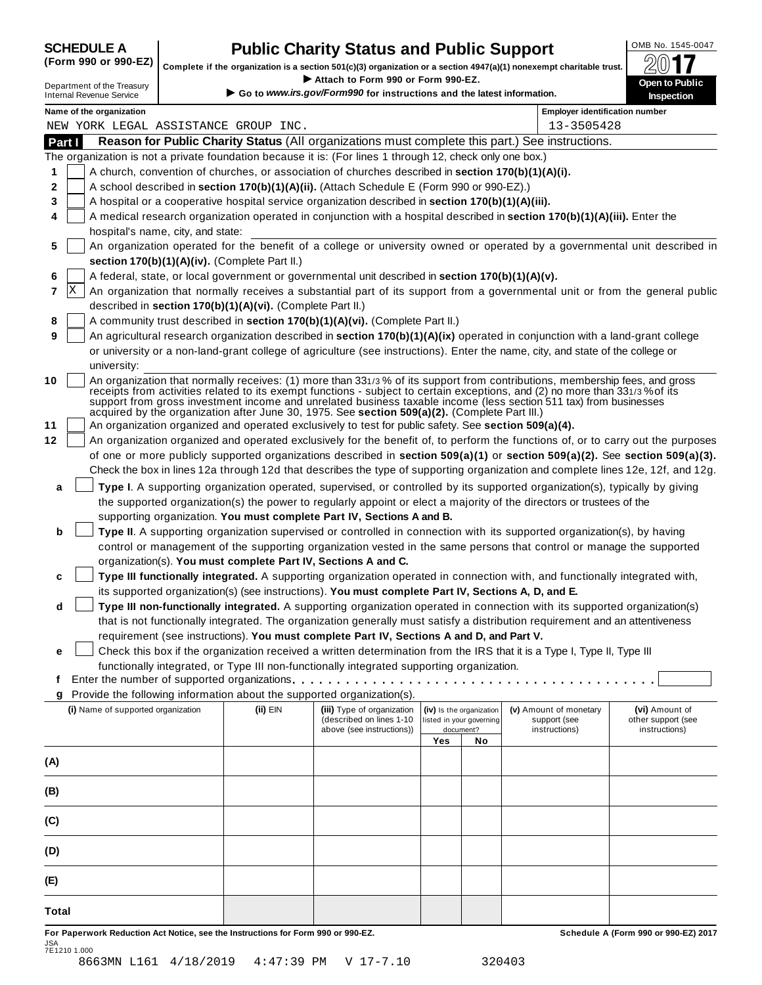## **CHEDULE A Public Charity Status and Public Support**  $\frac{100\text{dB No. }1545-0047}{000\text{dB}}$

(Form 990 or 990-EZ) complete if the organization is a section 501(c)(3) organization or a section 4947(a)(1) nonexempt charitable trust.  $2017$ 

|                                                                                                           |  |                                                            | Complete if the organization is a section 501(c)(3) organization or a section $4947(a)(1)$ nonexempt charitable trust.<br>Attach to Form 990 or Form 990-EZ.                                          |     |                                       |                                                                                                                                | ZV I I                                                                                                                           |
|-----------------------------------------------------------------------------------------------------------|--|------------------------------------------------------------|-------------------------------------------------------------------------------------------------------------------------------------------------------------------------------------------------------|-----|---------------------------------------|--------------------------------------------------------------------------------------------------------------------------------|----------------------------------------------------------------------------------------------------------------------------------|
| Department of the Treasury<br><b>Internal Revenue Service</b>                                             |  |                                                            | Go to www.irs.gov/Form990 for instructions and the latest information.                                                                                                                                |     |                                       |                                                                                                                                | <b>Open to Public</b><br>Inspection                                                                                              |
| Name of the organization                                                                                  |  |                                                            |                                                                                                                                                                                                       |     |                                       | <b>Employer identification number</b>                                                                                          |                                                                                                                                  |
| NEW YORK LEGAL ASSISTANCE GROUP INC.<br>13-3505428                                                        |  |                                                            |                                                                                                                                                                                                       |     |                                       |                                                                                                                                |                                                                                                                                  |
| Part I                                                                                                    |  |                                                            |                                                                                                                                                                                                       |     |                                       | Reason for Public Charity Status (All organizations must complete this part.) See instructions.                                |                                                                                                                                  |
| The organization is not a private foundation because it is: (For lines 1 through 12, check only one box.) |  |                                                            |                                                                                                                                                                                                       |     |                                       |                                                                                                                                |                                                                                                                                  |
| 1                                                                                                         |  |                                                            | A church, convention of churches, or association of churches described in section 170(b)(1)(A)(i).                                                                                                    |     |                                       |                                                                                                                                |                                                                                                                                  |
| 2                                                                                                         |  |                                                            | A school described in section 170(b)(1)(A)(ii). (Attach Schedule E (Form 990 or 990-EZ).)                                                                                                             |     |                                       |                                                                                                                                |                                                                                                                                  |
| 3                                                                                                         |  |                                                            | A hospital or a cooperative hospital service organization described in section 170(b)(1)(A)(iii).                                                                                                     |     |                                       |                                                                                                                                |                                                                                                                                  |
| 4                                                                                                         |  |                                                            |                                                                                                                                                                                                       |     |                                       | A medical research organization operated in conjunction with a hospital described in section 170(b)(1)(A)(iii). Enter the      |                                                                                                                                  |
| hospital's name, city, and state:                                                                         |  |                                                            |                                                                                                                                                                                                       |     |                                       |                                                                                                                                |                                                                                                                                  |
| 5                                                                                                         |  |                                                            |                                                                                                                                                                                                       |     |                                       |                                                                                                                                | An organization operated for the benefit of a college or university owned or operated by a governmental unit described in        |
|                                                                                                           |  | section 170(b)(1)(A)(iv). (Complete Part II.)              |                                                                                                                                                                                                       |     |                                       |                                                                                                                                |                                                                                                                                  |
| 6                                                                                                         |  |                                                            | A federal, state, or local government or governmental unit described in section 170(b)(1)(A)(v).                                                                                                      |     |                                       |                                                                                                                                |                                                                                                                                  |
| X<br>7                                                                                                    |  |                                                            |                                                                                                                                                                                                       |     |                                       |                                                                                                                                | An organization that normally receives a substantial part of its support from a governmental unit or from the general public     |
|                                                                                                           |  | described in section 170(b)(1)(A)(vi). (Complete Part II.) |                                                                                                                                                                                                       |     |                                       |                                                                                                                                |                                                                                                                                  |
| 8                                                                                                         |  |                                                            | A community trust described in section 170(b)(1)(A)(vi). (Complete Part II.)                                                                                                                          |     |                                       |                                                                                                                                |                                                                                                                                  |
| 9                                                                                                         |  |                                                            |                                                                                                                                                                                                       |     |                                       | An agricultural research organization described in section 170(b)(1)(A)(ix) operated in conjunction with a land-grant college  |                                                                                                                                  |
|                                                                                                           |  |                                                            |                                                                                                                                                                                                       |     |                                       | or university or a non-land-grant college of agriculture (see instructions). Enter the name, city, and state of the college or |                                                                                                                                  |
| university:<br>10                                                                                         |  |                                                            |                                                                                                                                                                                                       |     |                                       | An organization that normally receives: (1) more than 331/3% of its support from contributions, membership fees, and gross     |                                                                                                                                  |
|                                                                                                           |  |                                                            |                                                                                                                                                                                                       |     |                                       | receipts from activities related to its exempt functions - subject to certain exceptions, and (2) no more than 331/3% of its   |                                                                                                                                  |
|                                                                                                           |  |                                                            |                                                                                                                                                                                                       |     |                                       | support from gross investment income and unrelated business taxable income (less section 511 tax) from businesses              |                                                                                                                                  |
| 11                                                                                                        |  |                                                            | acquired by the organization after June 30, 1975. See section 509(a)(2). (Complete Part III.)<br>An organization organized and operated exclusively to test for public safety. See section 509(a)(4). |     |                                       |                                                                                                                                |                                                                                                                                  |
| 12                                                                                                        |  |                                                            |                                                                                                                                                                                                       |     |                                       |                                                                                                                                | An organization organized and operated exclusively for the benefit of, to perform the functions of, or to carry out the purposes |
|                                                                                                           |  |                                                            |                                                                                                                                                                                                       |     |                                       |                                                                                                                                | of one or more publicly supported organizations described in section 509(a)(1) or section 509(a)(2). See section 509(a)(3).      |
|                                                                                                           |  |                                                            |                                                                                                                                                                                                       |     |                                       |                                                                                                                                | Check the box in lines 12a through 12d that describes the type of supporting organization and complete lines 12e, 12f, and 12g.  |
| a                                                                                                         |  |                                                            |                                                                                                                                                                                                       |     |                                       | Type I. A supporting organization operated, supervised, or controlled by its supported organization(s), typically by giving    |                                                                                                                                  |
|                                                                                                           |  |                                                            |                                                                                                                                                                                                       |     |                                       | the supported organization(s) the power to regularly appoint or elect a majority of the directors or trustees of the           |                                                                                                                                  |
|                                                                                                           |  |                                                            | supporting organization. You must complete Part IV, Sections A and B.                                                                                                                                 |     |                                       |                                                                                                                                |                                                                                                                                  |
| b                                                                                                         |  |                                                            |                                                                                                                                                                                                       |     |                                       | Type II. A supporting organization supervised or controlled in connection with its supported organization(s), by having        |                                                                                                                                  |
|                                                                                                           |  |                                                            |                                                                                                                                                                                                       |     |                                       | control or management of the supporting organization vested in the same persons that control or manage the supported           |                                                                                                                                  |
|                                                                                                           |  |                                                            | organization(s). You must complete Part IV, Sections A and C.                                                                                                                                         |     |                                       |                                                                                                                                |                                                                                                                                  |
| c                                                                                                         |  |                                                            |                                                                                                                                                                                                       |     |                                       | Type III functionally integrated. A supporting organization operated in connection with, and functionally integrated with,     |                                                                                                                                  |
|                                                                                                           |  |                                                            | its supported organization(s) (see instructions). You must complete Part IV, Sections A, D, and E.                                                                                                    |     |                                       |                                                                                                                                |                                                                                                                                  |
| d                                                                                                         |  |                                                            |                                                                                                                                                                                                       |     |                                       | Type III non-functionally integrated. A supporting organization operated in connection with its supported organization(s)      |                                                                                                                                  |
|                                                                                                           |  |                                                            |                                                                                                                                                                                                       |     |                                       | that is not functionally integrated. The organization generally must satisfy a distribution requirement and an attentiveness   |                                                                                                                                  |
|                                                                                                           |  |                                                            | requirement (see instructions). You must complete Part IV, Sections A and D, and Part V.                                                                                                              |     |                                       |                                                                                                                                |                                                                                                                                  |
| е                                                                                                         |  |                                                            |                                                                                                                                                                                                       |     |                                       | Check this box if the organization received a written determination from the IRS that it is a Type I, Type II, Type III        |                                                                                                                                  |
|                                                                                                           |  |                                                            | functionally integrated, or Type III non-functionally integrated supporting organization.                                                                                                             |     |                                       |                                                                                                                                |                                                                                                                                  |
| t                                                                                                         |  |                                                            |                                                                                                                                                                                                       |     |                                       |                                                                                                                                |                                                                                                                                  |
| g                                                                                                         |  |                                                            | Provide the following information about the supported organization(s).                                                                                                                                |     |                                       |                                                                                                                                |                                                                                                                                  |
| (i) Name of supported organization                                                                        |  | (ii) EIN                                                   | (iii) Type of organization<br>(described on lines 1-10)                                                                                                                                               |     | (iv) Is the organization              | (v) Amount of monetary                                                                                                         | (vi) Amount of                                                                                                                   |
|                                                                                                           |  |                                                            | above (see instructions))                                                                                                                                                                             |     | listed in your governing<br>document? | support (see<br>instructions)                                                                                                  | other support (see<br>instructions)                                                                                              |
|                                                                                                           |  |                                                            |                                                                                                                                                                                                       | Yes | No                                    |                                                                                                                                |                                                                                                                                  |
| (A)                                                                                                       |  |                                                            |                                                                                                                                                                                                       |     |                                       |                                                                                                                                |                                                                                                                                  |
|                                                                                                           |  |                                                            |                                                                                                                                                                                                       |     |                                       |                                                                                                                                |                                                                                                                                  |
| (B)                                                                                                       |  |                                                            |                                                                                                                                                                                                       |     |                                       |                                                                                                                                |                                                                                                                                  |
|                                                                                                           |  |                                                            |                                                                                                                                                                                                       |     |                                       |                                                                                                                                |                                                                                                                                  |
| (C)                                                                                                       |  |                                                            |                                                                                                                                                                                                       |     |                                       |                                                                                                                                |                                                                                                                                  |
|                                                                                                           |  |                                                            |                                                                                                                                                                                                       |     |                                       |                                                                                                                                |                                                                                                                                  |
| (D)                                                                                                       |  |                                                            |                                                                                                                                                                                                       |     |                                       |                                                                                                                                |                                                                                                                                  |
|                                                                                                           |  |                                                            |                                                                                                                                                                                                       |     |                                       |                                                                                                                                |                                                                                                                                  |
| (E)                                                                                                       |  |                                                            |                                                                                                                                                                                                       |     |                                       |                                                                                                                                |                                                                                                                                  |
|                                                                                                           |  |                                                            |                                                                                                                                                                                                       |     |                                       |                                                                                                                                |                                                                                                                                  |
| Total                                                                                                     |  |                                                            |                                                                                                                                                                                                       |     |                                       |                                                                                                                                |                                                                                                                                  |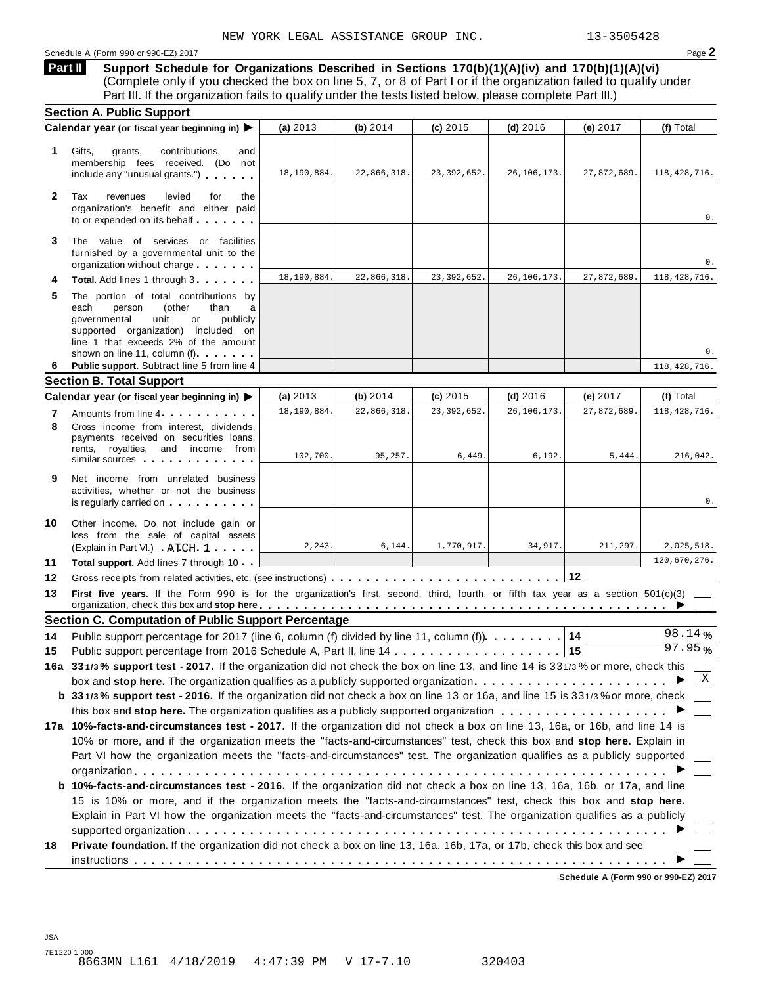Schedule <sup>A</sup> (Form <sup>990</sup> or 990-EZ) <sup>2017</sup> Page **2 Support Schedule for Organizations Described in Sections 170(b)(1)(A)(iv) and 170(b)(1)(A)(vi)**

(Complete only if you checked the box on line 5, 7, or 8 of Part I or if the organization failed to qualify under Part III. If the organization fails to qualify under the tests listed below, please complete Part III.) **Part II**

|    | <b>Section A. Public Support</b>                                                                                                                                                                                                                                                                                                                                    |             |             |               |               |             |                |
|----|---------------------------------------------------------------------------------------------------------------------------------------------------------------------------------------------------------------------------------------------------------------------------------------------------------------------------------------------------------------------|-------------|-------------|---------------|---------------|-------------|----------------|
|    | Calendar year (or fiscal year beginning in) ▶                                                                                                                                                                                                                                                                                                                       | (a) 2013    | (b) 2014    | (c) 2015      | $(d)$ 2016    | (e) 2017    | (f) Total      |
| 1  | Gifts,<br>grants,<br>contributions.<br>and<br>membership fees received. (Do not<br>include any "unusual grants.")                                                                                                                                                                                                                                                   | 18,190,884. | 22,866,318. | 23, 392, 652. | 26, 106, 173. | 27,872,689. | 118,428,716.   |
| 2  | Tax<br>revenues<br>levied<br>for<br>the<br>organization's benefit and either paid<br>to or expended on its behalf                                                                                                                                                                                                                                                   |             |             |               |               |             | 0.             |
| 3  | The value of services or facilities<br>furnished by a governmental unit to the<br>organization without charge                                                                                                                                                                                                                                                       |             |             |               |               |             | 0.             |
| 4  | Total. Add lines 1 through 3                                                                                                                                                                                                                                                                                                                                        | 18,190,884. | 22,866,318. | 23, 392, 652. | 26, 106, 173. | 27,872,689. | 118, 428, 716. |
| 5  | The portion of total contributions by<br>each<br>person<br>(other<br>than<br>a<br>governmental<br>unit<br>publicly<br>or<br>supported organization) included on<br>line 1 that exceeds 2% of the amount<br>shown on line 11, column (f)                                                                                                                             |             |             |               |               |             | 0.             |
| 6  | Public support. Subtract line 5 from line 4                                                                                                                                                                                                                                                                                                                         |             |             |               |               |             | 118, 428, 716. |
|    | <b>Section B. Total Support</b>                                                                                                                                                                                                                                                                                                                                     |             |             |               |               |             |                |
|    | Calendar year (or fiscal year beginning in) ▶                                                                                                                                                                                                                                                                                                                       | (a) $2013$  | (b) 2014    | (c) 2015      | $(d)$ 2016    | (e) 2017    | (f) Total      |
| 7  | Amounts from line 4.                                                                                                                                                                                                                                                                                                                                                | 18,190,884. | 22,866,318. | 23, 392, 652. | 26, 106, 173. | 27,872,689. | 118, 428, 716. |
| 8  | Gross income from interest. dividends.<br>payments received on securities loans,<br>rents, royalties, and income from<br>similar sources experiences                                                                                                                                                                                                                | 102,700.    | 95,257.     | 6,449.        | 6,192.        | 5,444.      | 216,042.       |
| 9  | Net income from unrelated business<br>activities, whether or not the business<br>is regularly carried on the control of the set of the set of the set of the set of the set of the set of the s                                                                                                                                                                     |             |             |               |               |             | 0.             |
| 10 | Other income. Do not include gain or<br>loss from the sale of capital assets<br>(Explain in Part VI.) ATCH 1                                                                                                                                                                                                                                                        | 2,243.      | 6, 144.     | 1,770,917.    | 34,917.       | 211,297.    | 2,025,518.     |
| 11 | Total support. Add lines 7 through 10                                                                                                                                                                                                                                                                                                                               |             |             |               |               |             | 120,670,276.   |
| 12 |                                                                                                                                                                                                                                                                                                                                                                     |             |             |               |               | 12          |                |
| 13 | First five years. If the Form 990 is for the organization's first, second, third, fourth, or fifth tax year as a section 501(c)(3)<br>organization, check this box and stop here equitarian experience in the set of the set of the set of the set of the set of the set of the set of the set of the set of the set of the set of the set of the set of the set of |             |             |               |               |             |                |
|    | <b>Section C. Computation of Public Support Percentage</b>                                                                                                                                                                                                                                                                                                          |             |             |               |               |             |                |
| 14 | Public support percentage for 2017 (line 6, column (f) divided by line 11, column (f)).                                                                                                                                                                                                                                                                             |             |             |               |               | 14          | 98.14%         |
| 15 |                                                                                                                                                                                                                                                                                                                                                                     |             |             |               |               | 15          | 97.95%         |
|    | 16a 331/3% support test - 2017. If the organization did not check the box on line 13, and line 14 is 331/3% or more, check this                                                                                                                                                                                                                                     |             |             |               |               |             |                |
|    | box and stop here. The organization qualifies as a publicly supported organization $\ldots \ldots \ldots \ldots \ldots \ldots \ldots$                                                                                                                                                                                                                               |             |             |               |               |             | Χ              |
|    | b 331/3% support test - 2016. If the organization did not check a box on line 13 or 16a, and line 15 is 331/3% or more, check                                                                                                                                                                                                                                       |             |             |               |               |             |                |
|    |                                                                                                                                                                                                                                                                                                                                                                     |             |             |               |               |             |                |
|    | 17a 10%-facts-and-circumstances test - 2017. If the organization did not check a box on line 13, 16a, or 16b, and line 14 is                                                                                                                                                                                                                                        |             |             |               |               |             |                |
|    | 10% or more, and if the organization meets the "facts-and-circumstances" test, check this box and stop here. Explain in                                                                                                                                                                                                                                             |             |             |               |               |             |                |
|    | Part VI how the organization meets the "facts-and-circumstances" test. The organization qualifies as a publicly supported                                                                                                                                                                                                                                           |             |             |               |               |             |                |
|    |                                                                                                                                                                                                                                                                                                                                                                     |             |             |               |               |             |                |
|    | b 10%-facts-and-circumstances test - 2016. If the organization did not check a box on line 13, 16a, 16b, or 17a, and line                                                                                                                                                                                                                                           |             |             |               |               |             |                |
|    | 15 is 10% or more, and if the organization meets the "facts-and-circumstances" test, check this box and stop here.                                                                                                                                                                                                                                                  |             |             |               |               |             |                |
|    | Explain in Part VI how the organization meets the "facts-and-circumstances" test. The organization qualifies as a publicly                                                                                                                                                                                                                                          |             |             |               |               |             |                |
|    |                                                                                                                                                                                                                                                                                                                                                                     |             |             |               |               |             |                |
| 18 | Private foundation. If the organization did not check a box on line 13, 16a, 16b, 17a, or 17b, check this box and see                                                                                                                                                                                                                                               |             |             |               |               |             |                |
|    |                                                                                                                                                                                                                                                                                                                                                                     |             |             |               |               |             |                |
|    |                                                                                                                                                                                                                                                                                                                                                                     |             |             |               |               |             |                |

**Schedule A (Form 990 or 990-EZ) 2017**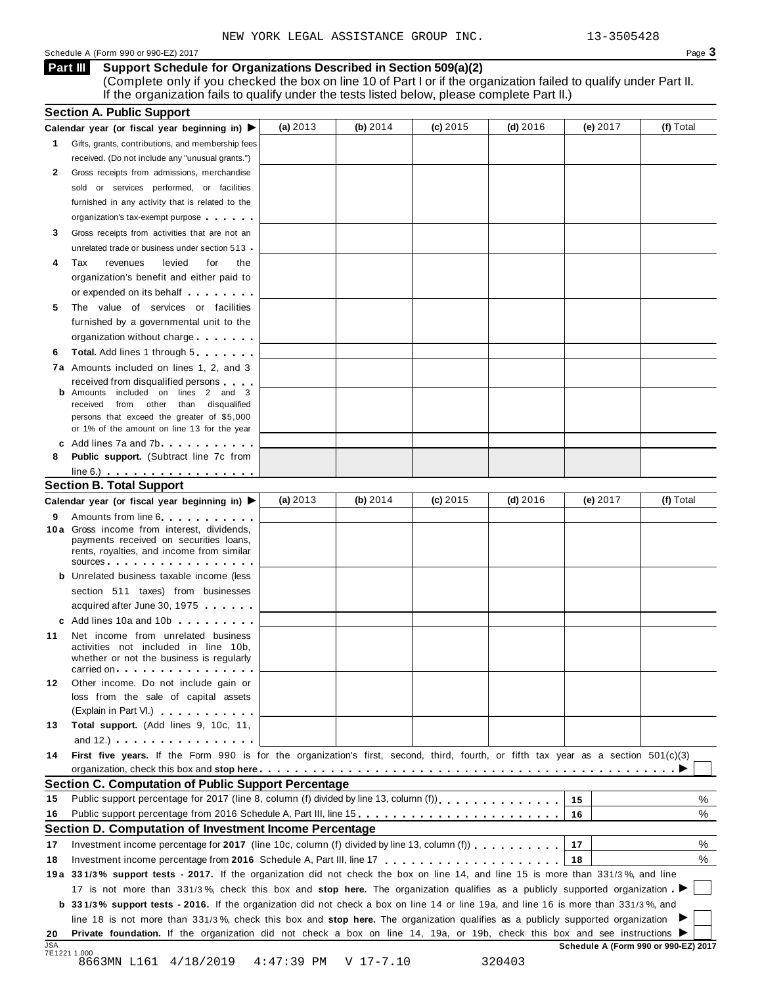### Schedule A (Form 990 or 990-EZ) 2017  $\qquad \qquad$

**Support Schedule for Organizations Described in Section 509(a)(2) Part III**

(Complete only if you checked the box on line 10 of Part I or if the organization failed to qualify under Part II. If the organization fails to qualify under the tests listed below, please complete Part II.)

|                  | <b>Section A. Public Support</b>                                                                                                                                                                                               |            |            |            |            |          |                                      |
|------------------|--------------------------------------------------------------------------------------------------------------------------------------------------------------------------------------------------------------------------------|------------|------------|------------|------------|----------|--------------------------------------|
|                  | Calendar year (or fiscal year beginning in) ▶                                                                                                                                                                                  | (a) $2013$ | (b) $2014$ | $(c)$ 2015 | (d) $2016$ | (e) 2017 | (f) Total                            |
| 1.               | Gifts, grants, contributions, and membership fees                                                                                                                                                                              |            |            |            |            |          |                                      |
|                  | received. (Do not include any "unusual grants.")                                                                                                                                                                               |            |            |            |            |          |                                      |
| 2                | Gross receipts from admissions, merchandise                                                                                                                                                                                    |            |            |            |            |          |                                      |
|                  | sold or services performed, or facilities                                                                                                                                                                                      |            |            |            |            |          |                                      |
|                  | furnished in any activity that is related to the                                                                                                                                                                               |            |            |            |            |          |                                      |
|                  | organization's tax-exempt purpose                                                                                                                                                                                              |            |            |            |            |          |                                      |
| 3                | Gross receipts from activities that are not an                                                                                                                                                                                 |            |            |            |            |          |                                      |
|                  | unrelated trade or business under section 513                                                                                                                                                                                  |            |            |            |            |          |                                      |
| 4                | Tax<br>revenues<br>levied<br>for<br>the                                                                                                                                                                                        |            |            |            |            |          |                                      |
|                  | organization's benefit and either paid to                                                                                                                                                                                      |            |            |            |            |          |                                      |
|                  | or expended on its behalf                                                                                                                                                                                                      |            |            |            |            |          |                                      |
| 5                | The value of services or facilities                                                                                                                                                                                            |            |            |            |            |          |                                      |
|                  | furnished by a governmental unit to the                                                                                                                                                                                        |            |            |            |            |          |                                      |
|                  | organization without charge                                                                                                                                                                                                    |            |            |            |            |          |                                      |
| 6                | <b>Total.</b> Add lines 1 through 5                                                                                                                                                                                            |            |            |            |            |          |                                      |
|                  | 7a Amounts included on lines 1, 2, and 3                                                                                                                                                                                       |            |            |            |            |          |                                      |
|                  |                                                                                                                                                                                                                                |            |            |            |            |          |                                      |
|                  | received from disqualified persons<br>Amounts included on lines 2 and 3                                                                                                                                                        |            |            |            |            |          |                                      |
|                  | from other than disqualified<br>received                                                                                                                                                                                       |            |            |            |            |          |                                      |
|                  | persons that exceed the greater of \$5,000                                                                                                                                                                                     |            |            |            |            |          |                                      |
|                  | or 1% of the amount on line 13 for the year                                                                                                                                                                                    |            |            |            |            |          |                                      |
|                  | c Add lines 7a and 7b                                                                                                                                                                                                          |            |            |            |            |          |                                      |
| 8                | Public support. (Subtract line 7c from                                                                                                                                                                                         |            |            |            |            |          |                                      |
|                  | $line 6.)$                                                                                                                                                                                                                     |            |            |            |            |          |                                      |
|                  | <b>Section B. Total Support</b>                                                                                                                                                                                                |            |            |            |            |          |                                      |
|                  | Calendar year (or fiscal year beginning in) ▶                                                                                                                                                                                  | (a) $2013$ | (b) $2014$ | $(c)$ 2015 | (d) $2016$ | (e) 2017 | (f) Total                            |
| 9                | Amounts from line 6                                                                                                                                                                                                            |            |            |            |            |          |                                      |
|                  | 10 a Gross income from interest, dividends,<br>payments received on securities loans,                                                                                                                                          |            |            |            |            |          |                                      |
|                  | rents, royalties, and income from similar                                                                                                                                                                                      |            |            |            |            |          |                                      |
|                  | sources <b>contracts</b>                                                                                                                                                                                                       |            |            |            |            |          |                                      |
|                  | <b>b</b> Unrelated business taxable income (less                                                                                                                                                                               |            |            |            |            |          |                                      |
|                  | section 511 taxes) from businesses                                                                                                                                                                                             |            |            |            |            |          |                                      |
|                  | acquired after June 30, 1975                                                                                                                                                                                                   |            |            |            |            |          |                                      |
|                  | c Add lines 10a and 10b and the control of the control of the control of the control of the control of the control of the control of the control of the control of the control of the control of the control of the control of |            |            |            |            |          |                                      |
| 11               | Net income from unrelated business                                                                                                                                                                                             |            |            |            |            |          |                                      |
|                  | activities not included in line 10b,<br>whether or not the business is regularly                                                                                                                                               |            |            |            |            |          |                                      |
|                  | carried on entries and the state of the state of the state of the state of the state of the state of the state                                                                                                                 |            |            |            |            |          |                                      |
| 12               | Other income. Do not include gain or                                                                                                                                                                                           |            |            |            |            |          |                                      |
|                  | loss from the sale of capital assets                                                                                                                                                                                           |            |            |            |            |          |                                      |
|                  | (Explain in Part VI.) <b>Container and Containers</b>                                                                                                                                                                          |            |            |            |            |          |                                      |
| 13               | Total support. (Add lines 9, 10c, 11,                                                                                                                                                                                          |            |            |            |            |          |                                      |
|                  | and 12.) $\cdots$ $\cdots$ $\cdots$ $\cdots$ $\cdots$                                                                                                                                                                          |            |            |            |            |          |                                      |
| 14               | First five years. If the Form 990 is for the organization's first, second, third, fourth, or fifth tax year as a section 501(c)(3)                                                                                             |            |            |            |            |          |                                      |
|                  |                                                                                                                                                                                                                                |            |            |            |            |          |                                      |
|                  | Section C. Computation of Public Support Percentage                                                                                                                                                                            |            |            |            |            |          |                                      |
| 15               | Public support percentage for 2017 (line 8, column (f) divided by line 13, column (f)                                                                                                                                          |            |            |            |            | 15       | ℅                                    |
| 16               | Public support percentage from 2016 Schedule A, Part III, line 15.                                                                                                                                                             |            |            |            |            | 16       | %                                    |
|                  | Section D. Computation of Investment Income Percentage                                                                                                                                                                         |            |            |            |            |          |                                      |
| 17               | Investment income percentage for 2017 (line 10c, column (f) divided by line 13, column (f) $\ldots$ ,,,,,,,                                                                                                                    |            |            |            |            | 17       | %                                    |
| 18               |                                                                                                                                                                                                                                |            |            |            |            | 18       | %                                    |
|                  |                                                                                                                                                                                                                                |            |            |            |            |          |                                      |
|                  | 19a 331/3% support tests - 2017. If the organization did not check the box on line 14, and line 15 is more than 331/3%, and line                                                                                               |            |            |            |            |          |                                      |
|                  | 17 is not more than 331/3%, check this box and stop here. The organization qualifies as a publicly supported organization                                                                                                      |            |            |            |            |          |                                      |
|                  | <b>b</b> 331/3% support tests - 2016. If the organization did not check a box on line 14 or line 19a, and line 16 is more than 331/3%, and                                                                                     |            |            |            |            |          |                                      |
|                  | line 18 is not more than 331/3%, check this box and stop here. The organization qualifies as a publicly supported organization                                                                                                 |            |            |            |            |          |                                      |
| 20<br><b>JSA</b> | Private foundation. If the organization did not check a box on line 14, 19a, or 19b, check this box and see instructions ▶                                                                                                     |            |            |            |            |          |                                      |
|                  | 7E1221 1.000                                                                                                                                                                                                                   |            |            |            |            |          | Schedule A (Form 990 or 990-EZ) 2017 |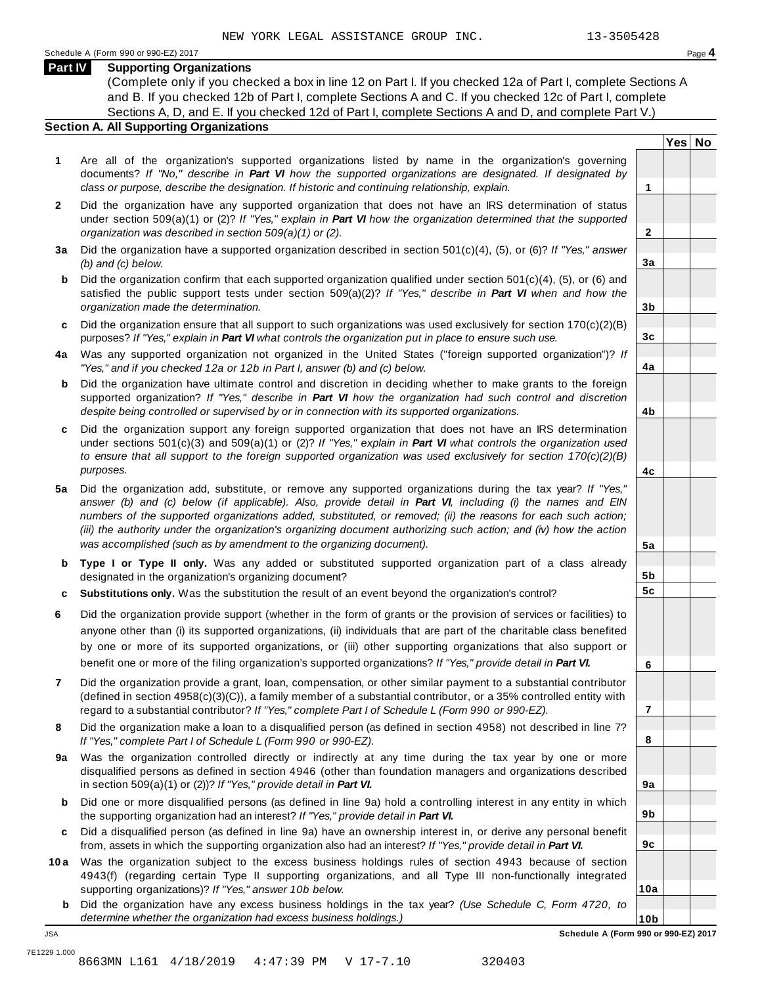**Yes No**

**2**

**3a**

**3b**

**3c**

**4a**

**4b**

**4c**

**5a**

**5b 5c**

**6**

**7**

**8**

**9a**

**9b**

**9c**

**10a**

## **Part IV Supporting Organizations**

(Complete only if you checked a box in line 12 on Part I. If you checked 12a of Part I, complete Sections A and B. If you checked 12b of Part I, complete Sections A and C. If you checked 12c of Part I, complete Sections A, D, and E. If you checked 12d of Part I, complete Sections A and D, and complete Part V.)

## **Section A. All Supporting Organizations**

- **1** Are all of the organization's supported organizations listed by name in the organization's governing documents? *If "No," describe in Part VI how the supported organizations are designated. If designated by class or purpose, describe the designation. If historic and continuing relationship, explain.* **1**
- **2** Did the organization have any supported organization that does not have an IRS determination of status under section 509(a)(1) or (2)? *If"Yes," explain in Part VI how the organization determined that the supported organization was described in section 509(a)(1) or (2).*
- **3 a** Did the organization have a supported organization described in section 501(c)(4), (5), or (6)? *If "Yes," answer (b) and (c) below.*
- **b** Did the organization confirm that each supported organization qualified under section 501(c)(4), (5), or (6) and | satisfied the public support tests under section 509(a)(2)? *If "Yes," describe in Part VI when and how the organization made the determination.*
- **c** Did the organization ensure that all support to such organizations was used exclusively for section 170(c)(2)(B) purposes? *If"Yes," explain in Part VI what controls the organization put in place to ensure such use.*
- **4 a** Was any supported organization not organized in the United States ("foreign supported organization")? *If "Yes," and if you checked 12a or 12b in Part I, answer (b) and (c) below.*
- **b** Did the organization have ultimate control and discretion in deciding whether to make grants to the foreign | supported organization? *If "Yes," describe in Part VI how the organization had such control and discretion despite being controlled or supervised by or in connection with its supported organizations.*
- **c** Did the organization support any foreign supported organization that does not have an IRS determination | under sections 501(c)(3) and 509(a)(1) or (2)? *If "Yes," explain in Part VI what controls the organization used to ensure that all support to the foreign supported organization was used exclusively for section 170(c)(2)(B) purposes.*
- **5 a** Did the organization add, substitute, or remove any supported organizations during the tax year? *If "Yes,"* answer (b) and (c) below (if applicable). Also, provide detail in Part VI, including (i) the names and EIN *numbers of the supported organizations added, substituted, or removed; (ii) the reasons for each such action;* (iii) the authority under the organization's organizing document authorizing such action; and (iv) how the action *was accomplished (such as by amendment to the organizing document).*
- **b** Type I or Type II only. Was any added or substituted supported organization part of a class already | designated in the organization's organizing document?
- **c Substitutions only.** Was the substitution the result of an event beyond the organization's control?
- **6** Did the organization provide support (whether in the form of grants or the provision of services or facilities) to anyone other than (i) its supported organizations, (ii) individuals that are part of the charitable class benefited by one or more of its supported organizations, or (iii) other supporting organizations that also support or benefit one or more of the filing organization's supported organizations? *If"Yes," provide detail in Part VI.*
- **7** Did the organization provide a grant, loan, compensation, or other similar payment to a substantial contributor (defined in section 4958(c)(3)(C)), a family member of a substantial contributor, or a 35% controlled entity with regard to a substantial contributor? *If"Yes," complete Part I of Schedule L (Form 990 or 990-EZ).*
- **8** Did the organization make a loan to a disqualified person (as defined in section 4958) not described in line 7? *If "Yes," complete Part I of Schedule L (Form 990 or 990-EZ).*
- **a** Was the organization controlled directly or indirectly at any time during the tax year by one or more | **9** disqualified persons as defined in section 4946 (other than foundation managers and organizations described in section 509(a)(1) or (2))? *If"Yes," provide detail in Part VI.*
- **b** Did one or more disqualified persons (as defined in line 9a) hold a controlling interest in any entity in which | the supporting organization had an interest? *If"Yes," provide detail in Part VI.*
- **c** Did a disqualified person (as defined in line 9a) have an ownership interest in, or derive any personal benefit from, assets in which the supporting organization also had an interest? *If"Yes," provide detail in Part VI.*
- **10a** Was the organization subject to the excess business holdings rules of section 4943 because of section | 4943(f) (regarding certain Type II supporting organizations, and all Type III non-functionally integrated supporting organizations)? *If"Yes," answer 10b below.*
	- **b** Did the organization have any excess business holdings in the tax year? *(Use Schedule C, Form 4720, to determine whether the organization had excess business holdings.)*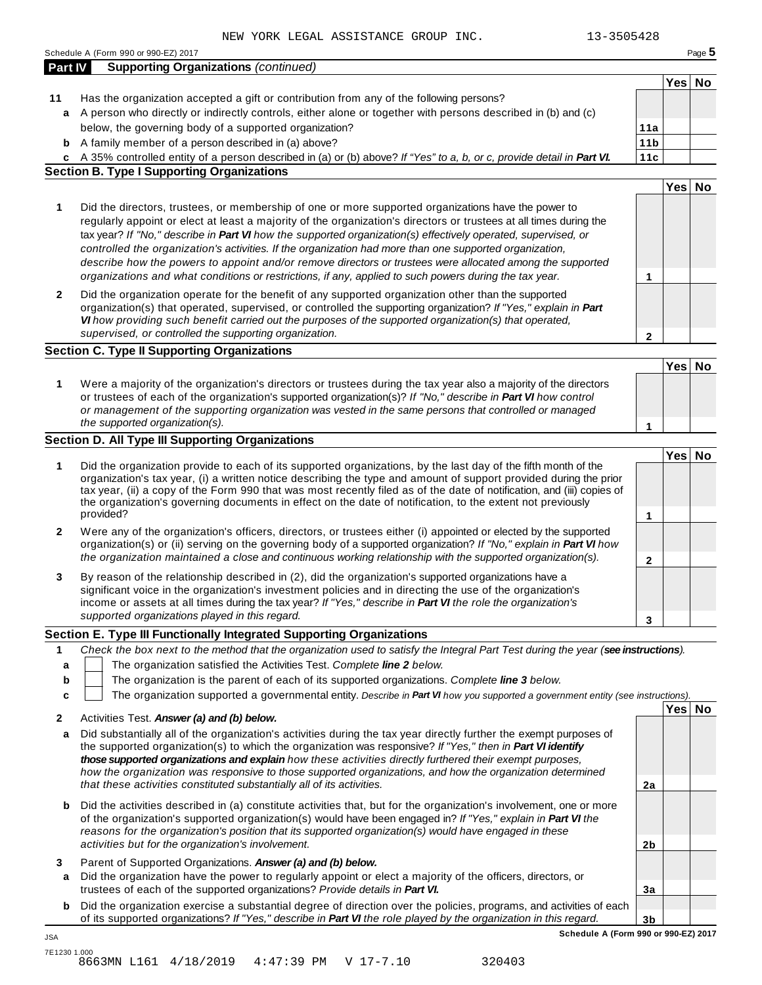|                  | Schedule A (Form 990 or 990-EZ) 2017                                                                                                                                                                                                                                                                                                                                                                                                                                                                                                                                                                                                                                         |                 |        | Page 5 |
|------------------|------------------------------------------------------------------------------------------------------------------------------------------------------------------------------------------------------------------------------------------------------------------------------------------------------------------------------------------------------------------------------------------------------------------------------------------------------------------------------------------------------------------------------------------------------------------------------------------------------------------------------------------------------------------------------|-----------------|--------|--------|
| <b>Part IV</b>   | <b>Supporting Organizations (continued)</b>                                                                                                                                                                                                                                                                                                                                                                                                                                                                                                                                                                                                                                  |                 |        |        |
|                  |                                                                                                                                                                                                                                                                                                                                                                                                                                                                                                                                                                                                                                                                              |                 | Yes No |        |
| 11<br>a          | Has the organization accepted a gift or contribution from any of the following persons?<br>A person who directly or indirectly controls, either alone or together with persons described in (b) and (c)                                                                                                                                                                                                                                                                                                                                                                                                                                                                      |                 |        |        |
|                  | below, the governing body of a supported organization?                                                                                                                                                                                                                                                                                                                                                                                                                                                                                                                                                                                                                       | 11a             |        |        |
| b                | A family member of a person described in (a) above?                                                                                                                                                                                                                                                                                                                                                                                                                                                                                                                                                                                                                          | 11 <sub>b</sub> |        |        |
| C                | A 35% controlled entity of a person described in (a) or (b) above? If "Yes" to a, b, or c, provide detail in Part VI.                                                                                                                                                                                                                                                                                                                                                                                                                                                                                                                                                        | 11c             |        |        |
|                  | <b>Section B. Type I Supporting Organizations</b>                                                                                                                                                                                                                                                                                                                                                                                                                                                                                                                                                                                                                            |                 |        |        |
|                  |                                                                                                                                                                                                                                                                                                                                                                                                                                                                                                                                                                                                                                                                              |                 | Yes No |        |
| 1                | Did the directors, trustees, or membership of one or more supported organizations have the power to<br>regularly appoint or elect at least a majority of the organization's directors or trustees at all times during the<br>tax year? If "No," describe in Part VI how the supported organization(s) effectively operated, supervised, or<br>controlled the organization's activities. If the organization had more than one supported organization,<br>describe how the powers to appoint and/or remove directors or trustees were allocated among the supported<br>organizations and what conditions or restrictions, if any, applied to such powers during the tax year. | 1               |        |        |
| $\mathbf{2}$     | Did the organization operate for the benefit of any supported organization other than the supported<br>organization(s) that operated, supervised, or controlled the supporting organization? If "Yes," explain in Part<br>VI how providing such benefit carried out the purposes of the supported organization(s) that operated,                                                                                                                                                                                                                                                                                                                                             |                 |        |        |
|                  | supervised, or controlled the supporting organization.                                                                                                                                                                                                                                                                                                                                                                                                                                                                                                                                                                                                                       | 2               |        |        |
|                  | <b>Section C. Type II Supporting Organizations</b>                                                                                                                                                                                                                                                                                                                                                                                                                                                                                                                                                                                                                           |                 |        |        |
| 1                | Were a majority of the organization's directors or trustees during the tax year also a majority of the directors<br>or trustees of each of the organization's supported organization(s)? If "No," describe in Part VI how control<br>or management of the supporting organization was vested in the same persons that controlled or managed<br>the supported organization(s).                                                                                                                                                                                                                                                                                                | 1               | Yes No |        |
|                  | <b>Section D. All Type III Supporting Organizations</b>                                                                                                                                                                                                                                                                                                                                                                                                                                                                                                                                                                                                                      |                 |        |        |
| 1                | Did the organization provide to each of its supported organizations, by the last day of the fifth month of the<br>organization's tax year, (i) a written notice describing the type and amount of support provided during the prior<br>tax year, (ii) a copy of the Form 990 that was most recently filed as of the date of notification, and (iii) copies of<br>the organization's governing documents in effect on the date of notification, to the extent not previously<br>provided?                                                                                                                                                                                     | 1               | Yes No |        |
| 2                | Were any of the organization's officers, directors, or trustees either (i) appointed or elected by the supported<br>organization(s) or (ii) serving on the governing body of a supported organization? If "No," explain in Part VI how<br>the organization maintained a close and continuous working relationship with the supported organization(s).                                                                                                                                                                                                                                                                                                                        | 2               |        |        |
| 3                | By reason of the relationship described in (2), did the organization's supported organizations have a<br>significant voice in the organization's investment policies and in directing the use of the organization's<br>income or assets at all times during the tax year? If "Yes," describe in Part VI the role the organization's<br>supported organizations played in this regard.                                                                                                                                                                                                                                                                                        | 3               |        |        |
|                  | Section E. Type III Functionally Integrated Supporting Organizations                                                                                                                                                                                                                                                                                                                                                                                                                                                                                                                                                                                                         |                 |        |        |
| 1<br>а<br>b<br>c | Check the box next to the method that the organization used to satisfy the Integral Part Test during the year (see instructions).<br>The organization satisfied the Activities Test. Complete line 2 below.<br>The organization is the parent of each of its supported organizations. Complete line 3 below.<br>The organization supported a governmental entity. Describe in Part VI how you supported a government entity (see instructions).                                                                                                                                                                                                                              |                 |        |        |
|                  |                                                                                                                                                                                                                                                                                                                                                                                                                                                                                                                                                                                                                                                                              |                 | Yes No |        |
| 2<br>а           | Activities Test. Answer (a) and (b) below.<br>Did substantially all of the organization's activities during the tax year directly further the exempt purposes of<br>the supported organization(s) to which the organization was responsive? If "Yes," then in Part VI identify<br>those supported organizations and explain how these activities directly furthered their exempt purposes,<br>how the organization was responsive to those supported organizations, and how the organization determined<br>that these activities constituted substantially all of its activities.                                                                                            | 2a              |        |        |
| b                | Did the activities described in (a) constitute activities that, but for the organization's involvement, one or more<br>of the organization's supported organization(s) would have been engaged in? If "Yes," explain in Part VI the<br>reasons for the organization's position that its supported organization(s) would have engaged in these<br>activities but for the organization's involvement.                                                                                                                                                                                                                                                                          | 2 <sub>b</sub>  |        |        |
| 3                | Parent of Supported Organizations. Answer (a) and (b) below.                                                                                                                                                                                                                                                                                                                                                                                                                                                                                                                                                                                                                 |                 |        |        |
| а                | Did the organization have the power to regularly appoint or elect a majority of the officers, directors, or<br>trustees of each of the supported organizations? Provide details in Part VI.                                                                                                                                                                                                                                                                                                                                                                                                                                                                                  | 3a              |        |        |
| b                | Did the organization exercise a substantial degree of direction over the policies, programs, and activities of each<br>of its supported organizations? If "Yes," describe in Part VI the role played by the organization in this regard.                                                                                                                                                                                                                                                                                                                                                                                                                                     | 3 <sub>b</sub>  |        |        |
| JSA              | Schedule A (Form 990 or 990-EZ) 2017                                                                                                                                                                                                                                                                                                                                                                                                                                                                                                                                                                                                                                         |                 |        |        |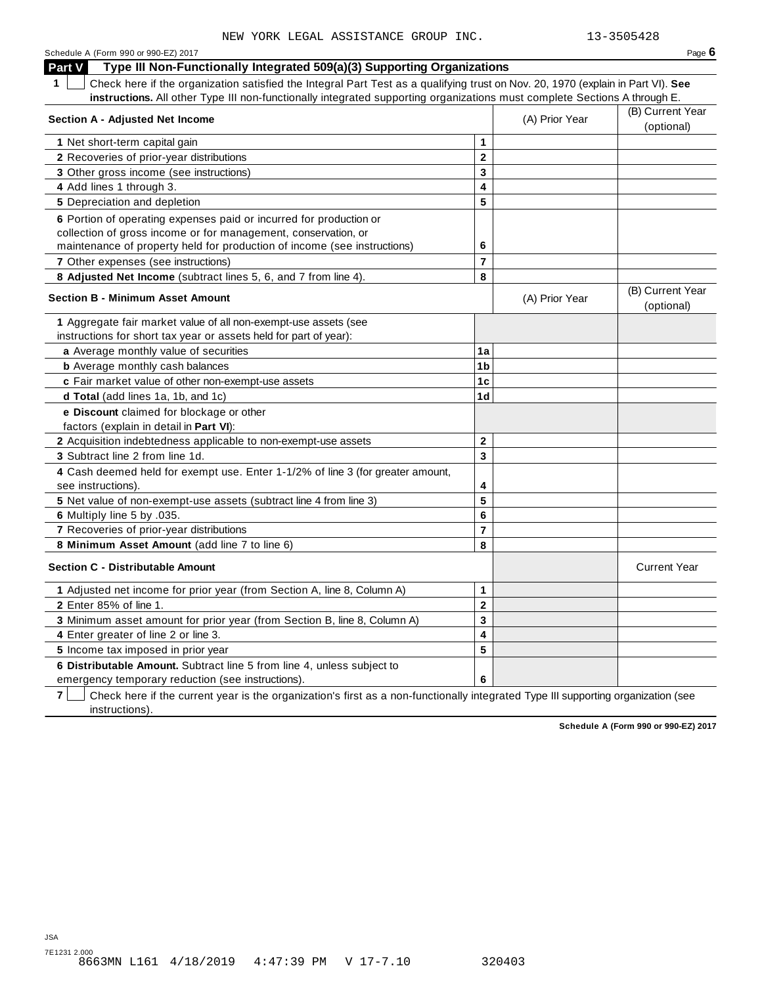| Schedule A (Form 990 or 990-EZ) 2017                                                                                                            |                         |                | Page $6$                       |
|-------------------------------------------------------------------------------------------------------------------------------------------------|-------------------------|----------------|--------------------------------|
| Type III Non-Functionally Integrated 509(a)(3) Supporting Organizations<br>Part V                                                               |                         |                |                                |
| $\mathbf 1$<br>Check here if the organization satisfied the Integral Part Test as a qualifying trust on Nov. 20, 1970 (explain in Part VI). See |                         |                |                                |
| instructions. All other Type III non-functionally integrated supporting organizations must complete Sections A through E.                       |                         |                |                                |
| <b>Section A - Adjusted Net Income</b>                                                                                                          |                         | (A) Prior Year | (B) Current Year               |
|                                                                                                                                                 |                         |                | (optional)                     |
| 1 Net short-term capital gain                                                                                                                   | 1                       |                |                                |
| 2 Recoveries of prior-year distributions                                                                                                        | $\mathbf 2$             |                |                                |
| 3 Other gross income (see instructions)                                                                                                         | 3                       |                |                                |
| 4 Add lines 1 through 3.                                                                                                                        | 4                       |                |                                |
| <b>5</b> Depreciation and depletion                                                                                                             | 5                       |                |                                |
| 6 Portion of operating expenses paid or incurred for production or                                                                              |                         |                |                                |
| collection of gross income or for management, conservation, or                                                                                  |                         |                |                                |
| maintenance of property held for production of income (see instructions)                                                                        | 6                       |                |                                |
| 7 Other expenses (see instructions)                                                                                                             | $\overline{7}$          |                |                                |
| 8 Adjusted Net Income (subtract lines 5, 6, and 7 from line 4).                                                                                 | 8                       |                |                                |
| <b>Section B - Minimum Asset Amount</b>                                                                                                         |                         | (A) Prior Year | (B) Current Year<br>(optional) |
| 1 Aggregate fair market value of all non-exempt-use assets (see                                                                                 |                         |                |                                |
| instructions for short tax year or assets held for part of year):                                                                               |                         |                |                                |
| a Average monthly value of securities                                                                                                           | 1a                      |                |                                |
| <b>b</b> Average monthly cash balances                                                                                                          | 1 <sub>b</sub>          |                |                                |
| c Fair market value of other non-exempt-use assets                                                                                              | 1 <sub>c</sub>          |                |                                |
| d Total (add lines 1a, 1b, and 1c)                                                                                                              | 1 <sub>d</sub>          |                |                                |
| e Discount claimed for blockage or other                                                                                                        |                         |                |                                |
| factors (explain in detail in Part VI):                                                                                                         |                         |                |                                |
| 2 Acquisition indebtedness applicable to non-exempt-use assets                                                                                  | $\overline{2}$          |                |                                |
| 3 Subtract line 2 from line 1d.                                                                                                                 | $\overline{\mathbf{3}}$ |                |                                |
| 4 Cash deemed held for exempt use. Enter 1-1/2% of line 3 (for greater amount,<br>see instructions).                                            | 4                       |                |                                |
| 5 Net value of non-exempt-use assets (subtract line 4 from line 3)                                                                              | 5                       |                |                                |
| 6 Multiply line 5 by .035.                                                                                                                      | 6                       |                |                                |
| 7 Recoveries of prior-year distributions                                                                                                        | $\overline{7}$          |                |                                |
| 8 Minimum Asset Amount (add line 7 to line 6)                                                                                                   | 8                       |                |                                |
| <b>Section C - Distributable Amount</b>                                                                                                         |                         |                | <b>Current Year</b>            |
| 1 Adjusted net income for prior year (from Section A, line 8, Column A)                                                                         | 1                       |                |                                |
| 2 Enter 85% of line 1.                                                                                                                          | $\mathbf 2$             |                |                                |
| 3 Minimum asset amount for prior year (from Section B, line 8, Column A)                                                                        | 3                       |                |                                |
| 4 Enter greater of line 2 or line 3.                                                                                                            | 4                       |                |                                |
| 5 Income tax imposed in prior year                                                                                                              | 5                       |                |                                |
| 6 Distributable Amount. Subtract line 5 from line 4, unless subject to                                                                          |                         |                |                                |
| emergency temporary reduction (see instructions).                                                                                               | 6                       |                |                                |

**7** | Check here if the current year is the organization's first as a non-functionally integrated Type III supporting organization (see instructions).

**Schedule A (Form 990 or 990-EZ) 2017**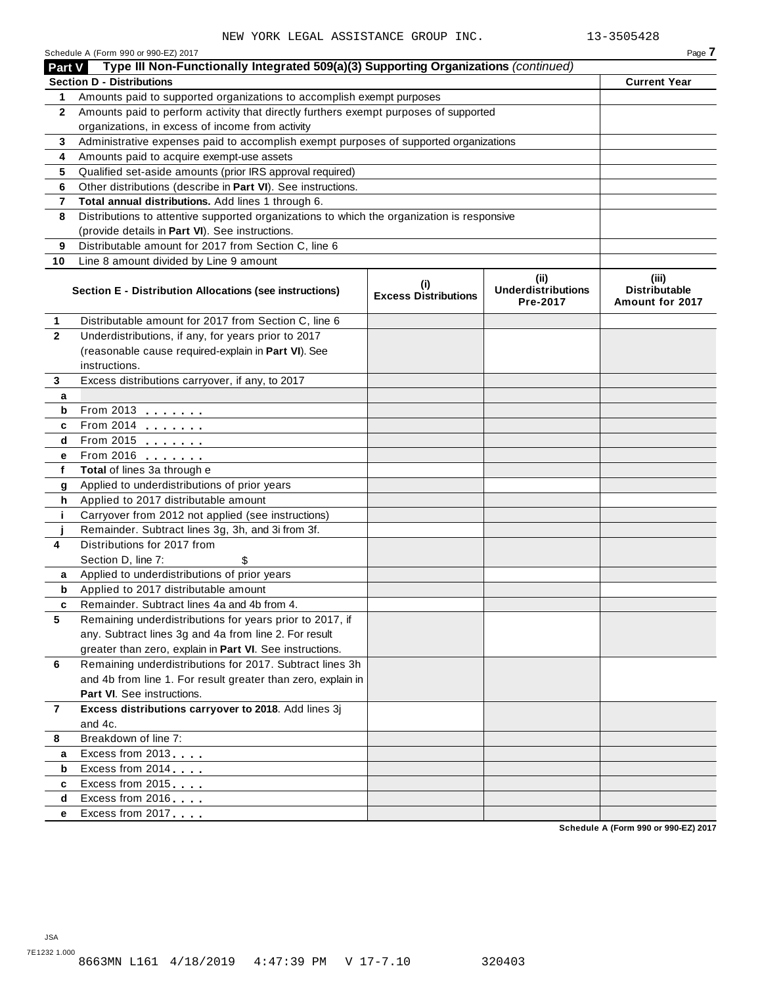|               | NEW YORK LEGAL ASSISTANCE GROUP INC.                                                       |                                            |                                               | 13-3505428                                       |
|---------------|--------------------------------------------------------------------------------------------|--------------------------------------------|-----------------------------------------------|--------------------------------------------------|
|               | Schedule A (Form 990 or 990-EZ) 2017                                                       |                                            |                                               | Page 7                                           |
| <b>Part V</b> | Type III Non-Functionally Integrated 509(a)(3) Supporting Organizations (continued)        |                                            |                                               |                                                  |
|               | <b>Section D - Distributions</b>                                                           |                                            |                                               | <b>Current Year</b>                              |
| 1.            | Amounts paid to supported organizations to accomplish exempt purposes                      |                                            |                                               |                                                  |
| 2             | Amounts paid to perform activity that directly furthers exempt purposes of supported       |                                            |                                               |                                                  |
|               | organizations, in excess of income from activity                                           |                                            |                                               |                                                  |
| 3             | Administrative expenses paid to accomplish exempt purposes of supported organizations      |                                            |                                               |                                                  |
| 4             | Amounts paid to acquire exempt-use assets                                                  |                                            |                                               |                                                  |
| 5             | Qualified set-aside amounts (prior IRS approval required)                                  |                                            |                                               |                                                  |
| 6             | Other distributions (describe in Part VI). See instructions.                               |                                            |                                               |                                                  |
| 7             | Total annual distributions. Add lines 1 through 6.                                         |                                            |                                               |                                                  |
| 8             | Distributions to attentive supported organizations to which the organization is responsive |                                            |                                               |                                                  |
|               | (provide details in Part VI). See instructions.                                            |                                            |                                               |                                                  |
| 9             | Distributable amount for 2017 from Section C, line 6                                       |                                            |                                               |                                                  |
| 10            | Line 8 amount divided by Line 9 amount                                                     |                                            |                                               |                                                  |
|               | Section E - Distribution Allocations (see instructions)                                    | $\sf^{(i)}$<br><b>Excess Distributions</b> | (ii)<br><b>Underdistributions</b><br>Pre-2017 | (iii)<br><b>Distributable</b><br>Amount for 2017 |
| 1             | Distributable amount for 2017 from Section C, line 6                                       |                                            |                                               |                                                  |
| $\mathbf{2}$  | Underdistributions, if any, for years prior to 2017                                        |                                            |                                               |                                                  |
|               | (reasonable cause required-explain in Part VI). See                                        |                                            |                                               |                                                  |
|               | instructions.                                                                              |                                            |                                               |                                                  |
| 3             | Excess distributions carryover, if any, to 2017                                            |                                            |                                               |                                                  |
| a             |                                                                                            |                                            |                                               |                                                  |
| b             | From 2013                                                                                  |                                            |                                               |                                                  |
| c             | From 2014                                                                                  |                                            |                                               |                                                  |
| d             | From 2015                                                                                  |                                            |                                               |                                                  |
| е             | From 2016 <b>Figure 1.1</b>                                                                |                                            |                                               |                                                  |
| f             | Total of lines 3a through e                                                                |                                            |                                               |                                                  |
| g             | Applied to underdistributions of prior years                                               |                                            |                                               |                                                  |
| h             | Applied to 2017 distributable amount                                                       |                                            |                                               |                                                  |
| j.            | Carryover from 2012 not applied (see instructions)                                         |                                            |                                               |                                                  |
|               | Remainder. Subtract lines 3g, 3h, and 3i from 3f.                                          |                                            |                                               |                                                  |
| 4             | Distributions for 2017 from                                                                |                                            |                                               |                                                  |
|               | Section D, line 7:                                                                         |                                            |                                               |                                                  |
| a             | Applied to underdistributions of prior years                                               |                                            |                                               |                                                  |
| b             | Applied to 2017 distributable amount                                                       |                                            |                                               |                                                  |
| C             | Remainder, Subtract lines 4a and 4b from 4.                                                |                                            |                                               |                                                  |
| 5             | Remaining underdistributions for years prior to 2017, if                                   |                                            |                                               |                                                  |
|               | any. Subtract lines 3g and 4a from line 2. For result                                      |                                            |                                               |                                                  |
|               | greater than zero, explain in Part VI. See instructions.                                   |                                            |                                               |                                                  |
| 6             | Remaining underdistributions for 2017. Subtract lines 3h                                   |                                            |                                               |                                                  |
|               | and 4b from line 1. For result greater than zero, explain in                               |                                            |                                               |                                                  |
|               | <b>Part VI.</b> See instructions.                                                          |                                            |                                               |                                                  |
| 7             | Excess distributions carryover to 2018. Add lines 3j                                       |                                            |                                               |                                                  |
|               | and 4c.                                                                                    |                                            |                                               |                                                  |
| 8             | Breakdown of line 7:                                                                       |                                            |                                               |                                                  |
| а             | Excess from 2013                                                                           |                                            |                                               |                                                  |
| b             | Excess from 2014                                                                           |                                            |                                               |                                                  |
| C             | Excess from 2015                                                                           |                                            |                                               |                                                  |
| d             | Excess from 2016                                                                           |                                            |                                               |                                                  |
| e             | Excess from 2017                                                                           |                                            |                                               |                                                  |
|               |                                                                                            |                                            |                                               | Schodule A (Form 990 or 990-F7) 2017             |

**Schedule A (Form 990 or 990-EZ) 2017**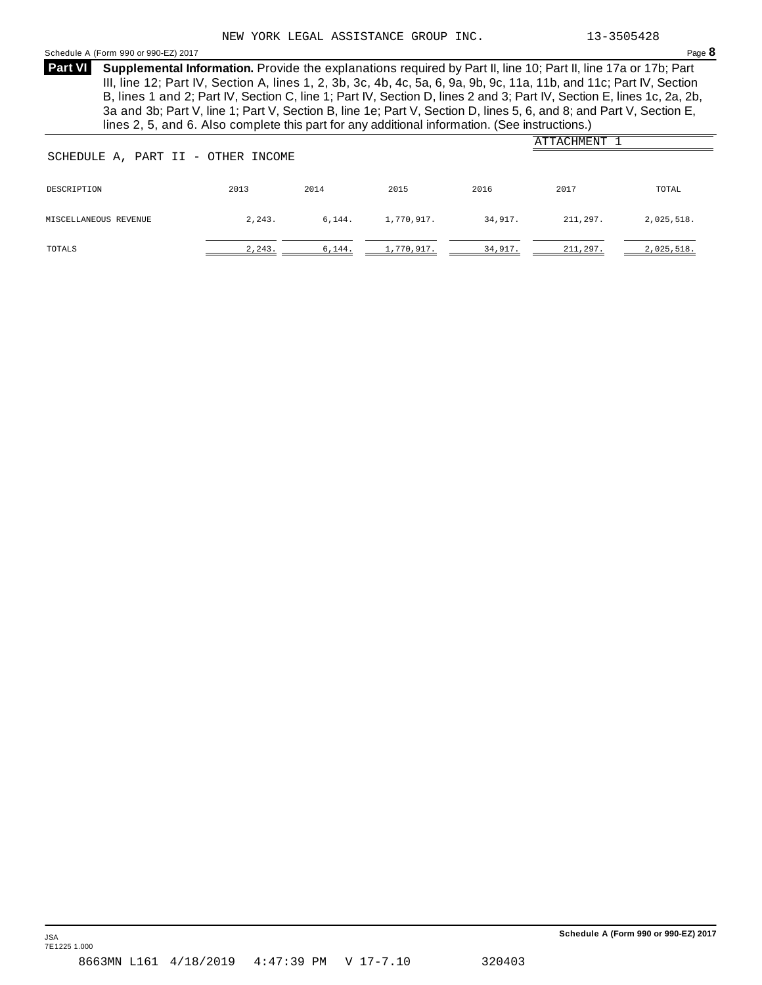<span id="page-20-0"></span>Schedule <sup>A</sup> (Form <sup>990</sup> or 990-EZ) <sup>2017</sup> Page **8**

**Supplemental Information.** Provide the explanations required by Part II, line 10; Part II, line 17a or 17b; Part **Part VI** III, line 12; Part IV, Section A, lines 1, 2, 3b, 3c, 4b, 4c, 5a, 6, 9a, 9b, 9c, 11a, 11b, and 11c; Part IV, Section B, lines 1 and 2; Part IV, Section C, line 1; Part IV, Section D, lines 2 and 3; Part IV, Section E, lines 1c, 2a, 2b, 3a and 3b; Part V, line 1; Part V, Section B, line 1e; Part V, Section D, lines 5, 6, and 8; and Part V, Section E, lines 2, 5, and 6. Also complete this part for any additional information. (See instructions.)

| SCHEDULE A, PART II - OTHER INCOME |        |        |            |         | ATTACHMENT |            |
|------------------------------------|--------|--------|------------|---------|------------|------------|
| DESCRIPTION                        | 2013   | 2014   | 2015       | 2016    | 2017       | TOTAL      |
| MISCELLANEOUS REVENUE              | 2,243. | 6,144. | 1,770,917. | 34,917. | 211,297.   | 2,025,518. |
| TOTALS                             | 2,243. | 6,144. | 1,770,917. | 34,917. | 211,297.   | 2,025,518. |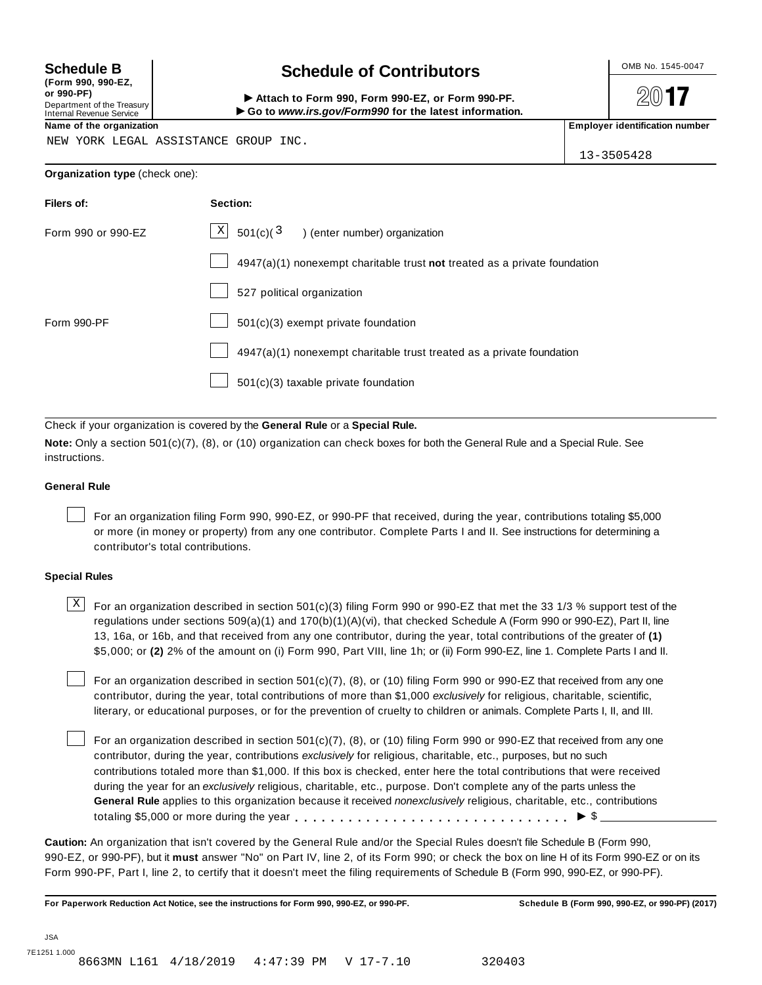**(Form 990, 990-EZ, or 990-PF)** Department of the Treasury<br>Internal Revenue Service

## **Schedule B**  $\leftarrow$  **Contributors**

(Porm 990, Form 990, Form 990-EZ, or Form 990-PF.<br>Department of the Treasury → Attach to Form 990, Form 990-EZ, or Form 990-PF.<br>Internal Revenue Service → → Go to www.irs.gov/Form990 for the latest information.<br>Name of th

 $20$ **17** 

NEW YORK LEGAL ASSISTANCE GROUP INC.

13-3505428

| Filers of:         | Section:                                                                  |
|--------------------|---------------------------------------------------------------------------|
| Form 990 or 990-EZ | $\mathbb{X}$ 501(c)( $^3$ ) (enter number) organization                   |
|                    | 4947(a)(1) nonexempt charitable trust not treated as a private foundation |
|                    | 527 political organization                                                |
| Form 990-PF        | 501(c)(3) exempt private foundation                                       |
|                    | 4947(a)(1) nonexempt charitable trust treated as a private foundation     |
|                    | $501(c)(3)$ taxable private foundation                                    |

Check if your organization is covered by the **General Rule** or a **Special Rule.**

**Note:** Only a section 501(c)(7), (8), or (10) organization can check boxes for both the General Rule and a Special Rule. See instructions.

## **General Rule**

For an organization filing Form 990, 990-EZ, or 990-PF that received, during the year, contributions totaling \$5,000 or more (in money or property) from any one contributor. Complete Parts I and II. See instructions for determining a contributor's total contributions.

## **Special Rules**

 $\text{X}$  For an organization described in section 501(c)(3) filing Form 990 or 990-EZ that met the 33 1/3 % support test of the regulations under sections 509(a)(1) and 170(b)(1)(A)(vi), that checked Schedule A (Form 990 or 990-EZ), Part II, line 13, 16a, or 16b, and that received from any one contributor, during the year, total contributions of the greater of **(1)** \$5,000; or **(2)** 2% of the amount on (i) Form 990, Part VIII, line 1h; or (ii) Form 990-EZ, line 1. Complete Parts I and II.

For an organization described in section 501(c)(7), (8), or (10) filing Form 990 or 990-EZ that received from any one contributor, during the year, total contributions of more than \$1,000 *exclusively* for religious, charitable, scientific, literary, or educational purposes, or for the prevention of cruelty to children or animals. Complete Parts I, II, and III.

For an organization described in section 501(c)(7), (8), or (10) filing Form 990 or 990-EZ that received from any one contributor, during the year, contributions *exclusively* for religious, charitable, etc., purposes, but no such contributions totaled more than \$1,000. If this box is checked, enter here the total contributions that were received during the year for an *exclusively* religious, charitable, etc., purpose. Don't complete any of the parts unless the **General Rule** applies to this organization because it received *nonexclusively* religious, charitable, etc., contributions totaling \$5,000 or more during the year m m m m m m m m m m m m m m m m m m m m m m m m m m m m m m m I \$

**Caution:** An organization that isn't covered by the General Rule and/or the Special Rules doesn't file Schedule B (Form 990, 990-EZ, or 990-PF), but it **must** answer "No" on Part IV, line 2, of its Form 990; or check the box on line H of its Form 990-EZ or on its Form 990-PF, Part I, line 2, to certify that it doesn't meet the filing requirements of Schedule B (Form 990, 990-EZ, or 990-PF).

For Paperwork Reduction Act Notice, see the instructions for Form 990, 990-EZ, or 990-PF. Schedule B (Form 990, 990-EZ, or 990-PF) (2017)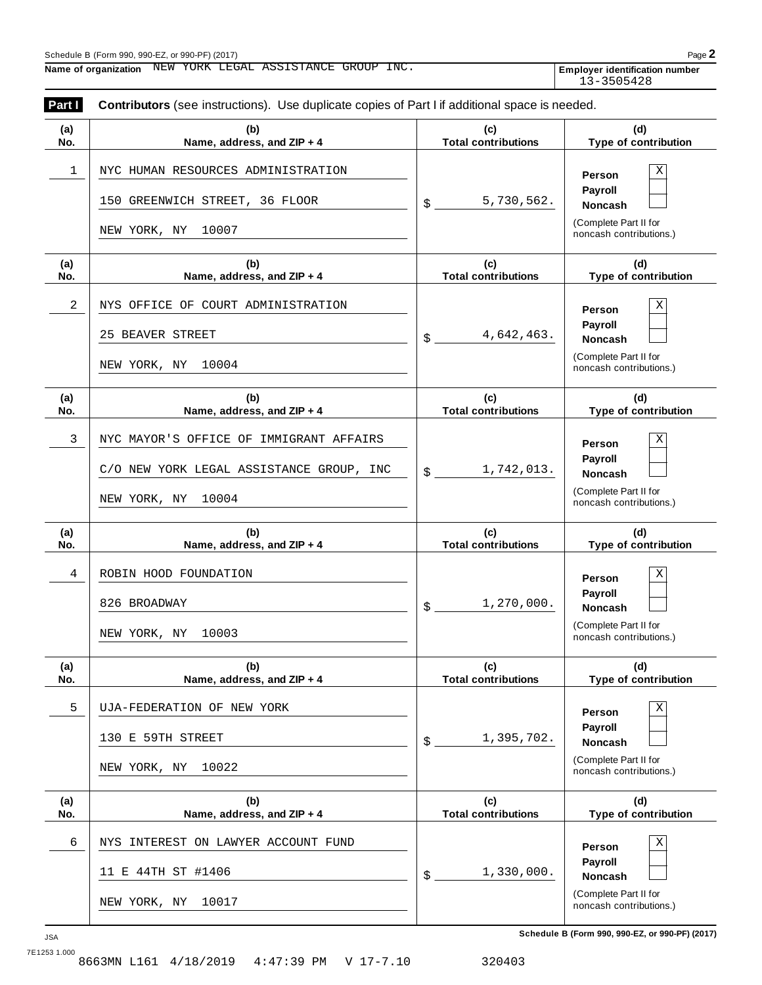| Part I      | <b>Contributors</b> (see instructions). Use duplicate copies of Part I if additional space is needed.        |                                   |                                                                                                     |  |  |  |
|-------------|--------------------------------------------------------------------------------------------------------------|-----------------------------------|-----------------------------------------------------------------------------------------------------|--|--|--|
| (a)<br>No.  | (b)<br>Name, address, and ZIP + 4                                                                            | (c)<br><b>Total contributions</b> | (d)<br>Type of contribution                                                                         |  |  |  |
| $\mathbf 1$ | NYC HUMAN RESOURCES ADMINISTRATION<br>150 GREENWICH STREET, 36 FLOOR<br>10007<br>NEW YORK, NY                | 5,730,562.<br>$\mathfrak{L}$      | Χ<br>Person<br>Payroll<br><b>Noncash</b><br>(Complete Part II for<br>noncash contributions.)        |  |  |  |
| (a)<br>No.  | (b)<br>Name, address, and ZIP + 4                                                                            | (c)<br><b>Total contributions</b> | (d)<br>Type of contribution                                                                         |  |  |  |
| 2           | NYS OFFICE OF COURT ADMINISTRATION<br>25 BEAVER STREET<br>10004<br>NEW YORK, NY                              | 4,642,463.<br>$\mathfrak{L}$      | Χ<br>Person<br><b>Payroll</b><br><b>Noncash</b><br>(Complete Part II for<br>noncash contributions.) |  |  |  |
| (a)<br>No.  | (b)<br>Name, address, and ZIP + 4                                                                            | (c)<br><b>Total contributions</b> | (d)<br>Type of contribution                                                                         |  |  |  |
| 3           | NYC MAYOR'S OFFICE OF IMMIGRANT AFFAIRS<br>C/O NEW YORK LEGAL ASSISTANCE GROUP, INC<br>10004<br>NEW YORK, NY | 1,742,013.<br>\$                  | Х<br>Person<br><b>Payroll</b><br><b>Noncash</b><br>(Complete Part II for<br>noncash contributions.) |  |  |  |
|             |                                                                                                              |                                   |                                                                                                     |  |  |  |
| (a)<br>No.  | (b)<br>Name, address, and ZIP + 4                                                                            | (c)<br><b>Total contributions</b> | (d)<br>Type of contribution                                                                         |  |  |  |
| 4           | ROBIN HOOD FOUNDATION<br>826 BROADWAY<br>10003<br>NEW YORK, NY                                               | 1,270,000.<br>\$                  | Х<br>Person<br>Payroll<br><b>Noncash</b><br>(Complete Part II for<br>noncash contributions.)        |  |  |  |
| (a)<br>No.  | (b)<br>Name, address, and ZIP + 4                                                                            | (c)<br><b>Total contributions</b> | (d)<br>Type of contribution                                                                         |  |  |  |
| 5           | UJA-FEDERATION OF NEW YORK<br>130 E 59TH STREET<br>10022<br>NEW YORK, NY                                     | 1,395,702.<br>\$                  | Χ<br>Person<br>Payroll<br><b>Noncash</b><br>(Complete Part II for<br>noncash contributions.)        |  |  |  |
| (a)<br>No.  | (b)<br>Name, address, and ZIP + 4                                                                            | (c)<br><b>Total contributions</b> | (d)<br>Type of contribution                                                                         |  |  |  |
| 6           | NYS INTEREST ON LAWYER ACCOUNT FUND                                                                          |                                   | Χ<br>Person                                                                                         |  |  |  |
|             | 11 E 44TH ST #1406                                                                                           | 1,330,000.<br>\$                  | Payroll<br><b>Noncash</b><br>(Complete Part II for                                                  |  |  |  |

**Schedule B (Form 990, 990-EZ, or 990-PF) (2017)** JSA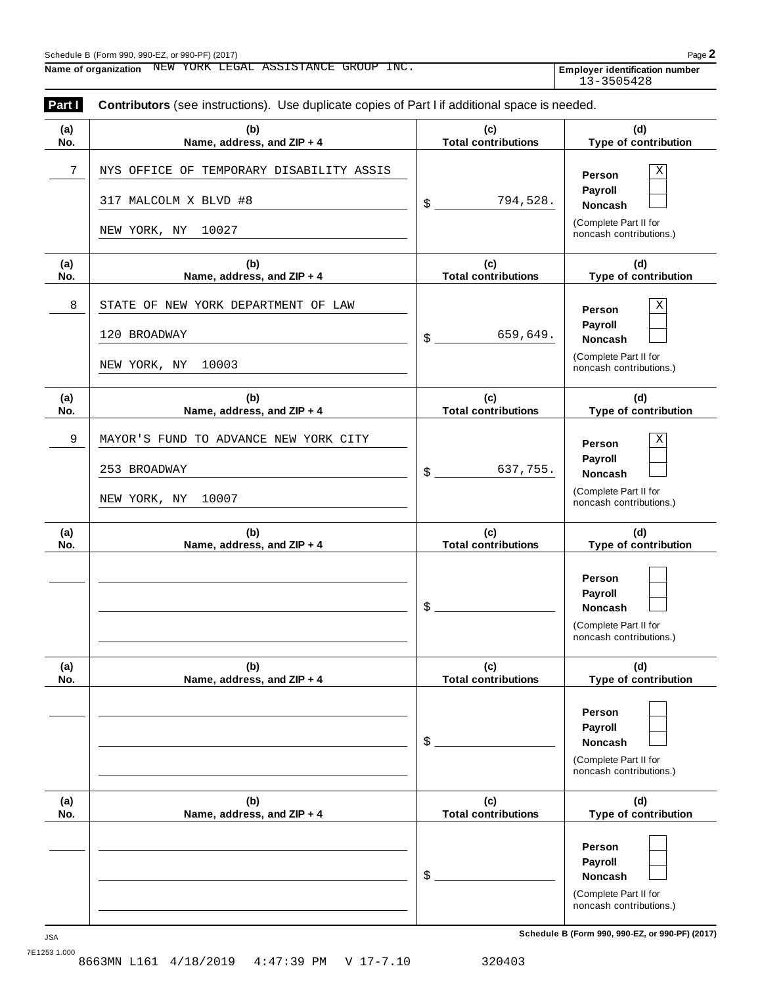**Name of organization** NEW YORK LEGAL ASSISTANCE GROUP INC. **The substitution is a set of the set of the set of the set of the set of the set of the set of the set of the set of the set of the set of the set of the set o** 

Employer identification number<br>13-3505428

| Part I     | Contributors (see instructions). Use duplicate copies of Part I if additional space is needed. |                                   |                                                                                  |
|------------|------------------------------------------------------------------------------------------------|-----------------------------------|----------------------------------------------------------------------------------|
| (a)<br>No. | (b)<br>Name, address, and ZIP + 4                                                              | (c)<br><b>Total contributions</b> | (d)<br>Type of contribution                                                      |
| 7          | NYS OFFICE OF TEMPORARY DISABILITY ASSIS                                                       |                                   | Χ<br>Person<br>Payroll                                                           |
|            | 317 MALCOLM X BLVD #8                                                                          | 794,528.<br>\$                    | <b>Noncash</b><br>(Complete Part II for                                          |
|            | 10027<br>NEW YORK, NY                                                                          |                                   | noncash contributions.)                                                          |
| (a)<br>No. | (b)<br>Name, address, and ZIP + 4                                                              | (c)<br><b>Total contributions</b> | (d)<br>Type of contribution                                                      |
| 8          | STATE OF NEW YORK DEPARTMENT OF LAW                                                            |                                   | Χ<br>Person<br>Payroll                                                           |
|            | 120 BROADWAY                                                                                   | 659,649.<br>\$                    | Noncash<br>(Complete Part II for                                                 |
|            | 10003<br>NEW YORK, NY                                                                          |                                   | noncash contributions.)                                                          |
| (a)<br>No. | (b)<br>Name, address, and ZIP + 4                                                              | (c)<br><b>Total contributions</b> | (d)<br>Type of contribution                                                      |
| 9          | MAYOR'S FUND TO ADVANCE NEW YORK CITY                                                          |                                   | Χ<br>Person                                                                      |
|            | 253 BROADWAY                                                                                   | 637,755.<br>\$                    | Payroll<br>Noncash                                                               |
|            | 10007<br>NEW YORK, NY                                                                          |                                   | (Complete Part II for<br>noncash contributions.)                                 |
| (a)<br>No. | (b)<br>Name, address, and ZIP + 4                                                              | (c)<br><b>Total contributions</b> | (d)<br>Type of contribution                                                      |
|            |                                                                                                | \$                                | Person<br>Payroll<br>Noncash<br>(Complete Part II for<br>noncash contributions.) |
| (a)<br>No. | (b)<br>Name, address, and ZIP + 4                                                              | (c)<br><b>Total contributions</b> | (d)<br>Type of contribution                                                      |
|            |                                                                                                | \$                                | Person<br>Payroll<br>Noncash<br>(Complete Part II for<br>noncash contributions.) |
| (a)<br>No. | (b)<br>Name, address, and ZIP + 4                                                              | (c)<br><b>Total contributions</b> | (d)<br>Type of contribution                                                      |
|            |                                                                                                | \$                                | Person<br>Payroll<br>Noncash<br>(Complete Part II for<br>noncash contributions.) |

**Schedule B (Form 990, 990-EZ, or 990-PF) (2017)** JSA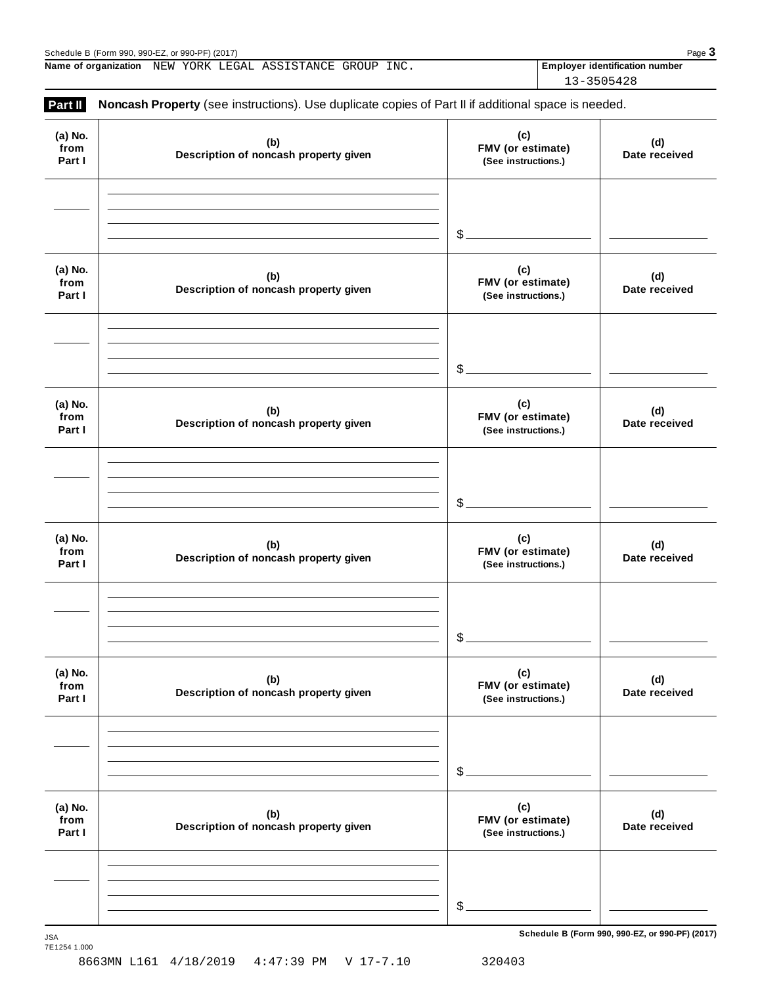Schedule B (Form 990, 990-EZ, or 990-PF) (2017)<br> **Name of organization** NEW YORK LEGAL ASSISTANCE GROUP INC. **Page 3 Page 3 Name of organization** NEW YORK LEGAL ASSISTANCE GROUP INC. **Employer** identification number

13-3505428

| Part II                   | Noncash Property (see instructions). Use duplicate copies of Part II if additional space is needed. |                                                 |                      |
|---------------------------|-----------------------------------------------------------------------------------------------------|-------------------------------------------------|----------------------|
| (a) No.<br>from<br>Part I | (b)<br>Description of noncash property given                                                        | (c)<br>FMV (or estimate)<br>(See instructions.) | (d)<br>Date received |
|                           |                                                                                                     | $\frac{1}{2}$                                   |                      |
| (a) No.<br>from<br>Part I | (b)<br>Description of noncash property given                                                        | (c)<br>FMV (or estimate)<br>(See instructions.) | (d)<br>Date received |
|                           |                                                                                                     | $\frac{2}{2}$                                   |                      |
| (a) No.<br>from<br>Part I | (b)<br>Description of noncash property given                                                        | (c)<br>FMV (or estimate)<br>(See instructions.) | (d)<br>Date received |
|                           |                                                                                                     | $\frac{1}{2}$                                   |                      |
| (a) No.<br>from<br>Part I | (b)<br>Description of noncash property given                                                        | (c)<br>FMV (or estimate)<br>(See instructions.) | (d)<br>Date received |
|                           |                                                                                                     | $$$ .                                           |                      |
| (a) No.<br>from<br>Part I | (b)<br>Description of noncash property given                                                        | (c)<br>FMV (or estimate)<br>(See instructions.) | (d)<br>Date received |
|                           |                                                                                                     | \$                                              |                      |
| (a) No.<br>from<br>Part I | (b)<br>Description of noncash property given                                                        | (c)<br>FMV (or estimate)<br>(See instructions.) | (d)<br>Date received |
|                           |                                                                                                     |                                                 |                      |
|                           |                                                                                                     | $$$ .                                           |                      |

 $S$ chedule B (Form 990, 990-EZ, or 990-PF) (2017)

8663MN L161 4/18/2019 4:47:39 PM V 17-7.10 320403

7E1254 1.000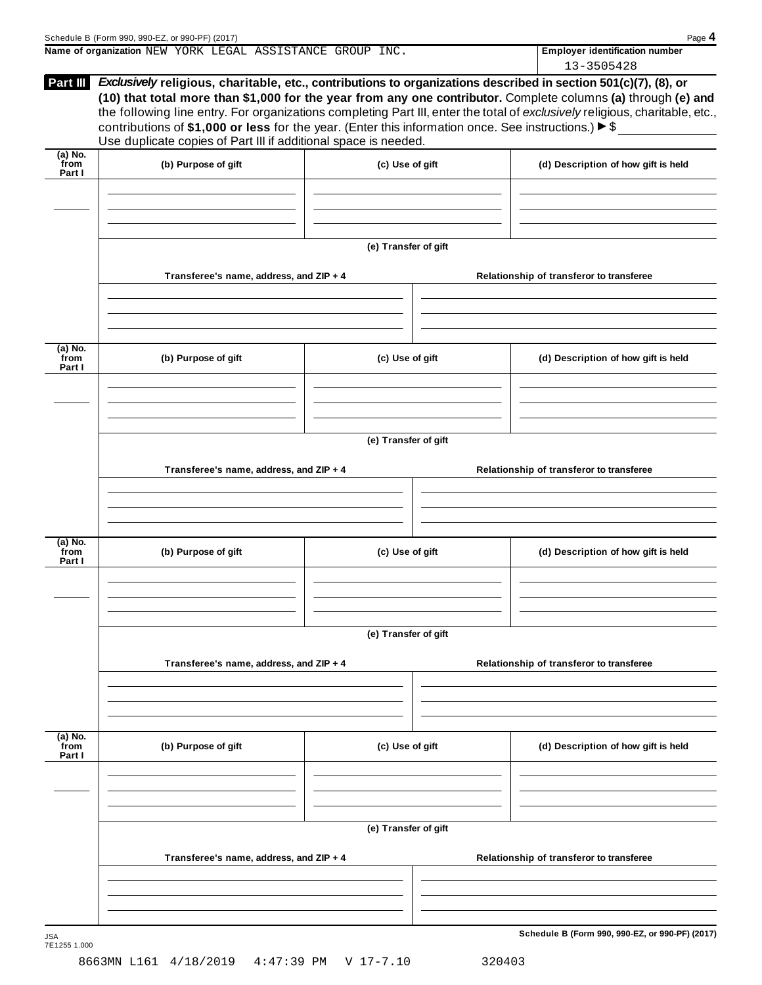|                             | Name of organization NEW YORK LEGAL ASSISTANCE GROUP INC.                                                                                                                                                                                                                                                                                                                                                                                                                                                                                                                |                      | <b>Employer identification number</b><br>13-3505428 |
|-----------------------------|--------------------------------------------------------------------------------------------------------------------------------------------------------------------------------------------------------------------------------------------------------------------------------------------------------------------------------------------------------------------------------------------------------------------------------------------------------------------------------------------------------------------------------------------------------------------------|----------------------|-----------------------------------------------------|
|                             | Part III Exclusively religious, charitable, etc., contributions to organizations described in section 501(c)(7), (8), or<br>(10) that total more than \$1,000 for the year from any one contributor. Complete columns (a) through (e) and<br>the following line entry. For organizations completing Part III, enter the total of exclusively religious, charitable, etc.,<br>contributions of \$1,000 or less for the year. (Enter this information once. See instructions.) $\blacktriangleright$ \$<br>Use duplicate copies of Part III if additional space is needed. |                      |                                                     |
| $(a)$ No.<br>from<br>Part I | (b) Purpose of gift                                                                                                                                                                                                                                                                                                                                                                                                                                                                                                                                                      | (c) Use of gift      | (d) Description of how gift is held                 |
|                             |                                                                                                                                                                                                                                                                                                                                                                                                                                                                                                                                                                          |                      |                                                     |
|                             |                                                                                                                                                                                                                                                                                                                                                                                                                                                                                                                                                                          | (e) Transfer of gift |                                                     |
|                             | Transferee's name, address, and ZIP + 4                                                                                                                                                                                                                                                                                                                                                                                                                                                                                                                                  |                      | Relationship of transferor to transferee            |
| $(a)$ No.<br>from<br>Part I | (b) Purpose of gift                                                                                                                                                                                                                                                                                                                                                                                                                                                                                                                                                      | (c) Use of gift      | (d) Description of how gift is held                 |
|                             |                                                                                                                                                                                                                                                                                                                                                                                                                                                                                                                                                                          |                      |                                                     |
|                             |                                                                                                                                                                                                                                                                                                                                                                                                                                                                                                                                                                          | (e) Transfer of gift |                                                     |
|                             | Transferee's name, address, and ZIP + 4                                                                                                                                                                                                                                                                                                                                                                                                                                                                                                                                  |                      | Relationship of transferor to transferee            |
| (a) No.<br>from<br>Part I   | (b) Purpose of gift                                                                                                                                                                                                                                                                                                                                                                                                                                                                                                                                                      | (c) Use of gift      | (d) Description of how gift is held                 |
|                             |                                                                                                                                                                                                                                                                                                                                                                                                                                                                                                                                                                          | (e) Transfer of gift |                                                     |
|                             | Transferee's name, address, and ZIP + 4                                                                                                                                                                                                                                                                                                                                                                                                                                                                                                                                  |                      | Relationship of transferor to transferee            |
| $(a)$ No.<br>from<br>Part I | (b) Purpose of gift                                                                                                                                                                                                                                                                                                                                                                                                                                                                                                                                                      | (c) Use of gift      | (d) Description of how gift is held                 |
|                             |                                                                                                                                                                                                                                                                                                                                                                                                                                                                                                                                                                          |                      |                                                     |
|                             |                                                                                                                                                                                                                                                                                                                                                                                                                                                                                                                                                                          | (e) Transfer of gift |                                                     |
|                             | Transferee's name, address, and ZIP + 4                                                                                                                                                                                                                                                                                                                                                                                                                                                                                                                                  |                      | Relationship of transferor to transferee            |
|                             |                                                                                                                                                                                                                                                                                                                                                                                                                                                                                                                                                                          |                      |                                                     |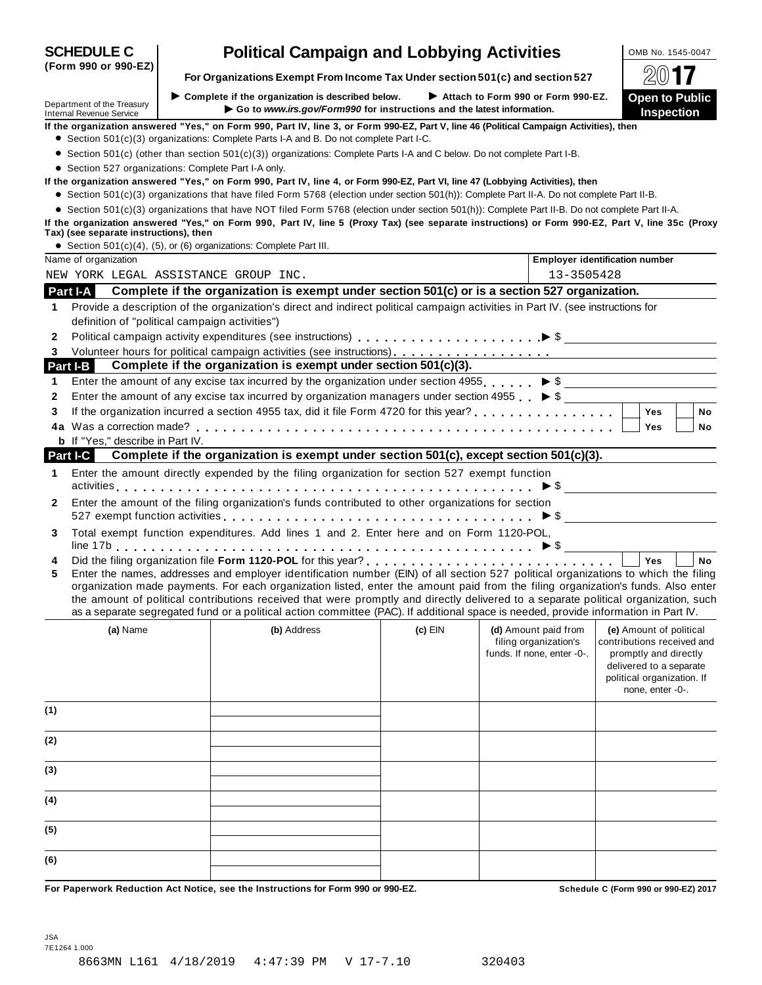| <b>SCHEDULE C</b>                                                                                     | <b>Political Campaign and Lobbying Activities</b>                                                                                                                                                                                                                                                                                                                                                                                                                                                                                                    |         |                                                                             | OMB No. 1545-0047                                                                                                                                           |
|-------------------------------------------------------------------------------------------------------|------------------------------------------------------------------------------------------------------------------------------------------------------------------------------------------------------------------------------------------------------------------------------------------------------------------------------------------------------------------------------------------------------------------------------------------------------------------------------------------------------------------------------------------------------|---------|-----------------------------------------------------------------------------|-------------------------------------------------------------------------------------------------------------------------------------------------------------|
| (Form 990 or 990-EZ)<br>For Organizations Exempt From Income Tax Under section 501(c) and section 527 |                                                                                                                                                                                                                                                                                                                                                                                                                                                                                                                                                      |         |                                                                             | $201$ 17                                                                                                                                                    |
| Department of the Treasury<br>Internal Revenue Service                                                | $\triangleright$ Complete if the organization is described below.<br>Go to www.irs.gov/Form990 for instructions and the latest information.                                                                                                                                                                                                                                                                                                                                                                                                          |         | Attach to Form 990 or Form 990-EZ.                                          | <b>Open to Public</b><br><b>Inspection</b>                                                                                                                  |
|                                                                                                       | If the organization answered "Yes," on Form 990, Part IV, line 3, or Form 990-EZ, Part V, line 46 (Political Campaign Activities), then                                                                                                                                                                                                                                                                                                                                                                                                              |         |                                                                             |                                                                                                                                                             |
|                                                                                                       | • Section 501(c)(3) organizations: Complete Parts I-A and B. Do not complete Part I-C.                                                                                                                                                                                                                                                                                                                                                                                                                                                               |         |                                                                             |                                                                                                                                                             |
|                                                                                                       | • Section 501(c) (other than section 501(c)(3)) organizations: Complete Parts I-A and C below. Do not complete Part I-B.<br>• Section 527 organizations: Complete Part I-A only.                                                                                                                                                                                                                                                                                                                                                                     |         |                                                                             |                                                                                                                                                             |
|                                                                                                       | If the organization answered "Yes," on Form 990, Part IV, line 4, or Form 990-EZ, Part VI, line 47 (Lobbying Activities), then                                                                                                                                                                                                                                                                                                                                                                                                                       |         |                                                                             |                                                                                                                                                             |
|                                                                                                       | • Section 501(c)(3) organizations that have filed Form 5768 (election under section 501(h)): Complete Part II-A. Do not complete Part II-B.                                                                                                                                                                                                                                                                                                                                                                                                          |         |                                                                             |                                                                                                                                                             |
| Tax) (see separate instructions), then                                                                | • Section 501(c)(3) organizations that have NOT filed Form 5768 (election under section 501(h)): Complete Part II-B. Do not complete Part II-A.<br>If the organization answered "Yes," on Form 990, Part IV, line 5 (Proxy Tax) (see separate instructions) or Form 990-EZ, Part V, line 35c (Proxy                                                                                                                                                                                                                                                  |         |                                                                             |                                                                                                                                                             |
|                                                                                                       | • Section 501(c)(4), (5), or (6) organizations: Complete Part III.                                                                                                                                                                                                                                                                                                                                                                                                                                                                                   |         |                                                                             |                                                                                                                                                             |
| Name of organization                                                                                  |                                                                                                                                                                                                                                                                                                                                                                                                                                                                                                                                                      |         | <b>Employer identification number</b>                                       |                                                                                                                                                             |
|                                                                                                       | NEW YORK LEGAL ASSISTANCE GROUP INC.                                                                                                                                                                                                                                                                                                                                                                                                                                                                                                                 |         | 13-3505428                                                                  |                                                                                                                                                             |
| Part I-A                                                                                              | Complete if the organization is exempt under section 501(c) or is a section 527 organization.                                                                                                                                                                                                                                                                                                                                                                                                                                                        |         |                                                                             |                                                                                                                                                             |
| 1                                                                                                     | Provide a description of the organization's direct and indirect political campaign activities in Part IV. (see instructions for                                                                                                                                                                                                                                                                                                                                                                                                                      |         |                                                                             |                                                                                                                                                             |
|                                                                                                       | definition of "political campaign activities")                                                                                                                                                                                                                                                                                                                                                                                                                                                                                                       |         |                                                                             |                                                                                                                                                             |
| 2                                                                                                     |                                                                                                                                                                                                                                                                                                                                                                                                                                                                                                                                                      |         |                                                                             |                                                                                                                                                             |
| 3                                                                                                     |                                                                                                                                                                                                                                                                                                                                                                                                                                                                                                                                                      |         |                                                                             |                                                                                                                                                             |
| <b>Part I-B</b>                                                                                       | Complete if the organization is exempt under section 501(c)(3).                                                                                                                                                                                                                                                                                                                                                                                                                                                                                      |         |                                                                             |                                                                                                                                                             |
| 1                                                                                                     | Enter the amount of any excise tax incurred by the organization under section 4955. $\triangleright$ \$                                                                                                                                                                                                                                                                                                                                                                                                                                              |         |                                                                             |                                                                                                                                                             |
| 2                                                                                                     | Enter the amount of any excise tax incurred by organization managers under section 4955 $\triangleright$ \$                                                                                                                                                                                                                                                                                                                                                                                                                                          |         |                                                                             |                                                                                                                                                             |
| 3                                                                                                     | If the organization incurred a section 4955 tax, did it file Form 4720 for this year?                                                                                                                                                                                                                                                                                                                                                                                                                                                                |         |                                                                             | <b>Yes</b><br><b>No</b>                                                                                                                                     |
| <b>b</b> If "Yes," describe in Part IV.                                                               |                                                                                                                                                                                                                                                                                                                                                                                                                                                                                                                                                      |         |                                                                             | Yes<br>No                                                                                                                                                   |
| <b>Part I-C</b>                                                                                       | Complete if the organization is exempt under section 501(c), except section 501(c)(3).                                                                                                                                                                                                                                                                                                                                                                                                                                                               |         |                                                                             |                                                                                                                                                             |
| 1                                                                                                     | Enter the amount directly expended by the filing organization for section 527 exempt function                                                                                                                                                                                                                                                                                                                                                                                                                                                        |         |                                                                             |                                                                                                                                                             |
|                                                                                                       |                                                                                                                                                                                                                                                                                                                                                                                                                                                                                                                                                      |         |                                                                             |                                                                                                                                                             |
| 2                                                                                                     | Enter the amount of the filing organization's funds contributed to other organizations for section<br>527 exempt function activities $\ldots \ldots \ldots \ldots \ldots \ldots \ldots \ldots \ldots \ldots \ldots \blacktriangleright$ \$ __________________________                                                                                                                                                                                                                                                                                |         |                                                                             |                                                                                                                                                             |
| 3                                                                                                     | Total exempt function expenditures. Add lines 1 and 2. Enter here and on Form 1120-POL,                                                                                                                                                                                                                                                                                                                                                                                                                                                              |         |                                                                             |                                                                                                                                                             |
| 4<br>5                                                                                                | Enter the names, addresses and employer identification number (EIN) of all section 527 political organizations to which the filing<br>organization made payments. For each organization listed, enter the amount paid from the filing organization's funds. Also enter<br>the amount of political contributions received that were promptly and directly delivered to a separate political organization, such<br>as a separate segregated fund or a political action committee (PAC). If additional space is needed, provide information in Part IV. |         |                                                                             | Yes<br><b>No</b>                                                                                                                                            |
| (a) Name                                                                                              | (b) Address                                                                                                                                                                                                                                                                                                                                                                                                                                                                                                                                          | (c) EIN | (d) Amount paid from<br>filing organization's<br>funds. If none, enter -0-. | (e) Amount of political<br>contributions received and<br>promptly and directly<br>delivered to a separate<br>political organization. If<br>none, enter -0-. |
| (1)                                                                                                   |                                                                                                                                                                                                                                                                                                                                                                                                                                                                                                                                                      |         |                                                                             |                                                                                                                                                             |
| (2)                                                                                                   |                                                                                                                                                                                                                                                                                                                                                                                                                                                                                                                                                      |         |                                                                             |                                                                                                                                                             |
| (3)                                                                                                   |                                                                                                                                                                                                                                                                                                                                                                                                                                                                                                                                                      |         |                                                                             |                                                                                                                                                             |
| (4)                                                                                                   |                                                                                                                                                                                                                                                                                                                                                                                                                                                                                                                                                      |         |                                                                             |                                                                                                                                                             |
| (5)                                                                                                   |                                                                                                                                                                                                                                                                                                                                                                                                                                                                                                                                                      |         |                                                                             |                                                                                                                                                             |
| (6)                                                                                                   |                                                                                                                                                                                                                                                                                                                                                                                                                                                                                                                                                      |         |                                                                             |                                                                                                                                                             |
|                                                                                                       | For Paperwork Reduction Act Notice, see the Instructions for Form 990 or 990-EZ.                                                                                                                                                                                                                                                                                                                                                                                                                                                                     |         |                                                                             | Schedule C (Form 990 or 990-EZ) 2017                                                                                                                        |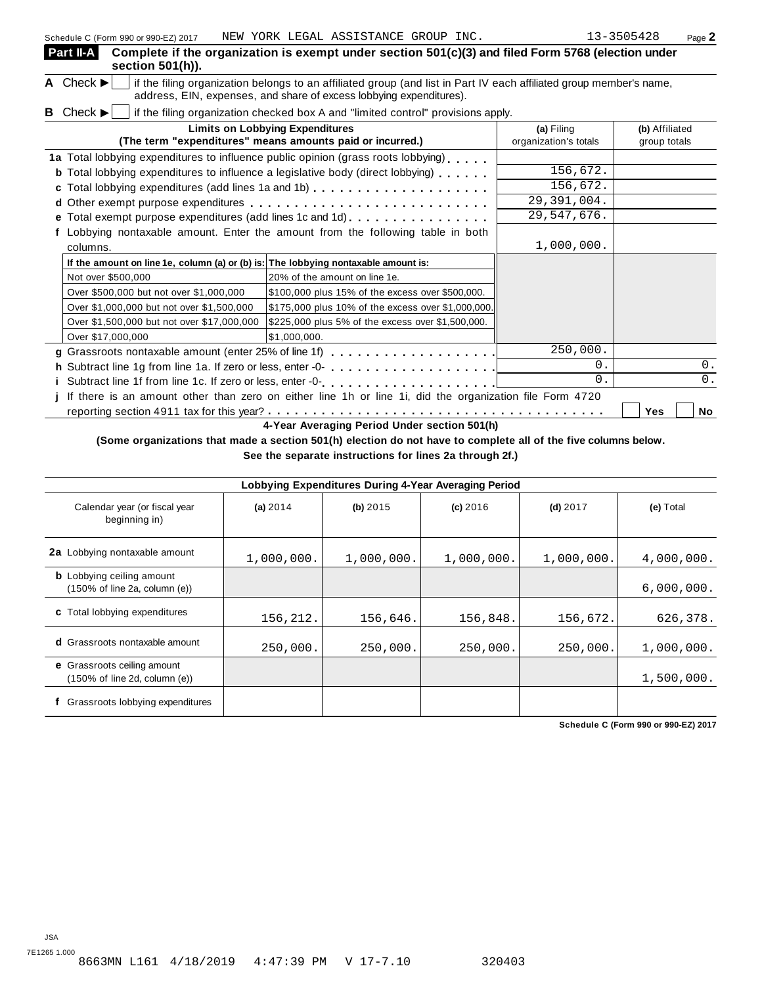| Part II-A<br>section 501(h)).                                                      | Complete if the organization is exempt under section 501(c)(3) and filed Form 5768 (election under                                                                                                                                 |                                     |                                |
|------------------------------------------------------------------------------------|------------------------------------------------------------------------------------------------------------------------------------------------------------------------------------------------------------------------------------|-------------------------------------|--------------------------------|
| A Check $\blacktriangleright$                                                      | if the filing organization belongs to an affiliated group (and list in Part IV each affiliated group member's name,<br>address, EIN, expenses, and share of excess lobbying expenditures).                                         |                                     |                                |
| <b>B</b> Check $\blacktriangleright$                                               | if the filing organization checked box A and "limited control" provisions apply.                                                                                                                                                   |                                     |                                |
|                                                                                    | <b>Limits on Lobbying Expenditures</b><br>(The term "expenditures" means amounts paid or incurred.)                                                                                                                                | (a) Filing<br>organization's totals | (b) Affiliated<br>group totals |
|                                                                                    | 1a Total lobbying expenditures to influence public opinion (grass roots lobbying)<br><b>b</b> Total lobbying expenditures to influence a legislative body (direct lobbying)<br>c Total lobbying expenditures (add lines 1a and 1b) | 156,672.<br>156,672.                |                                |
|                                                                                    | e Total exempt purpose expenditures (add lines 1c and 1d)<br>Lobbying nontaxable amount. Enter the amount from the following table in both                                                                                         | 29,391,004.<br>29,547,676.          |                                |
| columns.                                                                           |                                                                                                                                                                                                                                    | 1,000,000.                          |                                |
| If the amount on line 1e, column (a) or (b) is: The lobbying nontaxable amount is: |                                                                                                                                                                                                                                    |                                     |                                |
| Not over \$500,000                                                                 | 20% of the amount on line 1e.                                                                                                                                                                                                      |                                     |                                |
| Over \$500,000 but not over \$1,000,000                                            | \$100,000 plus 15% of the excess over \$500,000.                                                                                                                                                                                   |                                     |                                |
| Over \$1,000,000 but not over \$1,500,000                                          | \$175,000 plus 10% of the excess over \$1,000,000.                                                                                                                                                                                 |                                     |                                |
| Over \$1,500,000 but not over \$17,000,000                                         | \$225,000 plus 5% of the excess over \$1,500,000.                                                                                                                                                                                  |                                     |                                |
| Over \$17,000,000                                                                  | \$1,000,000.                                                                                                                                                                                                                       |                                     |                                |
|                                                                                    | g Grassroots nontaxable amount (enter 25% of line 1f)                                                                                                                                                                              | 250,000.                            |                                |
|                                                                                    |                                                                                                                                                                                                                                    | 0.                                  | 0.                             |
|                                                                                    |                                                                                                                                                                                                                                    | $0$ .                               | $0$ .                          |
|                                                                                    | If there is an amount other than zero on either line 1h or line 1i, did the organization file Form 4720                                                                                                                            |                                     |                                |
|                                                                                    |                                                                                                                                                                                                                                    |                                     | Yes<br>No                      |

**4-Year Averaging Period Under section 501(h)**

(Some organizations that made a section 501(h) election do not have to complete all of the five columns below.

**See the separate instructions for lines 2a through 2f.)**

| Lobbying Expenditures During 4-Year Averaging Period                                   |            |            |            |            |            |  |  |
|----------------------------------------------------------------------------------------|------------|------------|------------|------------|------------|--|--|
| Calendar year (or fiscal year<br>beginning in)                                         | (a) $2014$ | (b) 2015   | $(c)$ 2016 | $(d)$ 2017 | (e) Total  |  |  |
| 2a Lobbying nontaxable amount                                                          | 1,000,000. | 1,000,000. | 1,000,000. | 1,000,000. | 4,000,000. |  |  |
| <b>b</b> Lobbying ceiling amount<br>$(150\% \text{ of line } 2a, \text{ column } (e))$ |            |            |            |            | 6,000,000. |  |  |
| <b>c</b> Total lobbying expenditures                                                   | 156,212.   | 156,646.   | 156,848.   | 156,672.   | 626,378.   |  |  |
| <b>d</b> Grassroots nontaxable amount                                                  | 250,000.   | 250,000.   | 250,000.   | 250,000.   | 1,000,000. |  |  |
| e Grassroots ceiling amount<br>$(150\% \text{ of line } 2d, \text{ column } (e))$      |            |            |            |            | 1,500,000. |  |  |
| Grassroots lobbying expenditures                                                       |            |            |            |            |            |  |  |

**Schedule C (Form 990 or 990-EZ) 2017**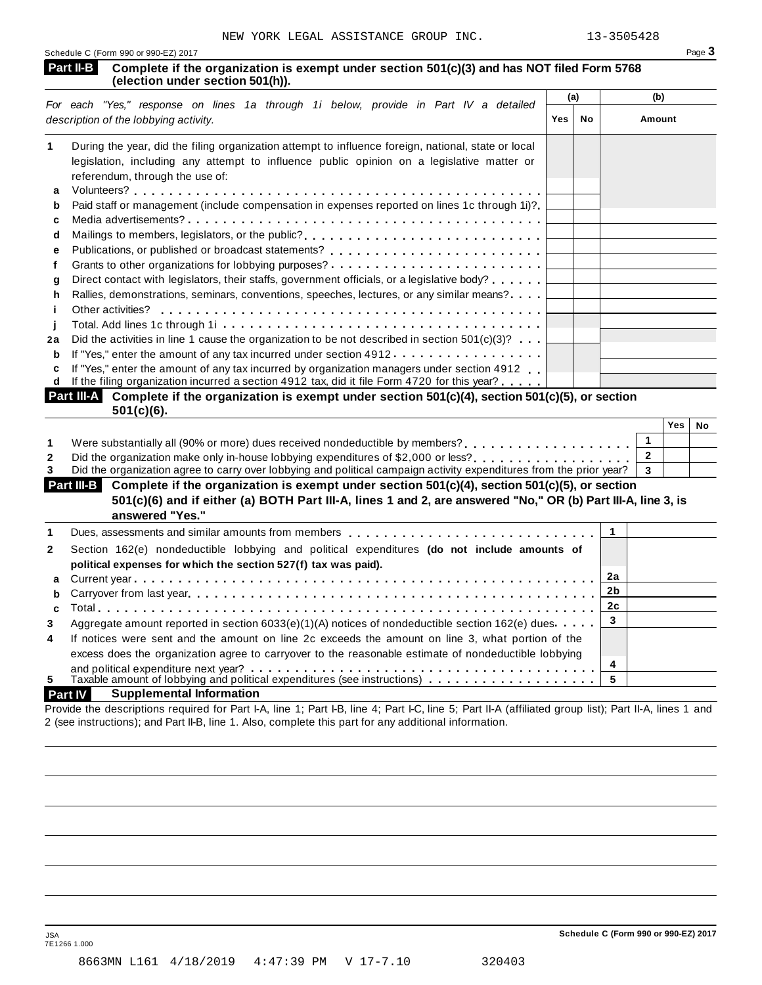| Schedule C (Form 990 or 990-EZ) 2017 | $P$ aqe $\bullet$ |
|--------------------------------------|-------------------|
|                                      |                   |

| <b>Part II-B</b> I | Complete if the organization is exempt under section 501(c)(3) and has NOT filed Form 5768 |  |
|--------------------|--------------------------------------------------------------------------------------------|--|
|                    | (election under section 501(h)).                                                           |  |

|    | For each "Yes," response on lines 1a through 1i below, provide in Part IV a detailed                |            | (a) | (b)    |  |
|----|-----------------------------------------------------------------------------------------------------|------------|-----|--------|--|
|    | description of the lobbying activity.                                                               | <b>Yes</b> | No  | Amount |  |
| 1  | During the year, did the filing organization attempt to influence foreign, national, state or local |            |     |        |  |
|    | legislation, including any attempt to influence public opinion on a legislative matter or           |            |     |        |  |
|    | referendum, through the use of:                                                                     |            |     |        |  |
| a  |                                                                                                     |            |     |        |  |
| b  | Paid staff or management (include compensation in expenses reported on lines 1c through 1i)?        |            |     |        |  |
|    |                                                                                                     |            |     |        |  |
| d  | Mailings to members, legislators, or the public?                                                    |            |     |        |  |
| е  |                                                                                                     |            |     |        |  |
|    |                                                                                                     |            |     |        |  |
| a  | Direct contact with legislators, their staffs, government officials, or a legislative body?         |            |     |        |  |
| h. | Rallies, demonstrations, seminars, conventions, speeches, lectures, or any similar means?           |            |     |        |  |
|    | Other activities?                                                                                   |            |     |        |  |
|    |                                                                                                     |            |     |        |  |
| 2a | Did the activities in line 1 cause the organization to be not described in section $501(c)(3)$ ?    |            |     |        |  |
| b  | If "Yes," enter the amount of any tax incurred under section 4912                                   |            |     |        |  |
| c  | If "Yes," enter the amount of any tax incurred by organization managers under section 4912          |            |     |        |  |
| d  | If the filing organization incurred a section 4912 tax, did it file Form 4720 for this year?        |            |     |        |  |

| <b>Part III-A</b> Complete if the organization is exempt under section $501(c)(4)$ , section $501(c)(5)$ , or section |  |
|-----------------------------------------------------------------------------------------------------------------------|--|
| $501(c)(6)$ .                                                                                                         |  |

|                                                                                                                                                                                                                                | Yes | No |
|--------------------------------------------------------------------------------------------------------------------------------------------------------------------------------------------------------------------------------|-----|----|
| Were substantially all (90% or more) dues received nondeductible by members? [1] [1] year and all year of the substantially all (90% or more) dues received nondeductible by members? [1] year and all year of the substantial |     |    |
|                                                                                                                                                                                                                                |     |    |
| Did the organization agree to carry over lobbying and political campaign activity expenditures from the prior year? $\vert$ 3                                                                                                  |     |    |

**Complete if the organization is exempt under section 501(c)(4), section 501(c)(5), or section Part III-B** 501(c)(6) and if either (a) BOTH Part III-A, lines 1 and 2, are answered "No," OR (b) Part III-A, line 3, is **answered "Yes."**

|                | answered res.                                                                                                               |     |  |
|----------------|-----------------------------------------------------------------------------------------------------------------------------|-----|--|
|                | Dues, assessments and similar amounts from members $\ldots \ldots \ldots \ldots \ldots \ldots \ldots \ldots \ldots \perp 1$ |     |  |
| $\mathbf{2}$   | Section 162(e) nondeductible lobbying and political expenditures (do not include amounts of                                 |     |  |
|                | political expenses for which the section 527(f) tax was paid).                                                              |     |  |
|                |                                                                                                                             | 2a  |  |
|                |                                                                                                                             |     |  |
|                |                                                                                                                             | 2c  |  |
| 3              | Aggregate amount reported in section 6033(e)(1)(A) notices of nondeductible section 162(e) dues                             | - 3 |  |
| $\overline{4}$ | If notices were sent and the amount on line 2c exceeds the amount on line 3, what portion of the                            |     |  |
|                | excess does the organization agree to carryover to the reasonable estimate of nondeductible lobbying                        |     |  |
|                |                                                                                                                             | 4   |  |
| 5              | Taxable amount of lobbying and political expenditures (see instructions) $\ldots \ldots \ldots \ldots \ldots$               |     |  |
|                |                                                                                                                             |     |  |

## **Part IV Supplemental Information**

Provide the descriptions required for Part I-A, line 1; Part I-B, line 4; Part I-C, line 5; Part II-A (affiliated group list); Part II-A, lines 1 and 2 (see instructions); and Part II-B, line 1. Also, complete this part for any additional information.

JSA **Schedule C (Form 990 or 990-EZ) 2017**

JSA<br>7E1266 1.000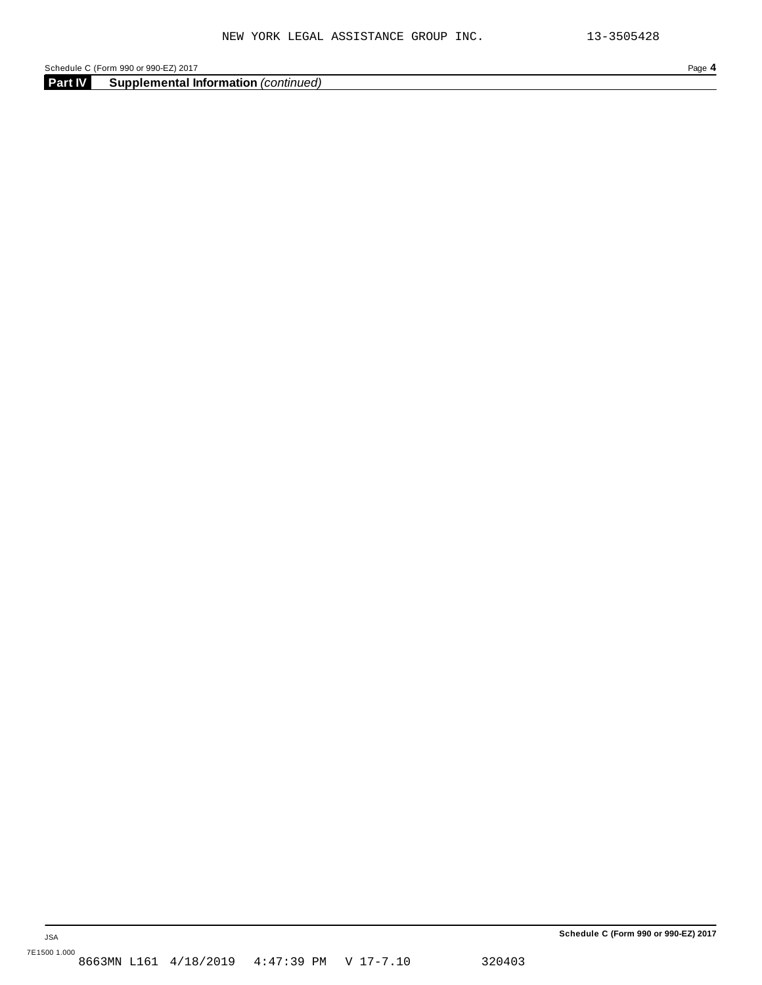**Part IV Supplemental Information** *(continued)*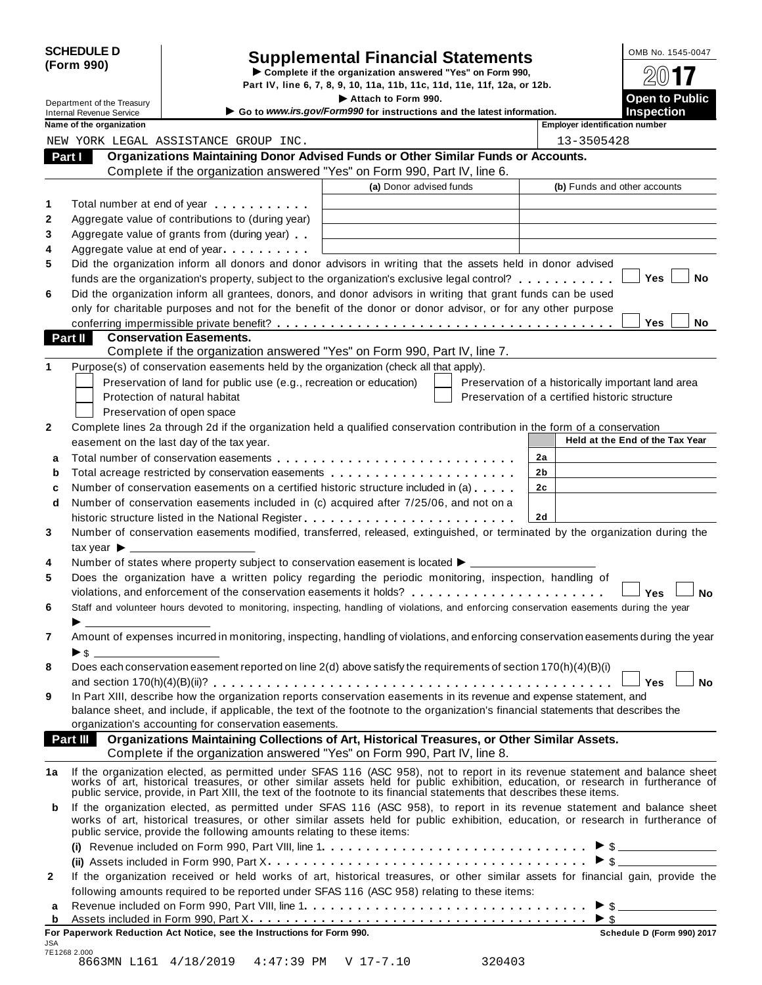| <b>SCHEDULE D</b> |  |
|-------------------|--|
| (Form 990)        |  |

# **SCHEDULE <sup>D</sup>** OMB No. 1545-0047 **Supplemental Financial Statements (Form 990)** <sup>I</sup> **Complete if the organization answered "Yes" on Form 990, Part IV, line 6, 7, 8, 9, 10, 11a, 11b, 11c, 11d, 11e, 11f, 12a, or 12b.** À¾µ»

|                                 |                                       |                                                                                                                                                                                                                                      | Part IV, line 6, 7, 8, 9, 10, 11a, 11b, 11c, 11d, 11e, 11f, 12a, or 12b.                                                                                                                                                       |                                                    | 4V I I                          |  |  |
|---------------------------------|---------------------------------------|--------------------------------------------------------------------------------------------------------------------------------------------------------------------------------------------------------------------------------------|--------------------------------------------------------------------------------------------------------------------------------------------------------------------------------------------------------------------------------|----------------------------------------------------|---------------------------------|--|--|
|                                 | Department of the Treasury            |                                                                                                                                                                                                                                      | Attach to Form 990.                                                                                                                                                                                                            |                                                    | Open to Public                  |  |  |
| <b>Internal Revenue Service</b> |                                       |                                                                                                                                                                                                                                      | Go to www.irs.gov/Form990 for instructions and the latest information.                                                                                                                                                         |                                                    |                                 |  |  |
|                                 | Name of the organization              |                                                                                                                                                                                                                                      |                                                                                                                                                                                                                                | <b>Employer identification number</b>              |                                 |  |  |
|                                 |                                       | NEW YORK LEGAL ASSISTANCE GROUP INC.                                                                                                                                                                                                 |                                                                                                                                                                                                                                | 13-3505428                                         |                                 |  |  |
|                                 | Part I                                |                                                                                                                                                                                                                                      | Organizations Maintaining Donor Advised Funds or Other Similar Funds or Accounts.                                                                                                                                              |                                                    |                                 |  |  |
|                                 |                                       |                                                                                                                                                                                                                                      | Complete if the organization answered "Yes" on Form 990, Part IV, line 6.                                                                                                                                                      |                                                    |                                 |  |  |
|                                 |                                       |                                                                                                                                                                                                                                      | (a) Donor advised funds                                                                                                                                                                                                        | (b) Funds and other accounts                       |                                 |  |  |
| 1                               |                                       | Total number at end of year <b>that the state of the state of the state of the state of the state of the state of the state of the state of the state of the state of the state of the state of the state of the state of the st</b> |                                                                                                                                                                                                                                |                                                    |                                 |  |  |
| 2                               |                                       | Aggregate value of contributions to (during year)                                                                                                                                                                                    |                                                                                                                                                                                                                                |                                                    |                                 |  |  |
| 3                               |                                       | Aggregate value of grants from (during year)                                                                                                                                                                                         |                                                                                                                                                                                                                                |                                                    |                                 |  |  |
| 4                               |                                       | Aggregate value at end of year                                                                                                                                                                                                       |                                                                                                                                                                                                                                |                                                    |                                 |  |  |
| 5                               |                                       |                                                                                                                                                                                                                                      | Did the organization inform all donors and donor advisors in writing that the assets held in donor advised                                                                                                                     |                                                    |                                 |  |  |
|                                 |                                       |                                                                                                                                                                                                                                      | funds are the organization's property, subject to the organization's exclusive legal control?                                                                                                                                  |                                                    | Yes<br>No                       |  |  |
| 6                               |                                       |                                                                                                                                                                                                                                      | Did the organization inform all grantees, donors, and donor advisors in writing that grant funds can be used                                                                                                                   |                                                    |                                 |  |  |
|                                 |                                       |                                                                                                                                                                                                                                      | only for charitable purposes and not for the benefit of the donor or donor advisor, or for any other purpose                                                                                                                   |                                                    |                                 |  |  |
|                                 |                                       |                                                                                                                                                                                                                                      |                                                                                                                                                                                                                                |                                                    | Yes<br>No                       |  |  |
|                                 | Part II                               | <b>Conservation Easements.</b>                                                                                                                                                                                                       |                                                                                                                                                                                                                                |                                                    |                                 |  |  |
|                                 |                                       |                                                                                                                                                                                                                                      | Complete if the organization answered "Yes" on Form 990, Part IV, line 7.                                                                                                                                                      |                                                    |                                 |  |  |
| 1                               |                                       |                                                                                                                                                                                                                                      | Purpose(s) of conservation easements held by the organization (check all that apply).                                                                                                                                          |                                                    |                                 |  |  |
|                                 |                                       | Preservation of land for public use (e.g., recreation or education)                                                                                                                                                                  |                                                                                                                                                                                                                                | Preservation of a historically important land area |                                 |  |  |
|                                 |                                       | Protection of natural habitat                                                                                                                                                                                                        |                                                                                                                                                                                                                                | Preservation of a certified historic structure     |                                 |  |  |
|                                 |                                       | Preservation of open space                                                                                                                                                                                                           |                                                                                                                                                                                                                                |                                                    |                                 |  |  |
| 2                               |                                       |                                                                                                                                                                                                                                      | Complete lines 2a through 2d if the organization held a qualified conservation contribution in the form of a conservation                                                                                                      |                                                    |                                 |  |  |
|                                 |                                       | easement on the last day of the tax year.                                                                                                                                                                                            |                                                                                                                                                                                                                                |                                                    | Held at the End of the Tax Year |  |  |
| a                               |                                       |                                                                                                                                                                                                                                      |                                                                                                                                                                                                                                | 2a                                                 |                                 |  |  |
| b                               |                                       |                                                                                                                                                                                                                                      | Total acreage restricted by conservation easements                                                                                                                                                                             | 2b                                                 |                                 |  |  |
| c                               |                                       |                                                                                                                                                                                                                                      | Number of conservation easements on a certified historic structure included in (a)                                                                                                                                             | 2c                                                 |                                 |  |  |
| d                               |                                       |                                                                                                                                                                                                                                      | Number of conservation easements included in (c) acquired after 7/25/06, and not on a                                                                                                                                          |                                                    |                                 |  |  |
|                                 |                                       |                                                                                                                                                                                                                                      |                                                                                                                                                                                                                                | 2d                                                 |                                 |  |  |
| 3                               |                                       |                                                                                                                                                                                                                                      | Number of conservation easements modified, transferred, released, extinguished, or terminated by the organization during the                                                                                                   |                                                    |                                 |  |  |
|                                 | tax year $\blacktriangleright$ $\_\_$ |                                                                                                                                                                                                                                      |                                                                                                                                                                                                                                |                                                    |                                 |  |  |
| 4                               |                                       | Number of states where property subject to conservation easement is located $\blacktriangleright$ _                                                                                                                                  |                                                                                                                                                                                                                                |                                                    |                                 |  |  |
| 5                               |                                       |                                                                                                                                                                                                                                      | Does the organization have a written policy regarding the periodic monitoring, inspection, handling of                                                                                                                         |                                                    |                                 |  |  |
|                                 |                                       |                                                                                                                                                                                                                                      | violations, and enforcement of the conservation easements it holds? $\ldots$ , $\ldots$ , $\ldots$ , $\ldots$ , $\ldots$ , $\ldots$                                                                                            |                                                    | Yes<br>No                       |  |  |
| 6                               |                                       |                                                                                                                                                                                                                                      | Staff and volunteer hours devoted to monitoring, inspecting, handling of violations, and enforcing conservation easements during the year                                                                                      |                                                    |                                 |  |  |
|                                 |                                       |                                                                                                                                                                                                                                      |                                                                                                                                                                                                                                |                                                    |                                 |  |  |
|                                 |                                       |                                                                                                                                                                                                                                      | Amount of expenses incurred in monitoring, inspecting, handling of violations, and enforcing conservation easements during the year                                                                                            |                                                    |                                 |  |  |
|                                 |                                       |                                                                                                                                                                                                                                      |                                                                                                                                                                                                                                |                                                    |                                 |  |  |
| 8                               |                                       |                                                                                                                                                                                                                                      | Does each conservation easement reported on line 2(d) above satisfy the requirements of section 170(h)(4)(B)(i)                                                                                                                |                                                    |                                 |  |  |
|                                 |                                       |                                                                                                                                                                                                                                      |                                                                                                                                                                                                                                |                                                    | <b>No</b><br>Yes                |  |  |
| 9                               |                                       |                                                                                                                                                                                                                                      | In Part XIII, describe how the organization reports conservation easements in its revenue and expense statement, and                                                                                                           |                                                    |                                 |  |  |
|                                 |                                       |                                                                                                                                                                                                                                      | balance sheet, and include, if applicable, the text of the footnote to the organization's financial statements that describes the                                                                                              |                                                    |                                 |  |  |
|                                 | Part III L                            | organization's accounting for conservation easements.                                                                                                                                                                                |                                                                                                                                                                                                                                |                                                    |                                 |  |  |
|                                 |                                       |                                                                                                                                                                                                                                      | Organizations Maintaining Collections of Art, Historical Treasures, or Other Similar Assets.<br>Complete if the organization answered "Yes" on Form 990, Part IV, line 8.                                                      |                                                    |                                 |  |  |
|                                 |                                       |                                                                                                                                                                                                                                      |                                                                                                                                                                                                                                |                                                    |                                 |  |  |
| 1a                              |                                       |                                                                                                                                                                                                                                      | If the organization elected, as permitted under SFAS 116 (ASC 958), not to report in its revenue statement and balance sheet works of art, historical treasures, or other similar assets held for public exhibition, education |                                                    |                                 |  |  |
| b                               |                                       |                                                                                                                                                                                                                                      | If the organization elected, as permitted under SFAS 116 (ASC 958), to report in its revenue statement and balance sheet                                                                                                       |                                                    |                                 |  |  |
|                                 |                                       |                                                                                                                                                                                                                                      | works of art, historical treasures, or other similar assets held for public exhibition, education, or research in furtherance of                                                                                               |                                                    |                                 |  |  |
|                                 |                                       | public service, provide the following amounts relating to these items:                                                                                                                                                               |                                                                                                                                                                                                                                |                                                    |                                 |  |  |
|                                 |                                       |                                                                                                                                                                                                                                      |                                                                                                                                                                                                                                |                                                    | $\triangleright$ \$             |  |  |
|                                 |                                       |                                                                                                                                                                                                                                      |                                                                                                                                                                                                                                |                                                    |                                 |  |  |
| 2                               |                                       |                                                                                                                                                                                                                                      | If the organization received or held works of art, historical treasures, or other similar assets for financial gain, provide the                                                                                               |                                                    |                                 |  |  |

| following amounts required to be reported under SFAS 116 (ASC 958) relating to these items: |                            |
|---------------------------------------------------------------------------------------------|----------------------------|
|                                                                                             |                            |
|                                                                                             |                            |
| For Paperwork Reduction Act Notice, see the Instructions for Form 990.                      | Schedule D (Form 990) 2017 |

| JSA          |                                            |  |        |
|--------------|--------------------------------------------|--|--------|
| 7E1268 2.000 |                                            |  |        |
|              | 8663MN L161 4/18/2019 4:47:39 PM V 17-7.10 |  | 320403 |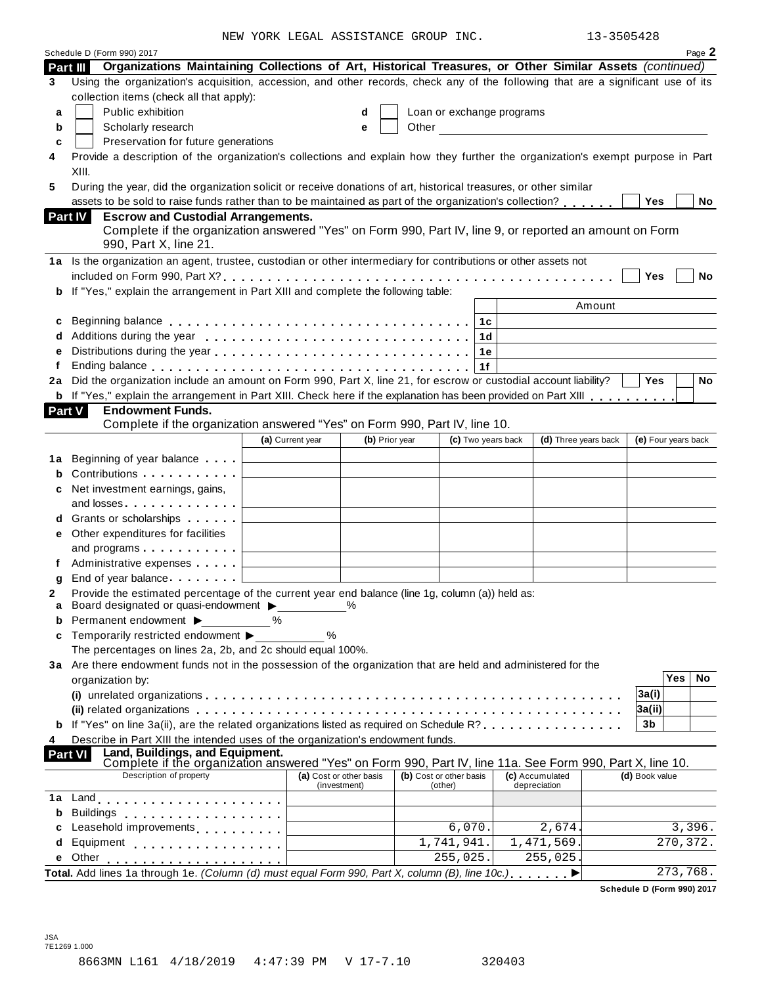NEW YORK LEGAL ASSISTANCE GROUP INC. 13-3505428

| 13-3505428 |  |
|------------|--|
|------------|--|

|    | Schedule D (Form 990) 2017                                                                                                                               |                                         |                |                                      |                                 |        |                     | Page 2                     |
|----|----------------------------------------------------------------------------------------------------------------------------------------------------------|-----------------------------------------|----------------|--------------------------------------|---------------------------------|--------|---------------------|----------------------------|
|    | Organizations Maintaining Collections of Art, Historical Treasures, or Other Similar Assets (continued)<br>Part III                                      |                                         |                |                                      |                                 |        |                     |                            |
| 3  | Using the organization's acquisition, accession, and other records, check any of the following that are a significant use of its                         |                                         |                |                                      |                                 |        |                     |                            |
|    | collection items (check all that apply):                                                                                                                 |                                         |                |                                      |                                 |        |                     |                            |
| a  | Public exhibition                                                                                                                                        |                                         | d              | Loan or exchange programs            |                                 |        |                     |                            |
| b  | Scholarly research                                                                                                                                       |                                         | e              |                                      | Other <u>Denomination</u>       |        |                     |                            |
| c  | Preservation for future generations                                                                                                                      |                                         |                |                                      |                                 |        |                     |                            |
| 4  | Provide a description of the organization's collections and explain how they further the organization's exempt purpose in Part                           |                                         |                |                                      |                                 |        |                     |                            |
|    | XIII.                                                                                                                                                    |                                         |                |                                      |                                 |        |                     |                            |
| 5  | During the year, did the organization solicit or receive donations of art, historical treasures, or other similar                                        |                                         |                |                                      |                                 |        |                     |                            |
|    | assets to be sold to raise funds rather than to be maintained as part of the organization's collection?                                                  |                                         |                |                                      |                                 |        | Yes                 | No                         |
|    | <b>Part IV</b><br><b>Escrow and Custodial Arrangements.</b>                                                                                              |                                         |                |                                      |                                 |        |                     |                            |
|    | Complete if the organization answered "Yes" on Form 990, Part IV, line 9, or reported an amount on Form                                                  |                                         |                |                                      |                                 |        |                     |                            |
|    | 990, Part X, line 21.                                                                                                                                    |                                         |                |                                      |                                 |        |                     |                            |
|    | 1a Is the organization an agent, trustee, custodian or other intermediary for contributions or other assets not                                          |                                         |                |                                      |                                 |        |                     |                            |
|    |                                                                                                                                                          |                                         |                |                                      |                                 |        | Yes                 | No                         |
|    | If "Yes," explain the arrangement in Part XIII and complete the following table:                                                                         |                                         |                |                                      |                                 |        |                     |                            |
|    |                                                                                                                                                          |                                         |                |                                      |                                 | Amount |                     |                            |
| c  |                                                                                                                                                          |                                         |                | 1c                                   |                                 |        |                     |                            |
| d  |                                                                                                                                                          |                                         |                | 1d                                   |                                 |        |                     |                            |
| е  |                                                                                                                                                          |                                         |                | 1e                                   |                                 |        |                     |                            |
| f  | Did the organization include an amount on Form 990, Part X, line 21, for escrow or custodial account liability?                                          |                                         |                | 1f                                   |                                 |        | Yes                 | No                         |
| 2a | b If "Yes," explain the arrangement in Part XIII. Check here if the explanation has been provided on Part XIII                                           |                                         |                |                                      |                                 |        |                     |                            |
|    | Part V<br><b>Endowment Funds.</b>                                                                                                                        |                                         |                |                                      |                                 |        |                     |                            |
|    | Complete if the organization answered "Yes" on Form 990, Part IV, line 10.                                                                               |                                         |                |                                      |                                 |        |                     |                            |
|    |                                                                                                                                                          | (a) Current year                        | (b) Prior year | (c) Two years back                   | (d) Three years back            |        | (e) Four years back |                            |
|    |                                                                                                                                                          |                                         |                |                                      |                                 |        |                     |                            |
| 1а | Beginning of year balance                                                                                                                                |                                         |                |                                      |                                 |        |                     |                            |
| b  | Contributions                                                                                                                                            |                                         |                |                                      |                                 |        |                     |                            |
|    | Net investment earnings, gains,<br>and losses                                                                                                            |                                         |                |                                      |                                 |        |                     |                            |
|    | Grants or scholarships <b>Container</b>                                                                                                                  |                                         |                |                                      |                                 |        |                     |                            |
| е  | Other expenditures for facilities                                                                                                                        |                                         |                |                                      |                                 |        |                     |                            |
|    | and programs $\ldots$ , $\ldots$                                                                                                                         |                                         |                |                                      |                                 |        |                     |                            |
|    | Administrative expenses                                                                                                                                  |                                         |                |                                      |                                 |        |                     |                            |
|    |                                                                                                                                                          |                                         |                |                                      |                                 |        |                     |                            |
| 2  | Provide the estimated percentage of the current year end balance (line 1g, column (a)) held as:                                                          |                                         |                |                                      |                                 |        |                     |                            |
| a  | Board designated or quasi-endowment >                                                                                                                    |                                         |                |                                      |                                 |        |                     |                            |
| b  | Permanent endowment >                                                                                                                                    | ℅                                       |                |                                      |                                 |        |                     |                            |
| c  | Temporarily restricted endowment ▶                                                                                                                       | $-$ %                                   |                |                                      |                                 |        |                     |                            |
|    | The percentages on lines 2a, 2b, and 2c should equal 100%.                                                                                               |                                         |                |                                      |                                 |        |                     |                            |
|    | 3a Are there endowment funds not in the possession of the organization that are held and administered for the                                            |                                         |                |                                      |                                 |        |                     |                            |
|    | organization by:                                                                                                                                         |                                         |                |                                      |                                 |        |                     | Yes<br>No                  |
|    |                                                                                                                                                          |                                         |                |                                      |                                 |        | 3a(i)               |                            |
|    |                                                                                                                                                          |                                         |                |                                      |                                 |        | 3a(ii)              |                            |
|    | <b>b</b> If "Yes" on line 3a(ii), are the related organizations listed as required on Schedule R?                                                        |                                         |                |                                      |                                 |        | 3b                  |                            |
| 4  | Describe in Part XIII the intended uses of the organization's endowment funds.                                                                           |                                         |                |                                      |                                 |        |                     |                            |
|    | Land, Buildings, and Equipment.<br>Complete if the organization answered "Yes" on Form 990, Part IV, line 11a. See Form 990, Part X, line 10.<br>Part VI |                                         |                |                                      |                                 |        |                     |                            |
|    | Description of property                                                                                                                                  | (a) Cost or other basis<br>(investment) |                | (b) Cost or other basis<br>(other)   | (c) Accumulated<br>depreciation |        | (d) Book value      |                            |
| 1a |                                                                                                                                                          |                                         |                |                                      |                                 |        |                     |                            |
| b  |                                                                                                                                                          |                                         |                |                                      |                                 |        |                     |                            |
| c  | Leasehold improvements <b>Leasehold</b> improvements                                                                                                     |                                         |                | 6,070.                               | 2,674.                          |        |                     | 3,396.                     |
| d  | Equipment                                                                                                                                                |                                         |                | 1,741,941.<br>$\overline{255,025}$ . | 1,471,569.<br>255,025           |        |                     | 270,372.                   |
| е  | Total. Add lines 1a through 1e. (Column (d) must equal Form 990, Part X, column (B), line 10c.)                                                          |                                         |                |                                      |                                 |        |                     | 273,768.                   |
|    |                                                                                                                                                          |                                         |                |                                      |                                 |        |                     |                            |
|    |                                                                                                                                                          |                                         |                |                                      |                                 |        |                     | Schedule D (Form 990) 2017 |

JSA 7E1269 1.000 8663MN L161 4/18/2019 4:47:39 PM V 17-7.10 320403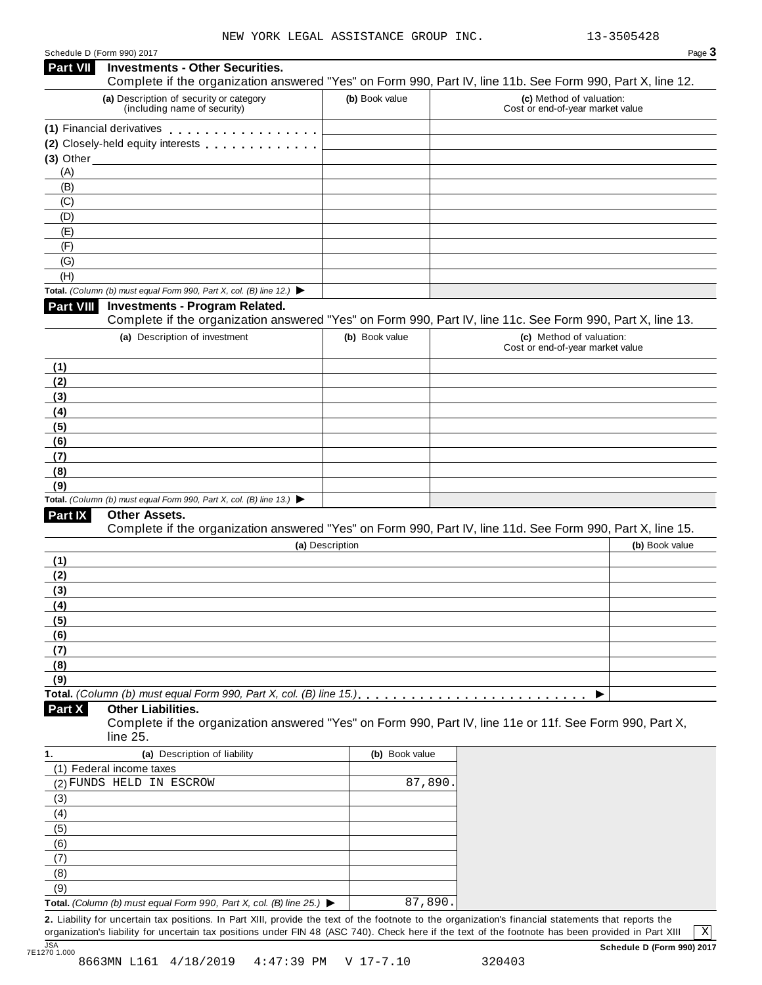| Schedule D (Form 990) 2017 |  |  |
|----------------------------|--|--|
|                            |  |  |

|                                                             | <b>Investments - Other Securities.</b>                                                                    |                 | Complete if the organization answered "Yes" on Form 990, Part IV, line 11b. See Form 990, Part X, line 12. |
|-------------------------------------------------------------|-----------------------------------------------------------------------------------------------------------|-----------------|------------------------------------------------------------------------------------------------------------|
|                                                             | (a) Description of security or category<br>(including name of security)                                   | (b) Book value  | (c) Method of valuation:<br>Cost or end-of-year market value                                               |
|                                                             | (1) Financial derivatives                                                                                 |                 |                                                                                                            |
|                                                             | (2) Closely-held equity interests                                                                         |                 |                                                                                                            |
|                                                             | $(3)$ Other $\qquad \qquad$                                                                               |                 |                                                                                                            |
| (A)                                                         |                                                                                                           |                 |                                                                                                            |
| (B)                                                         |                                                                                                           |                 |                                                                                                            |
| (C)                                                         |                                                                                                           |                 |                                                                                                            |
| (D)                                                         |                                                                                                           |                 |                                                                                                            |
| (E)                                                         |                                                                                                           |                 |                                                                                                            |
| (F)                                                         |                                                                                                           |                 |                                                                                                            |
| (G)                                                         |                                                                                                           |                 |                                                                                                            |
| (H)                                                         |                                                                                                           |                 |                                                                                                            |
|                                                             | Total. (Column (b) must equal Form 990, Part X, col. (B) line 12.) $\blacktriangleright$                  |                 |                                                                                                            |
| Part VIII                                                   | <b>Investments - Program Related.</b>                                                                     |                 | Complete if the organization answered "Yes" on Form 990, Part IV, line 11c. See Form 990, Part X, line 13. |
|                                                             | (a) Description of investment                                                                             | (b) Book value  | (c) Method of valuation:                                                                                   |
|                                                             |                                                                                                           |                 | Cost or end-of-year market value                                                                           |
| (1)                                                         |                                                                                                           |                 |                                                                                                            |
| (2)                                                         |                                                                                                           |                 |                                                                                                            |
| (3)                                                         |                                                                                                           |                 |                                                                                                            |
| (4)                                                         |                                                                                                           |                 |                                                                                                            |
| (5)                                                         |                                                                                                           |                 |                                                                                                            |
| (6)                                                         |                                                                                                           |                 |                                                                                                            |
| (7)                                                         |                                                                                                           |                 |                                                                                                            |
|                                                             |                                                                                                           |                 |                                                                                                            |
|                                                             |                                                                                                           |                 |                                                                                                            |
| (8)<br>(9)                                                  |                                                                                                           |                 |                                                                                                            |
| Part IX                                                     | Total. (Column (b) must equal Form 990, Part X, col. (B) line 13.) $\blacktriangleright$<br>Other Assets. |                 |                                                                                                            |
|                                                             |                                                                                                           |                 | Complete if the organization answered "Yes" on Form 990, Part IV, line 11d. See Form 990, Part X, line 15. |
|                                                             |                                                                                                           | (a) Description | (b) Book value                                                                                             |
|                                                             |                                                                                                           |                 |                                                                                                            |
|                                                             |                                                                                                           |                 |                                                                                                            |
|                                                             |                                                                                                           |                 |                                                                                                            |
|                                                             |                                                                                                           |                 |                                                                                                            |
|                                                             |                                                                                                           |                 |                                                                                                            |
|                                                             |                                                                                                           |                 |                                                                                                            |
|                                                             |                                                                                                           |                 |                                                                                                            |
|                                                             |                                                                                                           |                 |                                                                                                            |
| (1)<br>(2)<br>(3)<br>(4)<br>(5)<br>(6)<br>(7)<br>(8)<br>(9) |                                                                                                           |                 |                                                                                                            |
|                                                             | <b>Other Liabilities.</b><br>line 25.                                                                     |                 | Complete if the organization answered "Yes" on Form 990, Part IV, line 11e or 11f. See Form 990, Part X,   |
|                                                             | (a) Description of liability                                                                              | (b) Book value  |                                                                                                            |
|                                                             | (1) Federal income taxes                                                                                  |                 |                                                                                                            |
|                                                             | (2) FUNDS HELD IN ESCROW                                                                                  | 87,890          |                                                                                                            |
|                                                             |                                                                                                           |                 |                                                                                                            |
|                                                             |                                                                                                           |                 |                                                                                                            |
|                                                             |                                                                                                           |                 |                                                                                                            |
|                                                             |                                                                                                           |                 |                                                                                                            |
|                                                             |                                                                                                           |                 |                                                                                                            |
|                                                             |                                                                                                           |                 |                                                                                                            |
| Part X<br>(3)<br>(4)<br>(5)<br>(6)<br>(7)<br>(8)<br>(9)     |                                                                                                           |                 |                                                                                                            |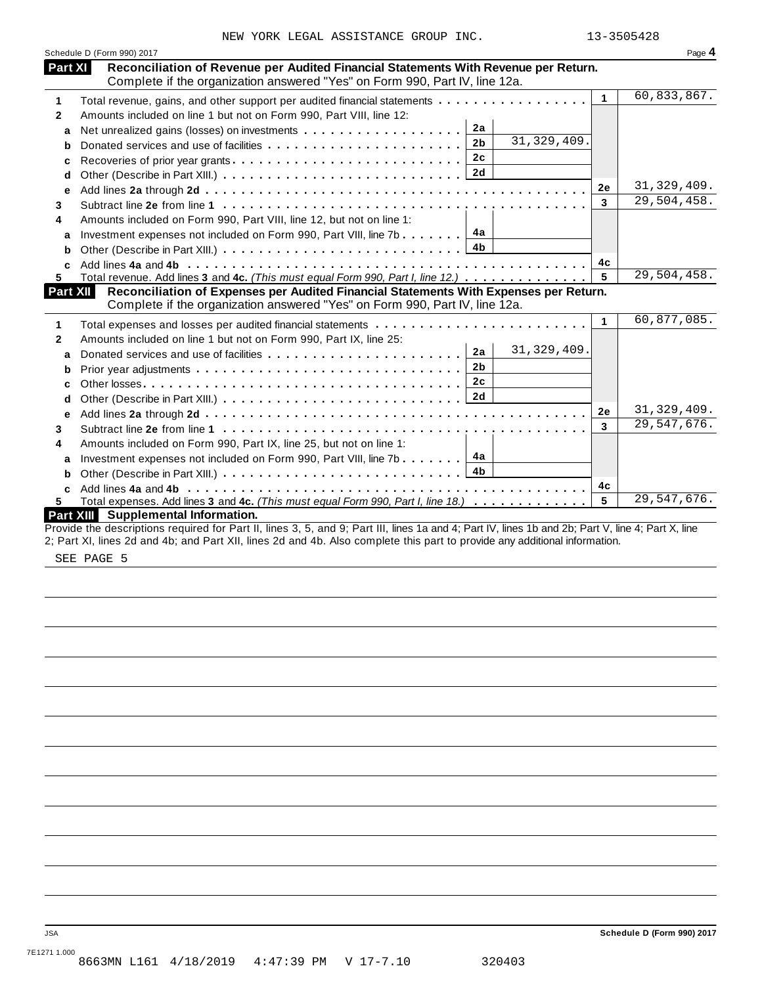|              | Schedule D (Form 990) 2017                                                                                                                                                                                                                                                       |              | Page 4        |
|--------------|----------------------------------------------------------------------------------------------------------------------------------------------------------------------------------------------------------------------------------------------------------------------------------|--------------|---------------|
| Part XI      | Reconciliation of Revenue per Audited Financial Statements With Revenue per Return.<br>Complete if the organization answered "Yes" on Form 990, Part IV, line 12a.                                                                                                               |              |               |
| 1            | Total revenue, gains, and other support per audited financial statements                                                                                                                                                                                                         | $\mathbf{1}$ | 60,833,867.   |
| $\mathbf{2}$ | Amounts included on line 1 but not on Form 990, Part VIII, line 12:                                                                                                                                                                                                              |              |               |
| a            | 2a                                                                                                                                                                                                                                                                               |              |               |
| b            | 31, 329, 409.<br>2 <sub>b</sub>                                                                                                                                                                                                                                                  |              |               |
| c            | 2c<br>Recoveries of prior year grants                                                                                                                                                                                                                                            |              |               |
| d            |                                                                                                                                                                                                                                                                                  |              |               |
| e            |                                                                                                                                                                                                                                                                                  | 2e           | 31, 329, 409. |
| 3            |                                                                                                                                                                                                                                                                                  | 3            | 29,504,458.   |
| 4            | Amounts included on Form 990, Part VIII, line 12, but not on line 1:                                                                                                                                                                                                             |              |               |
| a            | 4а<br>Investment expenses not included on Form 990, Part VIII, line 7b $\ldots \ldots$                                                                                                                                                                                           |              |               |
| b            | 4b                                                                                                                                                                                                                                                                               |              |               |
| $\mathbf{c}$ |                                                                                                                                                                                                                                                                                  | 4c           |               |
| 5.           | Total revenue. Add lines 3 and 4c. (This must equal Form 990, Part I, line 12.)                                                                                                                                                                                                  | 5            | 29,504,458.   |
| Part XII     | Reconciliation of Expenses per Audited Financial Statements With Expenses per Return.<br>Complete if the organization answered "Yes" on Form 990, Part IV, line 12a.                                                                                                             |              |               |
| 1            |                                                                                                                                                                                                                                                                                  | 1            | 60,877,085.   |
| 2            | Amounts included on line 1 but not on Form 990, Part IX, line 25:                                                                                                                                                                                                                |              |               |
| a            | 31, 329, 409.<br>2a                                                                                                                                                                                                                                                              |              |               |
| b            | 2 <sub>b</sub>                                                                                                                                                                                                                                                                   |              |               |
| c            | 2c                                                                                                                                                                                                                                                                               |              |               |
| d            | 2d                                                                                                                                                                                                                                                                               |              |               |
| e            |                                                                                                                                                                                                                                                                                  | 2e           | 31, 329, 409. |
| 3            |                                                                                                                                                                                                                                                                                  | 3            | 29,547,676.   |
| 4            | Amounts included on Form 990, Part IX, line 25, but not on line 1:                                                                                                                                                                                                               |              |               |
| a            | 4a<br>Investment expenses not included on Form 990, Part VIII, line 7b                                                                                                                                                                                                           |              |               |
| b            |                                                                                                                                                                                                                                                                                  |              |               |
| C            |                                                                                                                                                                                                                                                                                  | 4c           |               |
| 5.           | Total expenses. Add lines 3 and 4c. (This must equal Form 990, Part I, line 18.)                                                                                                                                                                                                 | 5            | 29,547,676.   |
|              | Part XIII Supplemental Information.                                                                                                                                                                                                                                              |              |               |
|              | Provide the descriptions required for Part II, lines 3, 5, and 9; Part III, lines 1a and 4; Part IV, lines 1b and 2b; Part V, line 4; Part X, line<br>2; Part XI, lines 2d and 4b; and Part XII, lines 2d and 4b. Also complete this part to provide any additional information. |              |               |
|              | SEE PAGE 5                                                                                                                                                                                                                                                                       |              |               |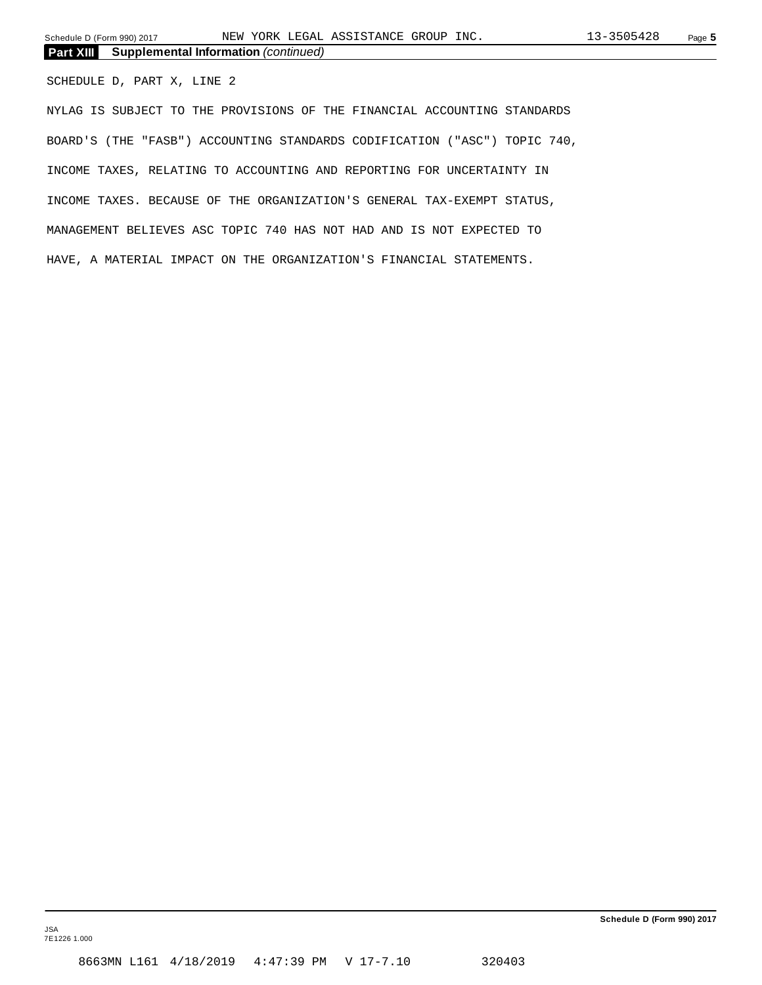Schedule D (Form 990) 2017 Page **5** NEW YORK LEGAL ASSISTANCE GROUP INC. 13-3505428 **Part XIII Supplemental Information** *(continued)*

SCHEDULE D, PART X, LINE 2

NYLAG IS SUBJECT TO THE PROVISIONS OF THE FINANCIAL ACCOUNTING STANDARDS BOARD'S (THE "FASB") ACCOUNTING STANDARDS CODIFICATION ("ASC") TOPIC 740, INCOME TAXES, RELATING TO ACCOUNTING AND REPORTING FOR UNCERTAINTY IN INCOME TAXES. BECAUSE OF THE ORGANIZATION'S GENERAL TAX-EXEMPT STATUS, MANAGEMENT BELIEVES ASC TOPIC 740 HAS NOT HAD AND IS NOT EXPECTED TO HAVE, A MATERIAL IMPACT ON THE ORGANIZATION'S FINANCIAL STATEMENTS.

JSA 7E1226 1.000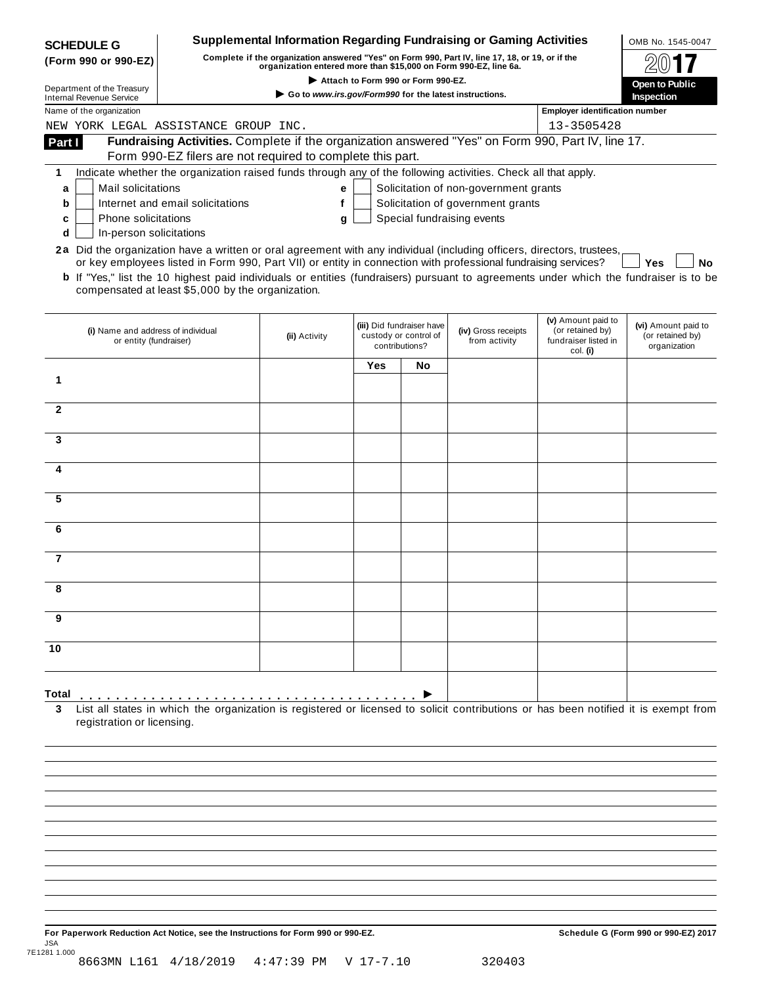| <b>SCHEDULE G</b>                                                                                                      |                                                                                                                                                | <b>Supplemental Information Regarding Fundraising or Gaming Activities</b>                                                                                          |                                              |                           |                            |                                          | OMB No. 1545-0047   |  |
|------------------------------------------------------------------------------------------------------------------------|------------------------------------------------------------------------------------------------------------------------------------------------|---------------------------------------------------------------------------------------------------------------------------------------------------------------------|----------------------------------------------|---------------------------|----------------------------|------------------------------------------|---------------------|--|
| (Form 990 or 990-EZ)                                                                                                   |                                                                                                                                                | Complete if the organization answered "Yes" on Form 990, Part IV, line 17, 18, or 19, or if the<br>organization entered more than \$15,000 on Form 990-EZ, line 6a. |                                              |                           |                            |                                          |                     |  |
| Department of the Treasury                                                                                             |                                                                                                                                                | Attach to Form 990 or Form 990-EZ.                                                                                                                                  |                                              |                           |                            |                                          | Open to Public      |  |
| <b>Internal Revenue Service</b>                                                                                        |                                                                                                                                                | Go to www.irs.gov/Form990 for the latest instructions.                                                                                                              |                                              |                           |                            |                                          | <b>Inspection</b>   |  |
| Name of the organization                                                                                               |                                                                                                                                                |                                                                                                                                                                     |                                              |                           |                            | <b>Employer identification number</b>    |                     |  |
| NEW YORK LEGAL ASSISTANCE GROUP INC.                                                                                   |                                                                                                                                                |                                                                                                                                                                     |                                              |                           |                            | 13-3505428                               |                     |  |
| Part I                                                                                                                 | Fundraising Activities. Complete if the organization answered "Yes" on Form 990, Part IV, line 17.                                             |                                                                                                                                                                     |                                              |                           |                            |                                          |                     |  |
|                                                                                                                        | Form 990-EZ filers are not required to complete this part.                                                                                     |                                                                                                                                                                     |                                              |                           |                            |                                          |                     |  |
| 1                                                                                                                      | Indicate whether the organization raised funds through any of the following activities. Check all that apply.                                  |                                                                                                                                                                     |                                              |                           |                            |                                          |                     |  |
|                                                                                                                        | Mail solicitations<br>Solicitation of non-government grants<br>e<br>a<br>Solicitation of government grants<br>Internet and email solicitations |                                                                                                                                                                     |                                              |                           |                            |                                          |                     |  |
| b<br>Phone solicitations                                                                                               |                                                                                                                                                | f                                                                                                                                                                   |                                              |                           | Special fundraising events |                                          |                     |  |
| c<br>In-person solicitations<br>d                                                                                      |                                                                                                                                                | g                                                                                                                                                                   |                                              |                           |                            |                                          |                     |  |
| 2a Did the organization have a written or oral agreement with any individual (including officers, directors, trustees, |                                                                                                                                                |                                                                                                                                                                     |                                              |                           |                            |                                          |                     |  |
|                                                                                                                        | or key employees listed in Form 990, Part VII) or entity in connection with professional fundraising services?                                 |                                                                                                                                                                     |                                              |                           |                            |                                          | Yes<br>No           |  |
|                                                                                                                        | <b>b</b> If "Yes," list the 10 highest paid individuals or entities (fundraisers) pursuant to agreements under which the fundraiser is to be   |                                                                                                                                                                     |                                              |                           |                            |                                          |                     |  |
|                                                                                                                        | compensated at least \$5,000 by the organization.                                                                                              |                                                                                                                                                                     |                                              |                           |                            |                                          |                     |  |
|                                                                                                                        |                                                                                                                                                |                                                                                                                                                                     |                                              |                           |                            |                                          |                     |  |
|                                                                                                                        |                                                                                                                                                |                                                                                                                                                                     |                                              | (iii) Did fundraiser have |                            | (v) Amount paid to                       | (vi) Amount paid to |  |
| (i) Name and address of individual<br>or entity (fundraiser)                                                           |                                                                                                                                                | (ii) Activity                                                                                                                                                       | (iv) Gross receipts<br>custody or control of |                           | from activity              | (or retained by)<br>fundraiser listed in | (or retained by)    |  |
|                                                                                                                        |                                                                                                                                                |                                                                                                                                                                     | contributions?                               |                           |                            | col. (i)                                 | organization        |  |
|                                                                                                                        |                                                                                                                                                |                                                                                                                                                                     | <b>Yes</b>                                   | No                        |                            |                                          |                     |  |
| 1                                                                                                                      |                                                                                                                                                |                                                                                                                                                                     |                                              |                           |                            |                                          |                     |  |
|                                                                                                                        |                                                                                                                                                |                                                                                                                                                                     |                                              |                           |                            |                                          |                     |  |
| $\mathbf{2}$                                                                                                           |                                                                                                                                                |                                                                                                                                                                     |                                              |                           |                            |                                          |                     |  |
| 3                                                                                                                      |                                                                                                                                                |                                                                                                                                                                     |                                              |                           |                            |                                          |                     |  |
|                                                                                                                        |                                                                                                                                                |                                                                                                                                                                     |                                              |                           |                            |                                          |                     |  |
| 4                                                                                                                      |                                                                                                                                                |                                                                                                                                                                     |                                              |                           |                            |                                          |                     |  |
|                                                                                                                        |                                                                                                                                                |                                                                                                                                                                     |                                              |                           |                            |                                          |                     |  |
| 5                                                                                                                      |                                                                                                                                                |                                                                                                                                                                     |                                              |                           |                            |                                          |                     |  |
|                                                                                                                        |                                                                                                                                                |                                                                                                                                                                     |                                              |                           |                            |                                          |                     |  |
| 6                                                                                                                      |                                                                                                                                                |                                                                                                                                                                     |                                              |                           |                            |                                          |                     |  |
|                                                                                                                        |                                                                                                                                                |                                                                                                                                                                     |                                              |                           |                            |                                          |                     |  |
| 7                                                                                                                      |                                                                                                                                                |                                                                                                                                                                     |                                              |                           |                            |                                          |                     |  |
|                                                                                                                        |                                                                                                                                                |                                                                                                                                                                     |                                              |                           |                            |                                          |                     |  |
| ୪                                                                                                                      |                                                                                                                                                |                                                                                                                                                                     |                                              |                           |                            |                                          |                     |  |
|                                                                                                                        |                                                                                                                                                |                                                                                                                                                                     |                                              |                           |                            |                                          |                     |  |
| 9                                                                                                                      |                                                                                                                                                |                                                                                                                                                                     |                                              |                           |                            |                                          |                     |  |
|                                                                                                                        |                                                                                                                                                |                                                                                                                                                                     |                                              |                           |                            |                                          |                     |  |
| 10                                                                                                                     |                                                                                                                                                |                                                                                                                                                                     |                                              |                           |                            |                                          |                     |  |
|                                                                                                                        |                                                                                                                                                |                                                                                                                                                                     |                                              |                           |                            |                                          |                     |  |
|                                                                                                                        |                                                                                                                                                |                                                                                                                                                                     |                                              |                           |                            |                                          |                     |  |
| Total                                                                                                                  | List all states in which the organization is registered or licensed to solicit contributions or has been notified it is exempt from            |                                                                                                                                                                     |                                              |                           |                            |                                          |                     |  |
| 3<br>registration or licensing.                                                                                        |                                                                                                                                                |                                                                                                                                                                     |                                              |                           |                            |                                          |                     |  |
|                                                                                                                        |                                                                                                                                                |                                                                                                                                                                     |                                              |                           |                            |                                          |                     |  |
|                                                                                                                        |                                                                                                                                                |                                                                                                                                                                     |                                              |                           |                            |                                          |                     |  |

**For Paperwork Reduction Act Notice, see the Instructions for Form 990 or 990-EZ. Schedule G (Form 990 or 990-EZ) 2017** JSA 7E1281 1.000 8663MN L161 4/18/2019 4:47:39 PM V 17-7.10 320403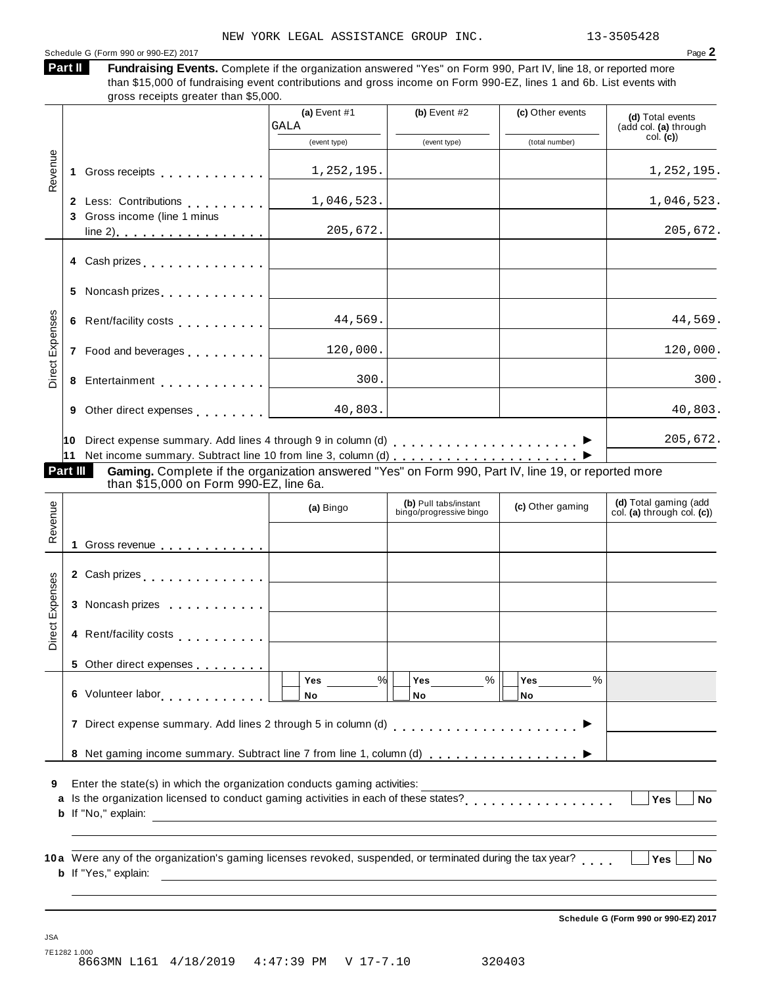## Schedule <sup>G</sup> (Form <sup>990</sup> or 990-EZ) <sup>2017</sup> Page **2**

Fundraising Events. Complete if the organization answered "Yes" on Form 990, Part IV, line 18, or reported more than \$15,000 of fundraising event contributions and gross income on Form 990-EZ, lines 1 and 6b. List events with gross receipts greater than \$5,000. **Part II**

|                 |    |                                                                                                                                                                                                                                     | (a) Event $#1$<br>GALA                                                                                           | (b) Event $#2$                                   | (c) Other events | (d) Total events<br>(add col. (a) through           |
|-----------------|----|-------------------------------------------------------------------------------------------------------------------------------------------------------------------------------------------------------------------------------------|------------------------------------------------------------------------------------------------------------------|--------------------------------------------------|------------------|-----------------------------------------------------|
|                 |    |                                                                                                                                                                                                                                     | (event type)                                                                                                     | (event type)                                     | (total number)   | col. (c)                                            |
| Revenue         |    |                                                                                                                                                                                                                                     | 1,252,195.                                                                                                       |                                                  |                  | 1,252,195.                                          |
|                 |    | 2 Less: Contributions                                                                                                                                                                                                               | 1,046,523.                                                                                                       |                                                  |                  | 1,046,523.                                          |
|                 |    | 3 Gross income (line 1 minus<br>line 2).                                                                                                                                                                                            | 205,672.                                                                                                         |                                                  |                  | 205,672.                                            |
|                 |    | 4 Cash prizes                                                                                                                                                                                                                       |                                                                                                                  |                                                  |                  |                                                     |
|                 |    | 5 Noncash prizes                                                                                                                                                                                                                    |                                                                                                                  |                                                  |                  |                                                     |
|                 | 6  | Rent/facility costs [19] Rent/facility costs                                                                                                                                                                                        | 44,569.                                                                                                          |                                                  |                  | 44,569.                                             |
| Direct Expenses |    | 7 Food and beverages [1, 1, 1, 1, 1]                                                                                                                                                                                                | 120,000.                                                                                                         |                                                  |                  | 120,000.                                            |
|                 | 8  | Entertainment [1, 1, 1, 1, 1, 1, 1, 1]                                                                                                                                                                                              | 300.                                                                                                             |                                                  |                  | 300.                                                |
|                 | 9  | Other direct expenses <b>contained</b>                                                                                                                                                                                              | 40,803.                                                                                                          |                                                  |                  | 40,803.                                             |
|                 | 10 |                                                                                                                                                                                                                                     |                                                                                                                  |                                                  |                  | 205,672.                                            |
| Part III        |    | Gaming. Complete if the organization answered "Yes" on Form 990, Part IV, line 19, or reported more<br>than \$15,000 on Form 990-EZ, line 6a.                                                                                       |                                                                                                                  |                                                  |                  |                                                     |
| Revenue         |    |                                                                                                                                                                                                                                     | (a) Bingo                                                                                                        | (b) Pull tabs/instant<br>bingo/progressive bingo | (c) Other gaming | (d) Total gaming (add<br>col. (a) through col. (c)) |
|                 | 1. | Gross revenue <b>contained</b> contains the contact of the contact of the contact of the contact of the contact of the contact of the contact of the contact of the contact of the contact of the contact of the contact of the con |                                                                                                                  |                                                  |                  |                                                     |
|                 |    | 2 Cash prizes <u>  _ _ _ _ _ _ _ _ _ _ _ _</u>                                                                                                                                                                                      |                                                                                                                  |                                                  |                  |                                                     |
| Direct Expenses |    | 3 Noncash prizes                                                                                                                                                                                                                    |                                                                                                                  |                                                  |                  |                                                     |
|                 |    |                                                                                                                                                                                                                                     |                                                                                                                  |                                                  |                  |                                                     |
|                 |    | 5 Other direct expenses                                                                                                                                                                                                             |                                                                                                                  |                                                  |                  |                                                     |
|                 |    |                                                                                                                                                                                                                                     | %<br>Yes<br>No                                                                                                   | $\%$<br>Yes<br>No                                | %<br>Yes<br>No   |                                                     |
|                 |    |                                                                                                                                                                                                                                     |                                                                                                                  |                                                  |                  |                                                     |
|                 |    | 8 Net gaming income summary. Subtract line 7 from line 1, column (d)                                                                                                                                                                |                                                                                                                  |                                                  |                  |                                                     |
| 9<br>a<br>b     |    | Enter the state(s) in which the organization conducts gaming activities:<br>If "No," explain:                                                                                                                                       |                                                                                                                  |                                                  |                  | Yes<br><b>No</b>                                    |
|                 |    | 10a Were any of the organization's gaming licenses revoked, suspended, or terminated during the tax year?<br><b>b</b> If "Yes," explain:                                                                                            | and the control of the control of the control of the control of the control of the control of the control of the |                                                  |                  | Yes<br>No                                           |

JSA 7E1282 1.000 8663MN L161 4/18/2019 4:47:39 PM V 17-7.10 320403 **Schedule G (Form 990 or 990-EZ) 2017**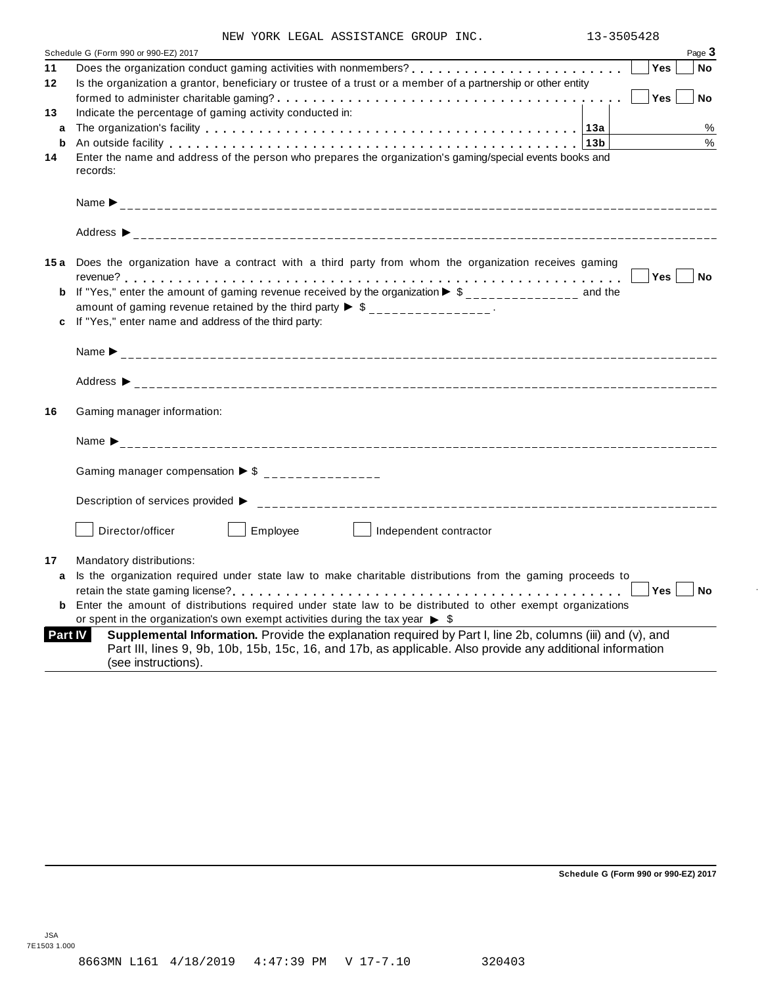| NEW YORK LEGAL ASSISTANCE GROUP INC. |
|--------------------------------------|
|--------------------------------------|

|                | Schedule G (Form 990 or 990-EZ) 2017<br>Page 3                                                                                                                                                                                      |
|----------------|-------------------------------------------------------------------------------------------------------------------------------------------------------------------------------------------------------------------------------------|
| 11             | Yes<br><b>No</b>                                                                                                                                                                                                                    |
| 12             | Is the organization a grantor, beneficiary or trustee of a trust or a member of a partnership or other entity                                                                                                                       |
|                | Yes<br><b>No</b>                                                                                                                                                                                                                    |
| 13             | Indicate the percentage of gaming activity conducted in:                                                                                                                                                                            |
| a              | %                                                                                                                                                                                                                                   |
| b              | %<br>An outside facility enterpreened and the series of the series of the series of the series of the series of the series of the series of the series of the series of the series of the series of the series of the series of the |
| 14             | Enter the name and address of the person who prepares the organization's gaming/special events books and                                                                                                                            |
|                | records:                                                                                                                                                                                                                            |
|                |                                                                                                                                                                                                                                     |
|                |                                                                                                                                                                                                                                     |
|                |                                                                                                                                                                                                                                     |
|                |                                                                                                                                                                                                                                     |
|                | 15a Does the organization have a contract with a third party from whom the organization receives gaming<br>Yes No                                                                                                                   |
|                | <b>b</b> If "Yes," enter the amount of gaming revenue received by the organization $\triangleright$ \$_______________ and the                                                                                                       |
|                | amount of gaming revenue retained by the third party $\triangleright$ \$ _______________.                                                                                                                                           |
|                | c If "Yes," enter name and address of the third party:                                                                                                                                                                              |
|                |                                                                                                                                                                                                                                     |
|                |                                                                                                                                                                                                                                     |
|                |                                                                                                                                                                                                                                     |
| 16             | Gaming manager information:                                                                                                                                                                                                         |
|                | Name $\sum_{-1}^{1}$                                                                                                                                                                                                                |
|                | Gaming manager compensation $\triangleright$ \$ _______________                                                                                                                                                                     |
|                |                                                                                                                                                                                                                                     |
|                | Description of services provided ▶                                                                                                                                                                                                  |
|                | Employee<br>Director/officer<br>Independent contractor                                                                                                                                                                              |
| 17             | Mandatory distributions:                                                                                                                                                                                                            |
|                | a Is the organization required under state law to make charitable distributions from the gaming proceeds to                                                                                                                         |
|                | Yes<br>  No                                                                                                                                                                                                                         |
| b              | Enter the amount of distributions required under state law to be distributed to other exempt organizations                                                                                                                          |
|                | or spent in the organization's own exempt activities during the tax year $\triangleright$ \$                                                                                                                                        |
| <b>Part IV</b> | Supplemental Information. Provide the explanation required by Part I, line 2b, columns (iii) and (v), and                                                                                                                           |
|                | Part III, lines 9, 9b, 10b, 15b, 15c, 16, and 17b, as applicable. Also provide any additional information                                                                                                                           |
|                | (see instructions).                                                                                                                                                                                                                 |
|                |                                                                                                                                                                                                                                     |

**Schedule G (Form 990 or 990-EZ) 2017**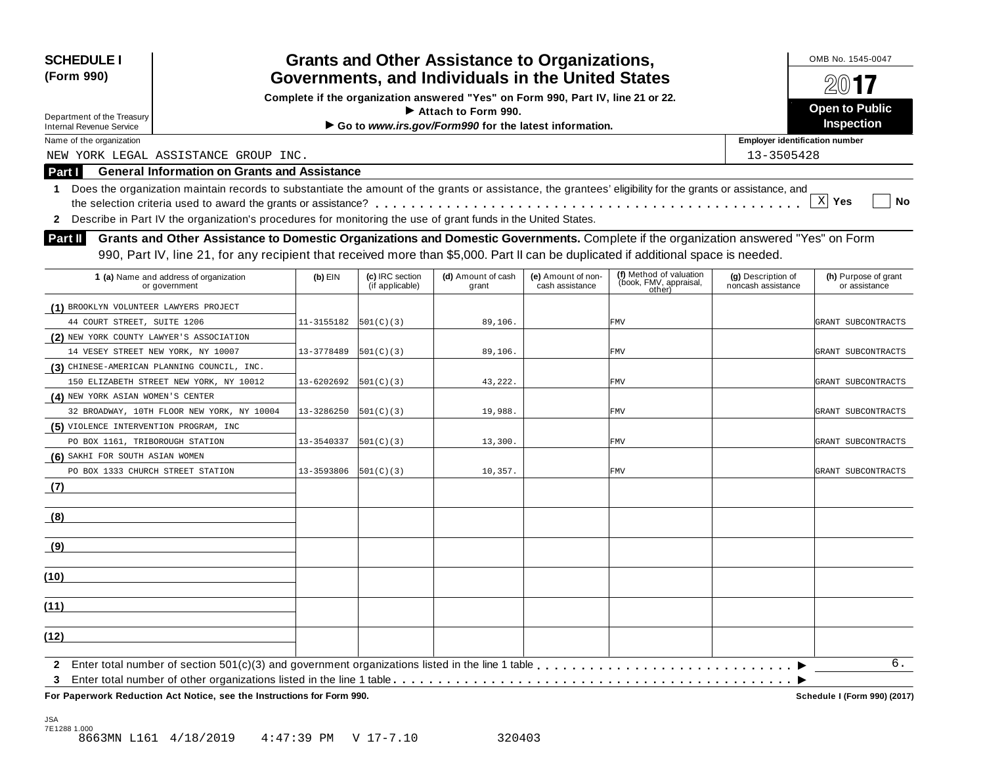| <b>SCHEDULE I</b>                                                                                                                                                |                                       |                                    | <b>Grants and Other Assistance to Organizations,</b> |                                       |                                                             |                                          | OMB No. 1545-0047                     |  |
|------------------------------------------------------------------------------------------------------------------------------------------------------------------|---------------------------------------|------------------------------------|------------------------------------------------------|---------------------------------------|-------------------------------------------------------------|------------------------------------------|---------------------------------------|--|
| (Form 990)                                                                                                                                                       |                                       |                                    | Governments, and Individuals in the United States    |                                       |                                                             |                                          |                                       |  |
| Complete if the organization answered "Yes" on Form 990, Part IV, line 21 or 22.                                                                                 |                                       |                                    |                                                      |                                       |                                                             |                                          |                                       |  |
| Department of the Treasury                                                                                                                                       |                                       | <b>Open to Public</b>              |                                                      |                                       |                                                             |                                          |                                       |  |
| <b>Internal Revenue Service</b>                                                                                                                                  |                                       | Inspection                         |                                                      |                                       |                                                             |                                          |                                       |  |
| Name of the organization                                                                                                                                         | <b>Employer identification number</b> |                                    |                                                      |                                       |                                                             |                                          |                                       |  |
| NEW YORK LEGAL ASSISTANCE GROUP INC.                                                                                                                             |                                       |                                    |                                                      |                                       |                                                             | 13-3505428                               |                                       |  |
| <b>General Information on Grants and Assistance</b><br><b>Part I</b>                                                                                             |                                       |                                    |                                                      |                                       |                                                             |                                          |                                       |  |
| Does the organization maintain records to substantiate the amount of the grants or assistance, the grantees' eligibility for the grants or assistance, and<br>1. |                                       |                                    |                                                      |                                       |                                                             |                                          |                                       |  |
|                                                                                                                                                                  |                                       |                                    |                                                      |                                       |                                                             |                                          | $\mathbf{x}$<br>Yes<br>No             |  |
| Describe in Part IV the organization's procedures for monitoring the use of grant funds in the United States.<br>2                                               |                                       |                                    |                                                      |                                       |                                                             |                                          |                                       |  |
| Grants and Other Assistance to Domestic Organizations and Domestic Governments. Complete if the organization answered "Yes" on Form                              |                                       |                                    |                                                      |                                       |                                                             |                                          |                                       |  |
| <b>Part II</b>                                                                                                                                                   |                                       |                                    |                                                      |                                       |                                                             |                                          |                                       |  |
| 990, Part IV, line 21, for any recipient that received more than \$5,000. Part II can be duplicated if additional space is needed.                               |                                       |                                    |                                                      |                                       |                                                             |                                          |                                       |  |
| 1 (a) Name and address of organization<br>or government                                                                                                          | $(b)$ EIN                             | (c) IRC section<br>(if applicable) | (d) Amount of cash<br>grant                          | (e) Amount of non-<br>cash assistance | (f) Method of valuation<br>(book, FMV, appraisal,<br>other) | (g) Description of<br>noncash assistance | (h) Purpose of grant<br>or assistance |  |
| (1) BROOKLYN VOLUNTEER LAWYERS PROJECT                                                                                                                           |                                       |                                    |                                                      |                                       |                                                             |                                          |                                       |  |
| 44 COURT STREET, SUITE 1206                                                                                                                                      | 11-3155182                            | 501(C)(3)                          | 89,106.                                              |                                       | <b>FMV</b>                                                  |                                          | GRANT SUBCONTRACTS                    |  |
| (2) NEW YORK COUNTY LAWYER'S ASSOCIATION                                                                                                                         |                                       |                                    |                                                      |                                       |                                                             |                                          |                                       |  |
| 14 VESEY STREET NEW YORK, NY 10007                                                                                                                               | 13-3778489                            | 501(C)(3)                          | 89,106.                                              |                                       | <b>FMV</b>                                                  |                                          | GRANT SUBCONTRACTS                    |  |
| (3) CHINESE-AMERICAN PLANNING COUNCIL, INC.                                                                                                                      |                                       |                                    |                                                      |                                       |                                                             |                                          |                                       |  |
| 150 ELIZABETH STREET NEW YORK, NY 10012                                                                                                                          | 13-6202692                            | 501(C)(3)                          | 43,222.                                              |                                       | <b>FMV</b>                                                  |                                          | GRANT SUBCONTRACTS                    |  |
| (4) NEW YORK ASIAN WOMEN'S CENTER                                                                                                                                |                                       |                                    |                                                      |                                       |                                                             |                                          |                                       |  |
| 32 BROADWAY, 10TH FLOOR NEW YORK, NY 10004                                                                                                                       | 13-3286250                            | 501(C)(3)                          | 19,988                                               |                                       | <b>FMV</b>                                                  |                                          | GRANT SUBCONTRACTS                    |  |
| (5) VIOLENCE INTERVENTION PROGRAM, INC                                                                                                                           |                                       |                                    |                                                      |                                       |                                                             |                                          |                                       |  |
| PO BOX 1161, TRIBOROUGH STATION                                                                                                                                  | 13-3540337                            | 501(C)(3)                          | 13,300.                                              |                                       | <b>FMV</b>                                                  |                                          | GRANT SUBCONTRACTS                    |  |
| (6) SAKHI FOR SOUTH ASIAN WOMEN                                                                                                                                  |                                       |                                    |                                                      |                                       |                                                             |                                          |                                       |  |
| PO BOX 1333 CHURCH STREET STATION                                                                                                                                | 13-3593806                            | 501(C)(3)                          | 10,357.                                              |                                       | FMV                                                         |                                          | GRANT SUBCONTRACTS                    |  |
| (7)                                                                                                                                                              |                                       |                                    |                                                      |                                       |                                                             |                                          |                                       |  |
| (8)                                                                                                                                                              |                                       |                                    |                                                      |                                       |                                                             |                                          |                                       |  |
| (9)                                                                                                                                                              |                                       |                                    |                                                      |                                       |                                                             |                                          |                                       |  |
| (10)                                                                                                                                                             |                                       |                                    |                                                      |                                       |                                                             |                                          |                                       |  |
|                                                                                                                                                                  |                                       |                                    |                                                      |                                       |                                                             |                                          |                                       |  |
| (11)                                                                                                                                                             |                                       |                                    |                                                      |                                       |                                                             |                                          |                                       |  |
| (12)                                                                                                                                                             |                                       |                                    |                                                      |                                       |                                                             |                                          |                                       |  |
| $\mathbf{2}$<br>3                                                                                                                                                |                                       |                                    |                                                      |                                       |                                                             |                                          | б.                                    |  |
| For Paperwork Reduction Act Notice, see the Instructions for Form 990.                                                                                           |                                       |                                    |                                                      |                                       |                                                             |                                          | Schedule I (Form 990) (2017)          |  |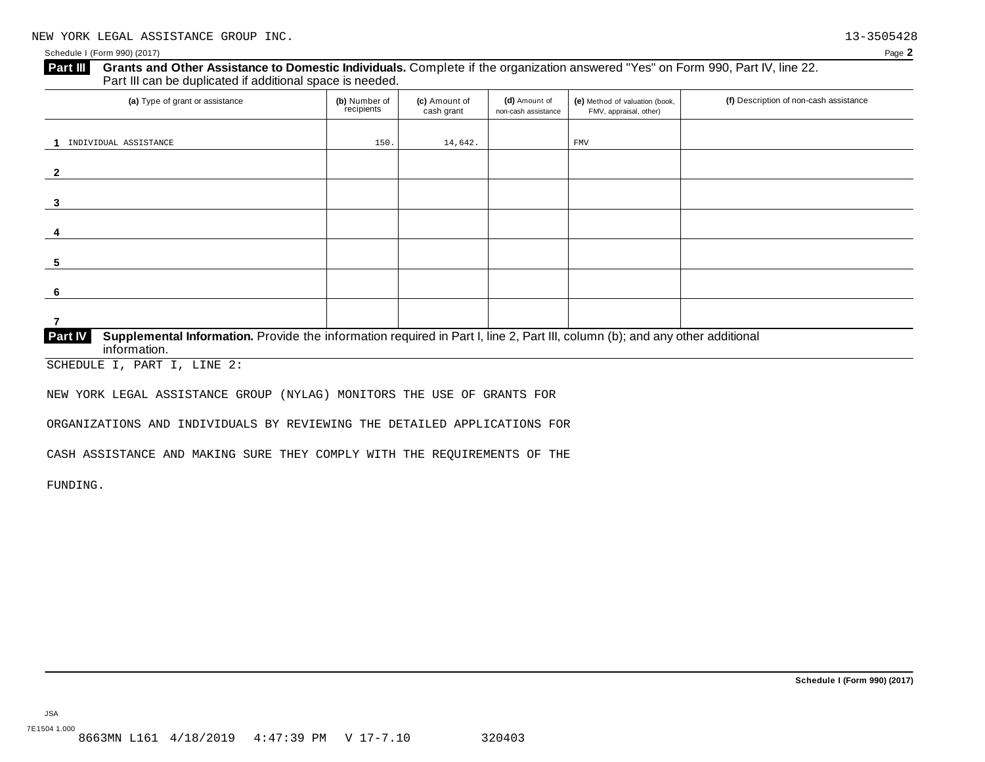## Grants and Other Assistance to Domestic Individuals. Complete if the organization answered "Yes" on Form 990, Part IV, line 22. **Part III** Grants and Other Assistance to Domestic Individuals<br>Part III can be duplicated if additional space is needed.

| (a) Type of grant or assistance                                                                                                                                | (b) Number of<br>recipients | (c) Amount of<br>cash grant | (d) Amount of<br>non-cash assistance | (e) Method of valuation (book,<br>FMV, appraisal, other) | (f) Description of non-cash assistance |
|----------------------------------------------------------------------------------------------------------------------------------------------------------------|-----------------------------|-----------------------------|--------------------------------------|----------------------------------------------------------|----------------------------------------|
| INDIVIDUAL ASSISTANCE                                                                                                                                          | 150.                        | 14,642.                     |                                      | FMV                                                      |                                        |
| $\mathbf{2}$                                                                                                                                                   |                             |                             |                                      |                                                          |                                        |
| 3                                                                                                                                                              |                             |                             |                                      |                                                          |                                        |
| 4                                                                                                                                                              |                             |                             |                                      |                                                          |                                        |
| 5                                                                                                                                                              |                             |                             |                                      |                                                          |                                        |
| 6                                                                                                                                                              |                             |                             |                                      |                                                          |                                        |
|                                                                                                                                                                |                             |                             |                                      |                                                          |                                        |
| <b>Part IV</b><br>Supplemental Information. Provide the information required in Part I, line 2, Part III, column (b); and any other additional<br>information. |                             |                             |                                      |                                                          |                                        |

SCHEDULE I, PART I, LINE 2:

NEW YORK LEGAL ASSISTANCE GROUP (NYLAG) MONITORS THE USE OF GRANTS FOR

ORGANIZATIONS AND INDIVIDUALS BY REVIEWING THE DETAILED APPLICATIONS FOR

CASH ASSISTANCE AND MAKING SURE THEY COMPLY WITH THE REQUIREMENTS OF THE

FUNDING.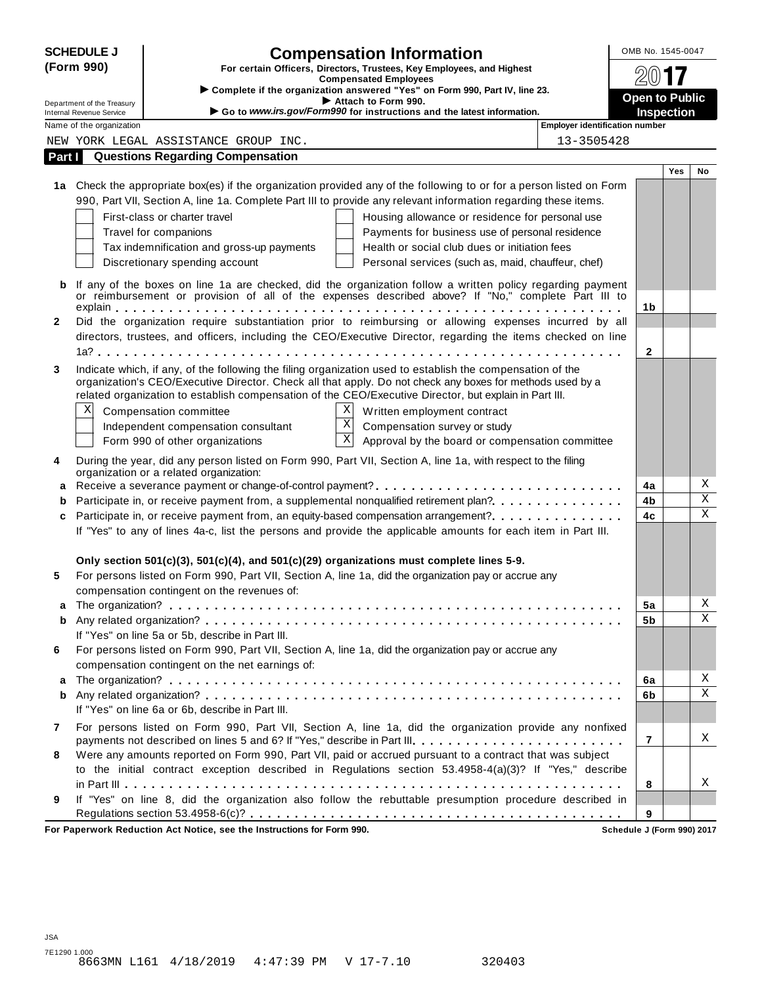|              | <b>SCHEDULE J</b>                                    |                                                                                          | <b>Compensation Information</b>                                                                                                                                                                                         |                                       | OMB No. 1545-0047     |                         |
|--------------|------------------------------------------------------|------------------------------------------------------------------------------------------|-------------------------------------------------------------------------------------------------------------------------------------------------------------------------------------------------------------------------|---------------------------------------|-----------------------|-------------------------|
|              | (Form 990)                                           |                                                                                          | For certain Officers, Directors, Trustees, Key Employees, and Highest                                                                                                                                                   |                                       |                       |                         |
|              |                                                      |                                                                                          | <b>Compensated Employees</b><br>Complete if the organization answered "Yes" on Form 990, Part IV, line 23.                                                                                                              |                                       |                       |                         |
|              | Department of the Treasury                           |                                                                                          | Attach to Form 990.                                                                                                                                                                                                     |                                       | <b>Open to Public</b> |                         |
|              | Internal Revenue Service<br>Name of the organization |                                                                                          | Go to www.irs.gov/Form990 for instructions and the latest information.                                                                                                                                                  | <b>Employer identification number</b> | <b>Inspection</b>     |                         |
|              |                                                      |                                                                                          |                                                                                                                                                                                                                         |                                       |                       |                         |
|              |                                                      | NEW YORK LEGAL ASSISTANCE GROUP INC.                                                     |                                                                                                                                                                                                                         | 13-3505428                            |                       |                         |
| Part I       |                                                      | <b>Questions Regarding Compensation</b>                                                  |                                                                                                                                                                                                                         |                                       | Yes                   | No                      |
|              |                                                      |                                                                                          | 1a Check the appropriate box(es) if the organization provided any of the following to or for a person listed on Form                                                                                                    |                                       |                       |                         |
|              |                                                      |                                                                                          | 990, Part VII, Section A, line 1a. Complete Part III to provide any relevant information regarding these items.                                                                                                         |                                       |                       |                         |
|              |                                                      | First-class or charter travel                                                            | Housing allowance or residence for personal use                                                                                                                                                                         |                                       |                       |                         |
|              |                                                      | Travel for companions                                                                    | Payments for business use of personal residence                                                                                                                                                                         |                                       |                       |                         |
|              |                                                      | Tax indemnification and gross-up payments                                                | Health or social club dues or initiation fees                                                                                                                                                                           |                                       |                       |                         |
|              |                                                      | Discretionary spending account                                                           | Personal services (such as, maid, chauffeur, chef)                                                                                                                                                                      |                                       |                       |                         |
|              |                                                      |                                                                                          |                                                                                                                                                                                                                         |                                       |                       |                         |
| b            |                                                      |                                                                                          | If any of the boxes on line 1a are checked, did the organization follow a written policy regarding payment                                                                                                              |                                       |                       |                         |
|              |                                                      |                                                                                          | or reimbursement or provision of all of the expenses described above? If "No," complete Part III to                                                                                                                     |                                       | 1 <sub>b</sub>        |                         |
| $\mathbf{2}$ |                                                      |                                                                                          | Did the organization require substantiation prior to reimbursing or allowing expenses incurred by all                                                                                                                   |                                       |                       |                         |
|              |                                                      |                                                                                          | directors, trustees, and officers, including the CEO/Executive Director, regarding the items checked on line                                                                                                            |                                       |                       |                         |
|              |                                                      |                                                                                          |                                                                                                                                                                                                                         |                                       | $\mathbf{2}$          |                         |
|              |                                                      |                                                                                          |                                                                                                                                                                                                                         |                                       |                       |                         |
| 3            |                                                      |                                                                                          | Indicate which, if any, of the following the filing organization used to establish the compensation of the<br>organization's CEO/Executive Director. Check all that apply. Do not check any boxes for methods used by a |                                       |                       |                         |
|              |                                                      |                                                                                          | related organization to establish compensation of the CEO/Executive Director, but explain in Part III.                                                                                                                  |                                       |                       |                         |
|              | Χ                                                    | X<br>Compensation committee                                                              | Written employment contract                                                                                                                                                                                             |                                       |                       |                         |
|              |                                                      | $\mathbf X$<br>Independent compensation consultant                                       | Compensation survey or study                                                                                                                                                                                            |                                       |                       |                         |
|              |                                                      | $\overline{\mathbf{x}}$<br>Form 990 of other organizations                               | Approval by the board or compensation committee                                                                                                                                                                         |                                       |                       |                         |
|              |                                                      |                                                                                          |                                                                                                                                                                                                                         |                                       |                       |                         |
| 4            |                                                      | organization or a related organization:                                                  | During the year, did any person listed on Form 990, Part VII, Section A, line 1a, with respect to the filing                                                                                                            |                                       |                       |                         |
| a            |                                                      |                                                                                          | Receive a severance payment or change-of-control payment?                                                                                                                                                               |                                       | 4a                    | Χ                       |
| b            |                                                      |                                                                                          | Participate in, or receive payment from, a supplemental nonqualified retirement plan?.                                                                                                                                  |                                       | 4b                    | $\overline{\textbf{X}}$ |
| c            |                                                      |                                                                                          |                                                                                                                                                                                                                         |                                       | 4c                    | $\overline{\mathbf{x}}$ |
|              |                                                      |                                                                                          | If "Yes" to any of lines 4a-c, list the persons and provide the applicable amounts for each item in Part III.                                                                                                           |                                       |                       |                         |
|              |                                                      |                                                                                          |                                                                                                                                                                                                                         |                                       |                       |                         |
|              |                                                      | Only section 501(c)(3), 501(c)(4), and 501(c)(29) organizations must complete lines 5-9. |                                                                                                                                                                                                                         |                                       |                       |                         |
| 5            |                                                      |                                                                                          | For persons listed on Form 990, Part VII, Section A, line 1a, did the organization pay or accrue any                                                                                                                    |                                       |                       |                         |
|              |                                                      | compensation contingent on the revenues of:                                              |                                                                                                                                                                                                                         |                                       |                       |                         |
| a            |                                                      |                                                                                          |                                                                                                                                                                                                                         |                                       | 5a                    | Χ                       |
| b            |                                                      |                                                                                          |                                                                                                                                                                                                                         |                                       | 5b                    | $\mathbf X$             |
|              |                                                      | If "Yes" on line 5a or 5b, describe in Part III.                                         |                                                                                                                                                                                                                         |                                       |                       |                         |
| 6            |                                                      |                                                                                          | For persons listed on Form 990, Part VII, Section A, line 1a, did the organization pay or accrue any                                                                                                                    |                                       |                       |                         |
|              |                                                      | compensation contingent on the net earnings of:                                          |                                                                                                                                                                                                                         |                                       |                       |                         |
| a            |                                                      |                                                                                          |                                                                                                                                                                                                                         |                                       | 6a                    | Χ                       |
| b            |                                                      |                                                                                          |                                                                                                                                                                                                                         |                                       | 6b                    | Χ                       |
|              |                                                      | If "Yes" on line 6a or 6b, describe in Part III.                                         |                                                                                                                                                                                                                         |                                       |                       |                         |
| 7            |                                                      |                                                                                          | For persons listed on Form 990, Part VII, Section A, line 1a, did the organization provide any nonfixed                                                                                                                 |                                       |                       |                         |
|              |                                                      |                                                                                          |                                                                                                                                                                                                                         |                                       | 7                     | Χ                       |
| 8            |                                                      |                                                                                          | Were any amounts reported on Form 990, Part VII, paid or accrued pursuant to a contract that was subject                                                                                                                |                                       |                       |                         |
|              |                                                      |                                                                                          | to the initial contract exception described in Regulations section 53.4958-4(a)(3)? If "Yes," describe                                                                                                                  |                                       |                       |                         |
|              |                                                      |                                                                                          |                                                                                                                                                                                                                         |                                       | 8                     | X                       |
| 9            |                                                      |                                                                                          | If "Yes" on line 8, did the organization also follow the rebuttable presumption procedure described in                                                                                                                  |                                       |                       |                         |
|              |                                                      |                                                                                          |                                                                                                                                                                                                                         |                                       | 9                     |                         |
|              |                                                      | For Paperwork Reduction Act Notice, see the Instructions for Form 990.                   |                                                                                                                                                                                                                         | Schedule J (Form 990) 2017            |                       |                         |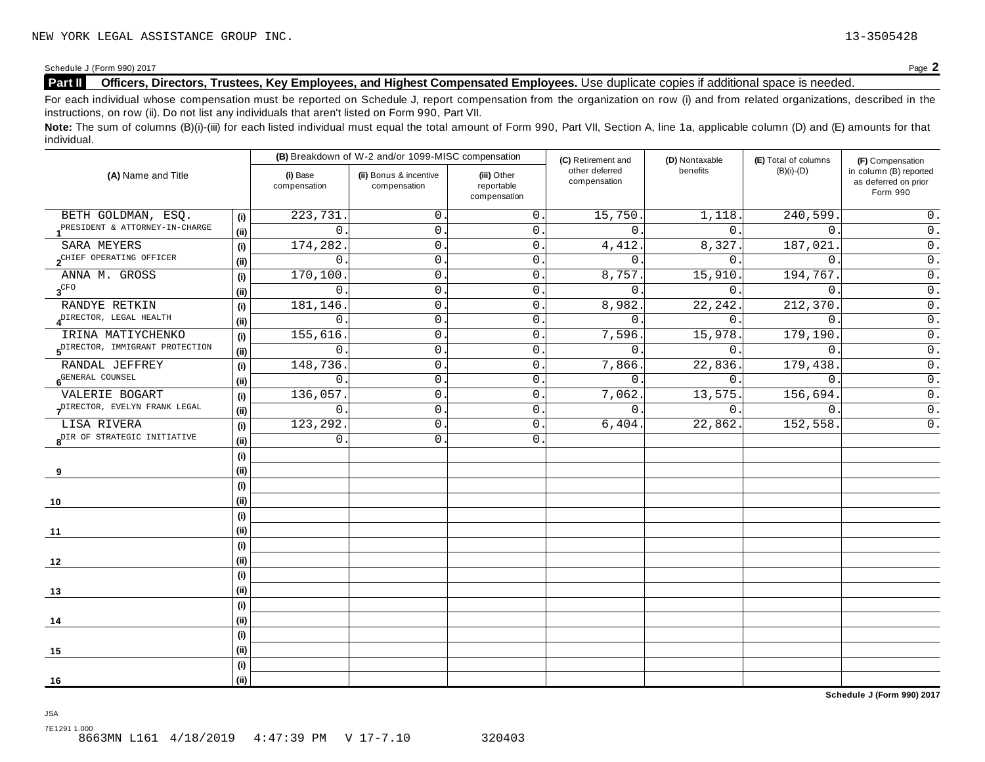## **Part II Officers, Directors, Trustees, Key Employees, and Highest Compensated Employees.** Use duplicate copies ifadditional space is needed.

For each individual whose compensation must be reported on Schedule J, report compensation from the organization on row (i) and from related organizations, described in the instructions, on row (ii). Do not list any individuals that aren't listed on Form 990, Part VII.

Note: The sum of columns (B)(i)-(iii) for each listed individual must equal the total amount of Form 990, Part VII, Section A, line 1a, applicable column (D) and (E) amounts for that individual.

| (A) Name and Title                          |                              | (B) Breakdown of W-2 and/or 1099-MISC compensation |                                        |                                           | (C) Retirement and             | (D) Nontaxable   | (E) Total of columns | (F) Compensation                                           |
|---------------------------------------------|------------------------------|----------------------------------------------------|----------------------------------------|-------------------------------------------|--------------------------------|------------------|----------------------|------------------------------------------------------------|
|                                             |                              | (i) Base<br>compensation                           | (ii) Bonus & incentive<br>compensation | (iii) Other<br>reportable<br>compensation | other deferred<br>compensation | benefits         | $(B)(i)-(D)$         | in column (B) reported<br>as deferred on prior<br>Form 990 |
| BETH GOLDMAN, ESQ.                          | (i)                          | 223,731                                            | $\mathsf{O}$ .                         | $\mathsf 0$ .                             | 15,750.                        | 1,118.           | 240,599              | 0.                                                         |
| PRESIDENT & ATTORNEY-IN-CHARGE              | (i)                          | $\mathbf 0$                                        | $\mathsf{O}$                           | 0.                                        | $\overline{0}$ .               | 0.               | $\Omega$ .           | $\overline{0}$ .                                           |
| SARA MEYERS                                 | (i)                          | 174,282                                            | $\mathsf{O}$                           | 0.                                        | 4,412.                         | 8,327            | 187,021              | $\overline{0}$ .                                           |
| 2 <sup>CHIEF</sup> OPERATING OFFICER        | (i)                          | 0                                                  | $\mathsf{0}$ .                         | $\mathbf 0$ .                             | $\mathbf{0}$ .                 | 0.               | $\mathbf{0}$ .       | $\overline{0}$ .                                           |
| ANNA M. GROSS                               | (i)                          | 170,100                                            | $\mathsf{0}$ .                         | $\overline{0}$ .                          | 8,757                          | 15,910           | 194,767.             | $\mathsf 0$ .                                              |
| $\boldsymbol{3}^{\mathrm{CFO}}$             | (i)                          | $\mathbf 0$                                        | $\mathsf{O}$ .                         | $\mathsf{O}$ .                            | $\mathbf{0}$ .                 | $\overline{0}$ . | $\mathbf{0}$ .       | $0$ .                                                      |
| RANDYE RETKIN                               | (i)                          | 181,146                                            | 0                                      | $\mathbf 0$                               | 8,982.                         | 22, 242.         | 212,370              | $\overline{0}$ .                                           |
| A <sup>DIRECTOR, LEGAL HEALTH</sup>         | (i)                          | $\mathbf 0$                                        | 0                                      | $\mathbf{0}$ .                            | $\mathbf{0}$ .                 | 0.               | $\mathbf{0}$ .       | $\overline{0}$ .                                           |
| IRINA MATIYCHENKO                           | (i)                          | 155,616                                            | $\mathsf{O}$                           | 0.                                        | 7,596.                         | 15,978.          | 179,190.             | $\overline{0}$ .                                           |
| 5 <sup>DIRECTOR, IMMIGRANT PROTECTION</sup> | (i)                          | 0                                                  | 0                                      | $\mathbf 0$                               | $\mathbf{0}$ .                 | 0.               | $\mathbf{0}$ .       | $\overline{0}$ .                                           |
| RANDAL JEFFREY                              | $\qquad \qquad \textbf{(i)}$ | 148,736.                                           | $\mathsf{O}$ .                         | $\mathsf{O}$ .                            | 7,866.                         | 22,836.          | 179,438.             | $\overline{0}$ .                                           |
| 6 <sup>GENERAL</sup> COUNSEL                | (i)                          | $\mathsf{O}$                                       | $\mathsf{O}$ .                         | 0                                         | 0                              | 0.               | $\mathbf 0$          | $\overline{0}$ .                                           |
| VALERIE BOGART                              | (i)                          | 136,057.                                           | $\mathbf{0}$ .                         | $\mathbf{0}$ .                            | 7,062.                         | 13,575.          | 156,694.             | $\overline{0}$ .                                           |
| DIRECTOR, EVELYN FRANK LEGAL                | (ii)                         | $\Omega$                                           | $\mathbf 0$                            | $\overline{0}$ .                          | $\Omega$ .                     | 0.               | $\mathbf{0}$ .       | $0$ .                                                      |
| LISA RIVERA                                 | (i)                          | 123,292                                            | $\mathsf{O}$ .                         | 0.                                        | 6,404.                         | 22,862.          | 152,558.             | 0.                                                         |
| 8 <sup>DIR OF</sup> STRATEGIC INITIATIVE    | (i)                          | 0                                                  | $\mathsf{O}$                           | $\overline{0}$ .                          |                                |                  |                      |                                                            |
|                                             | (i)                          |                                                    |                                        |                                           |                                |                  |                      |                                                            |
| 9                                           | (i)                          |                                                    |                                        |                                           |                                |                  |                      |                                                            |
|                                             | (i)                          |                                                    |                                        |                                           |                                |                  |                      |                                                            |
| 10                                          | (i)                          |                                                    |                                        |                                           |                                |                  |                      |                                                            |
|                                             | (i)                          |                                                    |                                        |                                           |                                |                  |                      |                                                            |
| 11                                          | (ii)                         |                                                    |                                        |                                           |                                |                  |                      |                                                            |
|                                             | (i)                          |                                                    |                                        |                                           |                                |                  |                      |                                                            |
| 12                                          | (i)                          |                                                    |                                        |                                           |                                |                  |                      |                                                            |
|                                             | $\qquad \qquad \textbf{(i)}$ |                                                    |                                        |                                           |                                |                  |                      |                                                            |
| 13                                          | (i)                          |                                                    |                                        |                                           |                                |                  |                      |                                                            |
|                                             | $\qquad \qquad \textbf{(i)}$ |                                                    |                                        |                                           |                                |                  |                      |                                                            |
| 14                                          | (i)                          |                                                    |                                        |                                           |                                |                  |                      |                                                            |
|                                             | (i)                          |                                                    |                                        |                                           |                                |                  |                      |                                                            |
| 15                                          | (i)                          |                                                    |                                        |                                           |                                |                  |                      |                                                            |
|                                             | (i)                          |                                                    |                                        |                                           |                                |                  |                      |                                                            |
| 16                                          | (i)                          |                                                    |                                        |                                           |                                |                  |                      |                                                            |

**Schedule J (Form 990) 2017**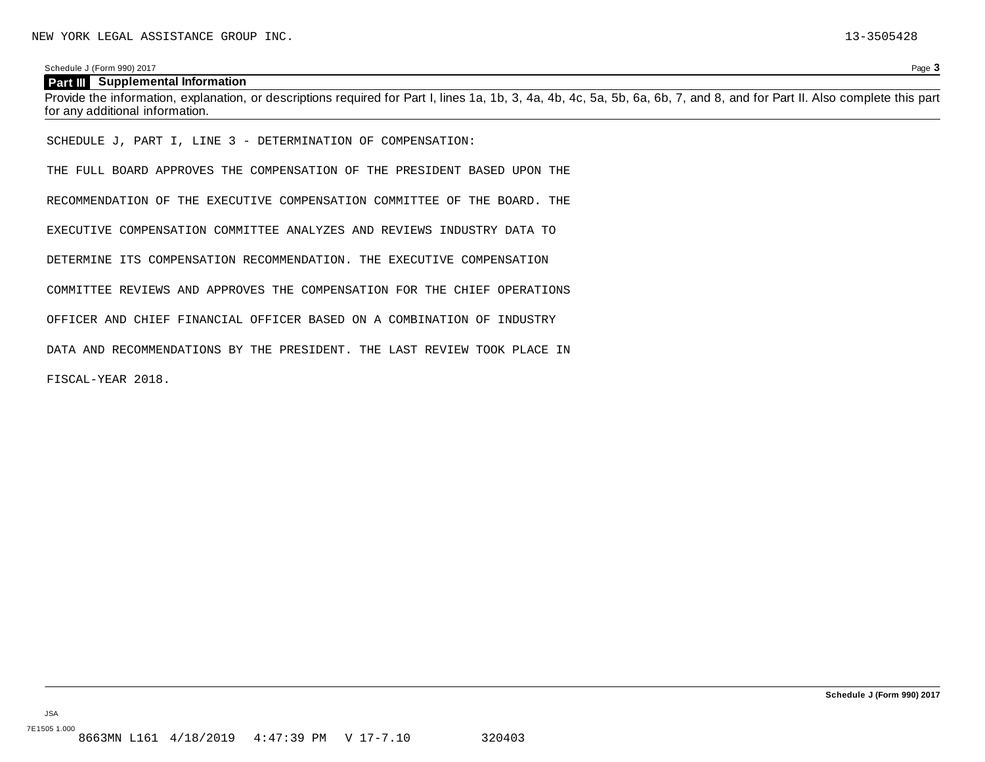## **Part III Supplemental Information**

Provide the information, explanation, or descriptions required for Part I, lines 1a, 1b, 3, 4a, 4b, 4c, 5a, 5b, 6a, 6b, 7, and 8, and for Part II. Also complete this part for any additional information.

SCHEDULE J, PART I, LINE 3 - DETERMINATION OF COMPENSATION:

THE FULL BOARD APPROVES THE COMPENSATION OF THE PRESIDENT BASED UPON THE

RECOMMENDATION OF THE EXECUTIVE COMPENSATION COMMITTEE OF THE BOARD. THE

EXECUTIVE COMPENSATION COMMITTEE ANALYZES AND REVIEWS INDUSTRY DATA TO

DETERMINE ITS COMPENSATION RECOMMENDATION. THE EXECUTIVE COMPENSATION

COMMITTEE REVIEWS AND APPROVES THE COMPENSATION FOR THE CHIEF OPERATIONS

OFFICER AND CHIEF FINANCIAL OFFICER BASED ON A COMBINATION OF INDUSTRY

DATA AND RECOMMENDATIONS BY THE PRESIDENT. THE LAST REVIEW TOOK PLACE IN

FISCAL-YEAR 2018.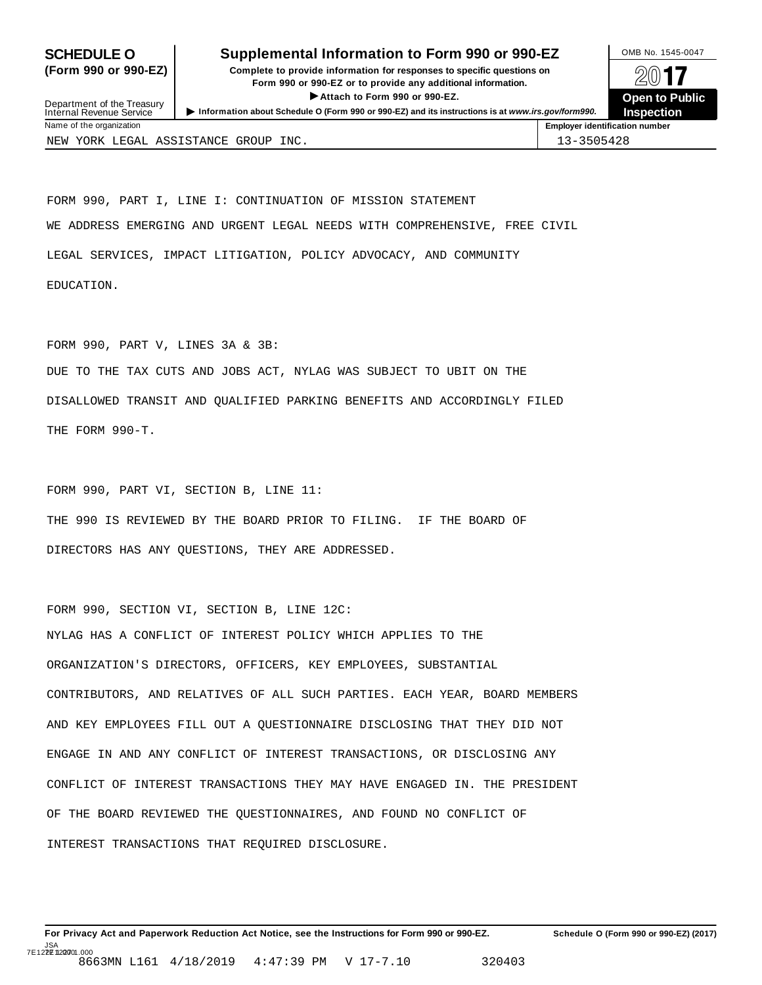## **SCHEDULE O** Supplemental Information to Form 990 or 990-EZ DMB No. 1545-0047

**(Form 990 or 990-EZ) Complete to provide information for responses to specific questions on Form 990 or 990-EZ** or to provide any additional information. **iAttach to Form 990 or 990-EZ. Consumer to Open to** 



| PAUSULU FUHII 990 UL 990-EZ.<br>Department of the Treasury<br>Information about Schedule O (Form 990 or 990-EZ) and its instructions is at www.irs.gov/form990.<br>Internal Revenue Service |                                  |  |  |                                       |  |  |
|---------------------------------------------------------------------------------------------------------------------------------------------------------------------------------------------|----------------------------------|--|--|---------------------------------------|--|--|
| Name of the organization                                                                                                                                                                    |                                  |  |  | <b>Employer identification number</b> |  |  |
| NEW                                                                                                                                                                                         | YORK LEGAL ASSISTANCE GROUP INC. |  |  | 13-3505428                            |  |  |

FORM 990, PART I, LINE I: CONTINUATION OF MISSION STATEMENT WE ADDRESS EMERGING AND URGENT LEGAL NEEDS WITH COMPREHENSIVE, FREE CIVIL LEGAL SERVICES, IMPACT LITIGATION, POLICY ADVOCACY, AND COMMUNITY EDUCATION.

FORM 990, PART V, LINES 3A & 3B: DUE TO THE TAX CUTS AND JOBS ACT, NYLAG WAS SUBJECT TO UBIT ON THE DISALLOWED TRANSIT AND QUALIFIED PARKING BENEFITS AND ACCORDINGLY FILED THE FORM 990-T.

FORM 990, PART VI, SECTION B, LINE 11: THE 990 IS REVIEWED BY THE BOARD PRIOR TO FILING. IF THE BOARD OF DIRECTORS HAS ANY QUESTIONS, THEY ARE ADDRESSED.

FORM 990, SECTION VI, SECTION B, LINE 12C: NYLAG HAS A CONFLICT OF INTEREST POLICY WHICH APPLIES TO THE ORGANIZATION'S DIRECTORS, OFFICERS, KEY EMPLOYEES, SUBSTANTIAL CONTRIBUTORS, AND RELATIVES OF ALL SUCH PARTIES. EACH YEAR, BOARD MEMBERS AND KEY EMPLOYEES FILL OUT A QUESTIONNAIRE DISCLOSING THAT THEY DID NOT ENGAGE IN AND ANY CONFLICT OF INTEREST TRANSACTIONS, OR DISCLOSING ANY CONFLICT OF INTEREST TRANSACTIONS THEY MAY HAVE ENGAGED IN. THE PRESIDENT OF THE BOARD REVIEWED THE QUESTIONNAIRES, AND FOUND NO CONFLICT OF INTEREST TRANSACTIONS THAT REQUIRED DISCLOSURE.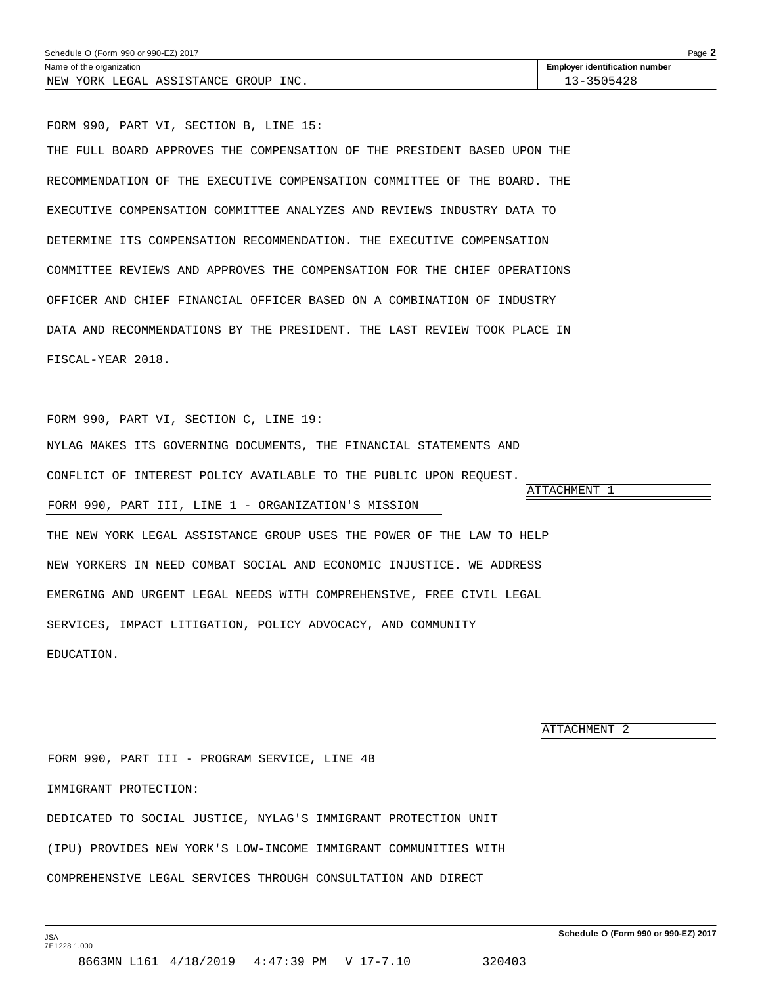<span id="page-44-0"></span>

| Schedule O (Form 990 or 990-EZ) 2017    |                                       |  |
|-----------------------------------------|---------------------------------------|--|
| Name of the organization                | <b>Employer identification number</b> |  |
| INC.<br>NEW YORK LEGAL ASSISTANCE GROUP | 13-3505428                            |  |

FORM 990, PART VI, SECTION B, LINE 15:

THE FULL BOARD APPROVES THE COMPENSATION OF THE PRESIDENT BASED UPON THE RECOMMENDATION OF THE EXECUTIVE COMPENSATION COMMITTEE OF THE BOARD. THE EXECUTIVE COMPENSATION COMMITTEE ANALYZES AND REVIEWS INDUSTRY DATA TO DETERMINE ITS COMPENSATION RECOMMENDATION. THE EXECUTIVE COMPENSATION COMMITTEE REVIEWS AND APPROVES THE COMPENSATION FOR THE CHIEF OPERATIONS OFFICER AND CHIEF FINANCIAL OFFICER BASED ON A COMBINATION OF INDUSTRY DATA AND RECOMMENDATIONS BY THE PRESIDENT. THE LAST REVIEW TOOK PLACE IN FISCAL-YEAR 2018.

FORM 990, PART VI, SECTION C, LINE 19:

NYLAG MAKES ITS GOVERNING DOCUMENTS, THE FINANCIAL STATEMENTS AND

CONFLICT OF INTEREST POLICY AVAILABLE TO THE PUBLIC UPON REQUEST.

FORM 990, PART III, LINE 1 - ORGANIZATION'S MISSION

THE NEW YORK LEGAL ASSISTANCE GROUP USES THE POWER OF THE LAW TO HELP NEW YORKERS IN NEED COMBAT SOCIAL AND ECONOMIC INJUSTICE. WE ADDRESS EMERGING AND URGENT LEGAL NEEDS WITH COMPREHENSIVE, FREE CIVIL LEGAL SERVICES, IMPACT LITIGATION, POLICY ADVOCACY, AND COMMUNITY EDUCATION.

ATTACHMENT 2

## FORM 990, PART III - PROGRAM SERVICE, LINE 4B

IMMIGRANT PROTECTION:

DEDICATED TO SOCIAL JUSTICE, NYLAG'S IMMIGRANT PROTECTION UNIT (IPU) PROVIDES NEW YORK'S LOW-INCOME IMMIGRANT COMMUNITIES WITH COMPREHENSIVE LEGAL SERVICES THROUGH CONSULTATION AND DIRECT

ATTACHMENT 1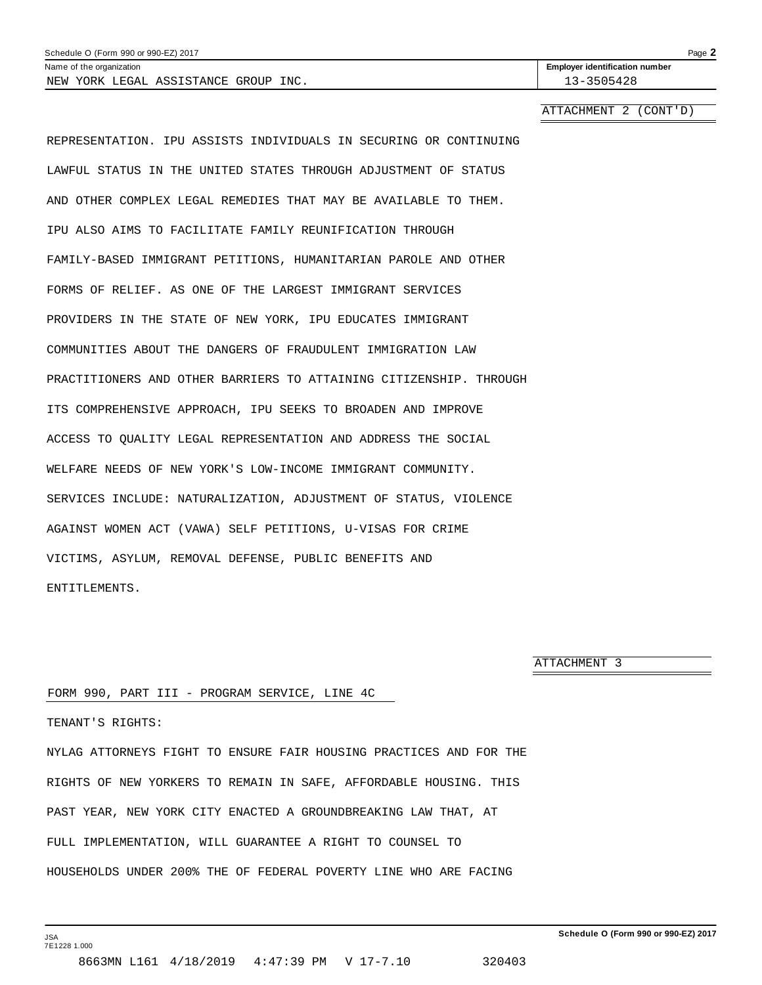<span id="page-45-0"></span>Name of the organization **intervalsion Employer identification number Employer identification number** NEW YORK LEGAL ASSISTANCE GROUP INC. 13-3505428

ATTACHMENT 2 (CONT'D)

REPRESENTATION. IPU ASSISTS INDIVIDUALS IN SECURING OR CONTINUING LAWFUL STATUS IN THE UNITED STATES THROUGH ADJUSTMENT OF STATUS AND OTHER COMPLEX LEGAL REMEDIES THAT MAY BE AVAILABLE TO THEM. IPU ALSO AIMS TO FACILITATE FAMILY REUNIFICATION THROUGH FAMILY-BASED IMMIGRANT PETITIONS, HUMANITARIAN PAROLE AND OTHER FORMS OF RELIEF. AS ONE OF THE LARGEST IMMIGRANT SERVICES PROVIDERS IN THE STATE OF NEW YORK, IPU EDUCATES IMMIGRANT COMMUNITIES ABOUT THE DANGERS OF FRAUDULENT IMMIGRATION LAW PRACTITIONERS AND OTHER BARRIERS TO ATTAINING CITIZENSHIP. THROUGH ITS COMPREHENSIVE APPROACH, IPU SEEKS TO BROADEN AND IMPROVE ACCESS TO QUALITY LEGAL REPRESENTATION AND ADDRESS THE SOCIAL WELFARE NEEDS OF NEW YORK'S LOW-INCOME IMMIGRANT COMMUNITY. SERVICES INCLUDE: NATURALIZATION, ADJUSTMENT OF STATUS, VIOLENCE AGAINST WOMEN ACT (VAWA) SELF PETITIONS, U-VISAS FOR CRIME VICTIMS, ASYLUM, REMOVAL DEFENSE, PUBLIC BENEFITS AND ENTITLEMENTS.

ATTACHMENT 3

## FORM 990, PART III - PROGRAM SERVICE, LINE 4C

TENANT'S RIGHTS:

JSA 7E1228 1.000

NYLAG ATTORNEYS FIGHT TO ENSURE FAIR HOUSING PRACTICES AND FOR THE RIGHTS OF NEW YORKERS TO REMAIN IN SAFE, AFFORDABLE HOUSING. THIS PAST YEAR, NEW YORK CITY ENACTED A GROUNDBREAKING LAW THAT, AT FULL IMPLEMENTATION, WILL GUARANTEE A RIGHT TO COUNSEL TO HOUSEHOLDS UNDER 200% THE OF FEDERAL POVERTY LINE WHO ARE FACING

8663MN L161 4/18/2019 4:47:39 PM V 17-7.10 320403